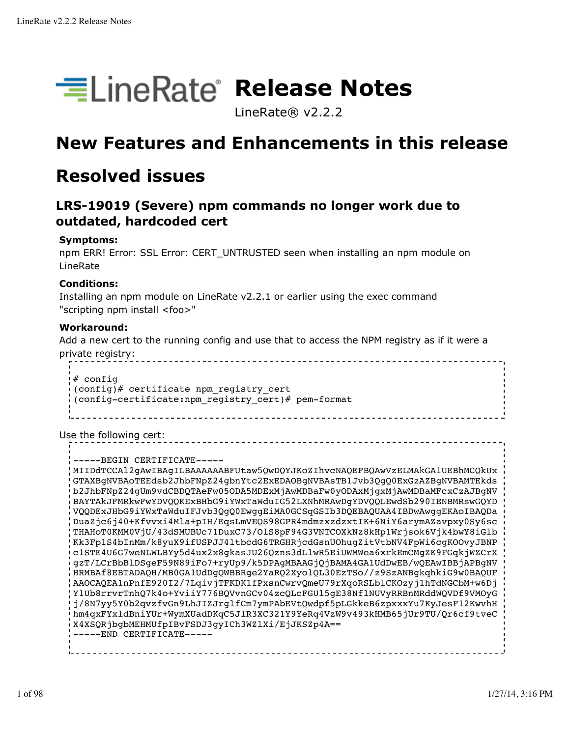

LineRate® v2.2.2

# **New Features and Enhancements in this release**

# **Resolved issues**

## **LRS-19019 (Severe) npm commands no longer work due to outdated, hardcoded cert**

## **Symptoms:**

npm ERR! Error: SSL Error: CERT\_UNTRUSTED seen when installing an npm module on LineRate

### **Conditions:**

Installing an npm module on LineRate v2.2.1 or earlier using the exec command "scripting npm install <foo>"

### **Workaround:**

Add a new cert to the running config and use that to access the NPM registry as if it were a private registry:

# config (config)# certificate npm\_registry\_cert (config-certificate:npm\_registry\_cert)# pem-format

Use the following cert:

-----BEGIN CERTIFICATE----- MIIDdTCCAl2gAwIBAgILBAAAAAABFUtaw5QwDQYJKoZIhvcNAQEFBQAwVzELMAkGA1UEBhMCQkUx GTAXBgNVBAoTEEdsb2JhbFNpZ24gbnYtc2ExEDAOBgNVBAsTB1Jvb3QgQ0ExGzAZBgNVBAMTEkds b2JhbFNpZ24gUm9vdCBDQTAeFw05ODA5MDExMjAwMDBaFw0yODAxMjgxMjAwMDBaMFcxCzAJBgNV BAYTAkJFMRkwFwYDVQQKExBHbG9iYWxTaWduIG52LXNhMRAwDgYDVQQLEwdSb290IENBMRswGQYD VQQDExJHbG9iYWxTaWduIFJvb3QgQ0EwggEiMA0GCSqGSIb3DQEBAQUAA4IBDwAwggEKAoIBAQDa DuaZjc6j40+Kfvvxi4Mla+pIH/EqsLmVEQS98GPR4mdmzxzdzxtIK+6NiY6arymAZavpxy0Sy6sc THAHoT0KMM0VjU/43dSMUBUc71DuxC73/OlS8pF94G3VNTCOXkNz8kHp1Wrjsok6Vjk4bwY8iGlb Kk3Fp1S4bInMm/k8yuX9ifUSPJJ4ltbcdG6TRGHRjcdGsnUOhugZitVtbNV4FpWi6cgKOOvyJBNP c1STE4U6G7weNLWLBYy5d4ux2x8gkasJU26Qzns3dLlwR5EiUWMWea6xrkEmCMgZK9FGqkjWZCrX gzT/LCrBbBlDSgeF59N89iFo7+ryUp9/k5DPAgMBAAGjQjBAMA4GA1UdDwEB/wQEAwIBBjAPBgNV HRMBAf8EBTADAQH/MB0GA1UdDgQWBBRge2YaRQ2XyolQL30EzTSo//z9SzANBgkqhkiG9w0BAQUF AAOCAQEA1nPnfE920I2/7LqivjTFKDK1fPxsnCwrvQmeU79rXqoRSLblCKOzyj1hTdNGCbM+w6Dj Y1Ub8rrvrTnhQ7k4o+YviiY776BQVvnGCv04zcQLcFGUl5gE38NflNUVyRRBnMRddWQVDf9VMOyG j/8N7yy5Y0b2qvzfvGn9LhJIZJrglfCm7ymPAbEVtQwdpf5pLGkkeB6zpxxxYu7KyJesF12KwvhH hm4qxFYxldBniYUr+WymXUadDKqC5JlR3XC321Y9YeRq4VzW9v493kHMB65jUr9TU/Qr6cf9tveC X4XSQRjbgbMEHMUfpIBvFSDJ3gyICh3WZlXi/EjJKSZp4A== -----END CERTIFICATE-----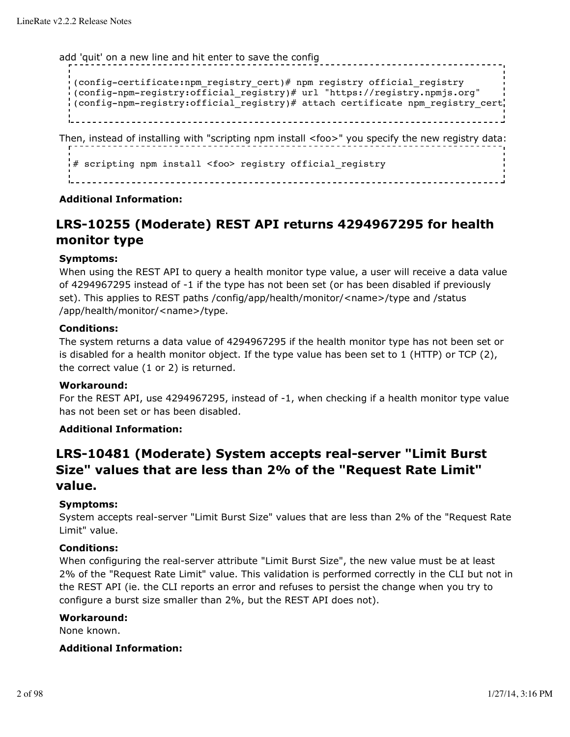add 'quit' on a new line and hit enter to save the config

```
(config-certificate:npm_registry_cert)# npm registry official_registry
(config-npm-registry:official_registry)# url "https://registry.npmjs.org"
(config-npm-registry:official_registry)# attach certificate npm_registry_cert
                                  <u>--------------</u>
```
Then, instead of installing with "scripting npm install <foo>" you specify the new registry data:

# scripting npm install <foo> registry official registry

### **Additional Information:**

## **LRS-10255 (Moderate) REST API returns 4294967295 for health monitor type**

### **Symptoms:**

When using the REST API to query a health monitor type value, a user will receive a data value of 4294967295 instead of -1 if the type has not been set (or has been disabled if previously set). This applies to REST paths /config/app/health/monitor/<name>/type and /status /app/health/monitor/<name>/type.

#### **Conditions:**

The system returns a data value of 4294967295 if the health monitor type has not been set or is disabled for a health monitor object. If the type value has been set to 1 (HTTP) or TCP (2), the correct value (1 or 2) is returned.

### **Workaround:**

For the REST API, use 4294967295, instead of -1, when checking if a health monitor type value has not been set or has been disabled.

### **Additional Information:**

## **LRS-10481 (Moderate) System accepts real-server "Limit Burst Size" values that are less than 2% of the "Request Rate Limit" value.**

### **Symptoms:**

System accepts real-server "Limit Burst Size" values that are less than 2% of the "Request Rate Limit" value.

### **Conditions:**

When configuring the real-server attribute "Limit Burst Size", the new value must be at least 2% of the "Request Rate Limit" value. This validation is performed correctly in the CLI but not in the REST API (ie. the CLI reports an error and refuses to persist the change when you try to configure a burst size smaller than 2%, but the REST API does not).

#### **Workaround:**

None known.

### **Additional Information:**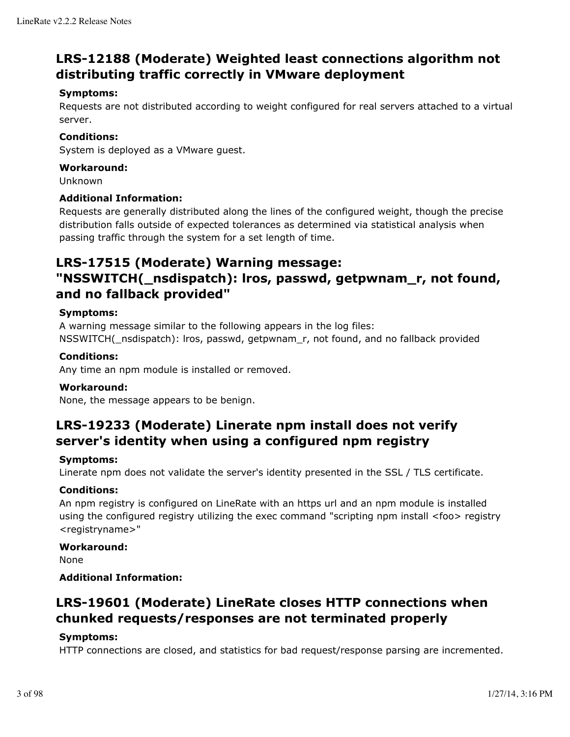## **LRS-12188 (Moderate) Weighted least connections algorithm not distributing traffic correctly in VMware deployment**

## **Symptoms:**

Requests are not distributed according to weight configured for real servers attached to a virtual server.

## **Conditions:**

System is deployed as a VMware guest.

## **Workaround:**

Unknown

## **Additional Information:**

Requests are generally distributed along the lines of the configured weight, though the precise distribution falls outside of expected tolerances as determined via statistical analysis when passing traffic through the system for a set length of time.

## **LRS-17515 (Moderate) Warning message:**

## **"NSSWITCH(\_nsdispatch): lros, passwd, getpwnam\_r, not found, and no fallback provided"**

## **Symptoms:**

A warning message similar to the following appears in the log files: NSSWITCH(\_nsdispatch): lros, passwd, getpwnam\_r, not found, and no fallback provided

## **Conditions:**

Any time an npm module is installed or removed.

## **Workaround:**

None, the message appears to be benign.

## **LRS-19233 (Moderate) Linerate npm install does not verify server's identity when using a configured npm registry**

## **Symptoms:**

Linerate npm does not validate the server's identity presented in the SSL / TLS certificate.

## **Conditions:**

An npm registry is configured on LineRate with an https url and an npm module is installed using the configured registry utilizing the exec command "scripting npm install <foo> registry <registryname>"

## **Workaround:**

None

## **Additional Information:**

## **LRS-19601 (Moderate) LineRate closes HTTP connections when chunked requests/responses are not terminated properly**

## **Symptoms:**

HTTP connections are closed, and statistics for bad request/response parsing are incremented.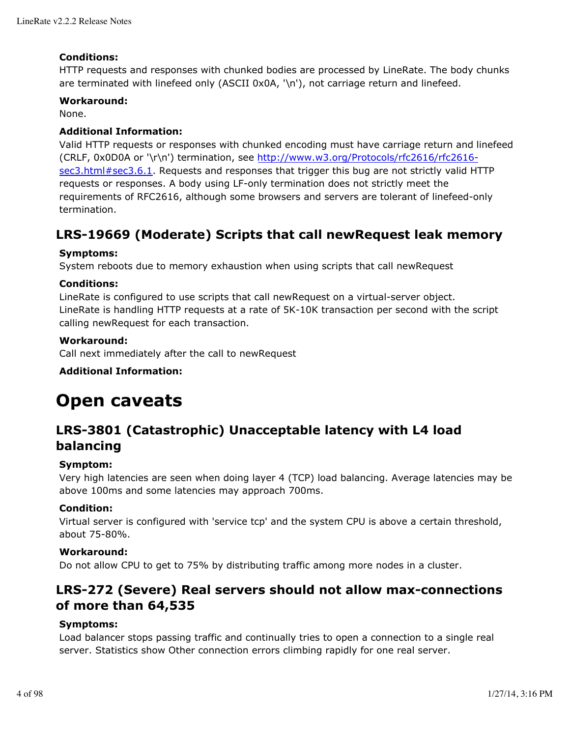## **Conditions:**

HTTP requests and responses with chunked bodies are processed by LineRate. The body chunks are terminated with linefeed only (ASCII 0x0A, '\n'), not carriage return and linefeed.

### **Workaround:**

None.

## **Additional Information:**

Valid HTTP requests or responses with chunked encoding must have carriage return and linefeed (CRLF, 0x0D0A or '\r\n') termination, see http://www.w3.org/Protocols/rfc2616/rfc2616 sec3.html#sec3.6.1. Requests and responses that trigger this bug are not strictly valid HTTP requests or responses. A body using LF-only termination does not strictly meet the requirements of RFC2616, although some browsers and servers are tolerant of linefeed-only termination.

## **LRS-19669 (Moderate) Scripts that call newRequest leak memory**

## **Symptoms:**

System reboots due to memory exhaustion when using scripts that call newRequest

## **Conditions:**

LineRate is configured to use scripts that call newRequest on a virtual-server object. LineRate is handling HTTP requests at a rate of 5K-10K transaction per second with the script calling newRequest for each transaction.

### **Workaround:**

Call next immediately after the call to newRequest

## **Additional Information:**

# **Open caveats**

## **LRS-3801 (Catastrophic) Unacceptable latency with L4 load balancing**

### **Symptom:**

Very high latencies are seen when doing layer 4 (TCP) load balancing. Average latencies may be above 100ms and some latencies may approach 700ms.

### **Condition:**

Virtual server is configured with 'service tcp' and the system CPU is above a certain threshold, about 75-80%.

### **Workaround:**

Do not allow CPU to get to 75% by distributing traffic among more nodes in a cluster.

## **LRS-272 (Severe) Real servers should not allow max-connections of more than 64,535**

### **Symptoms:**

Load balancer stops passing traffic and continually tries to open a connection to a single real server. Statistics show Other connection errors climbing rapidly for one real server.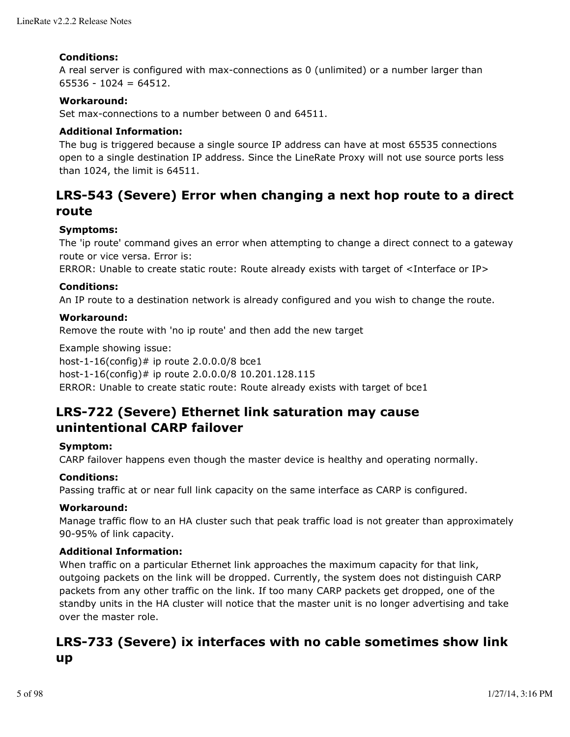### **Conditions:**

A real server is configured with max-connections as 0 (unlimited) or a number larger than  $65536 - 1024 = 64512.$ 

### **Workaround:**

Set max-connections to a number between 0 and 64511.

### **Additional Information:**

The bug is triggered because a single source IP address can have at most 65535 connections open to a single destination IP address. Since the LineRate Proxy will not use source ports less than 1024, the limit is 64511.

## **LRS-543 (Severe) Error when changing a next hop route to a direct route**

## **Symptoms:**

The 'ip route' command gives an error when attempting to change a direct connect to a gateway route or vice versa. Error is:

ERROR: Unable to create static route: Route already exists with target of <Interface or IP>

## **Conditions:**

An IP route to a destination network is already configured and you wish to change the route.

## **Workaround:**

Remove the route with 'no ip route' and then add the new target

Example showing issue: host-1-16(config)# ip route  $2.0.0.0/8$  bce1 host-1-16(config)# ip route 2.0.0.0/8 10.201.128.115 ERROR: Unable to create static route: Route already exists with target of bce1

## **LRS-722 (Severe) Ethernet link saturation may cause unintentional CARP failover**

### **Symptom:**

CARP failover happens even though the master device is healthy and operating normally.

### **Conditions:**

Passing traffic at or near full link capacity on the same interface as CARP is configured.

### **Workaround:**

Manage traffic flow to an HA cluster such that peak traffic load is not greater than approximately 90-95% of link capacity.

### **Additional Information:**

When traffic on a particular Ethernet link approaches the maximum capacity for that link, outgoing packets on the link will be dropped. Currently, the system does not distinguish CARP packets from any other traffic on the link. If too many CARP packets get dropped, one of the standby units in the HA cluster will notice that the master unit is no longer advertising and take over the master role.

## **LRS-733 (Severe) ix interfaces with no cable sometimes show link up**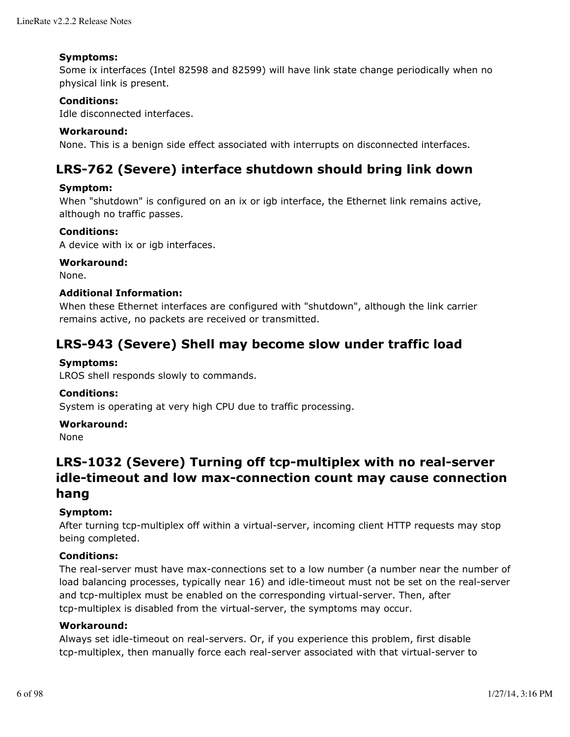### **Symptoms:**

Some ix interfaces (Intel 82598 and 82599) will have link state change periodically when no physical link is present.

## **Conditions:**

Idle disconnected interfaces.

### **Workaround:**

None. This is a benign side effect associated with interrupts on disconnected interfaces.

## **LRS-762 (Severe) interface shutdown should bring link down**

### **Symptom:**

When "shutdown" is configured on an ix or igb interface, the Ethernet link remains active, although no traffic passes.

### **Conditions:**

A device with ix or igb interfaces.

### **Workaround:**

None.

### **Additional Information:**

When these Ethernet interfaces are configured with "shutdown", although the link carrier remains active, no packets are received or transmitted.

## **LRS-943 (Severe) Shell may become slow under traffic load**

## **Symptoms:**

LROS shell responds slowly to commands.

### **Conditions:**

System is operating at very high CPU due to traffic processing.

### **Workaround:**

None

## **LRS-1032 (Severe) Turning off tcp-multiplex with no real-server idle-timeout and low max-connection count may cause connection hang**

### **Symptom:**

After turning tcp-multiplex off within a virtual-server, incoming client HTTP requests may stop being completed.

### **Conditions:**

The real-server must have max-connections set to a low number (a number near the number of load balancing processes, typically near 16) and idle-timeout must not be set on the real-server and tcp-multiplex must be enabled on the corresponding virtual-server. Then, after tcp-multiplex is disabled from the virtual-server, the symptoms may occur.

### **Workaround:**

Always set idle-timeout on real-servers. Or, if you experience this problem, first disable tcp-multiplex, then manually force each real-server associated with that virtual-server to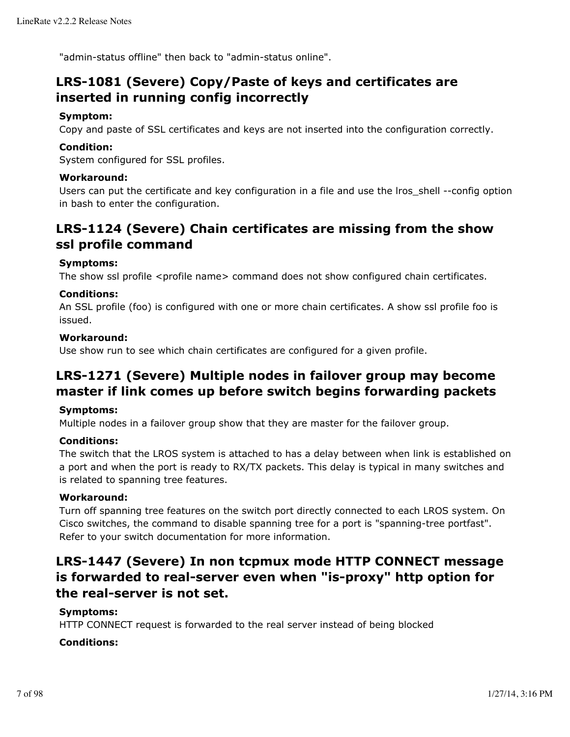"admin-status offline" then back to "admin-status online".

## **LRS-1081 (Severe) Copy/Paste of keys and certificates are inserted in running config incorrectly**

## **Symptom:**

Copy and paste of SSL certificates and keys are not inserted into the configuration correctly.

### **Condition:**

System configured for SSL profiles.

### **Workaround:**

Users can put the certificate and key configuration in a file and use the lros shell --config option in bash to enter the configuration.

## **LRS-1124 (Severe) Chain certificates are missing from the show ssl profile command**

### **Symptoms:**

The show ssl profile <profile name> command does not show configured chain certificates.

### **Conditions:**

An SSL profile (foo) is configured with one or more chain certificates. A show ssl profile foo is issued.

#### **Workaround:**

Use show run to see which chain certificates are configured for a given profile.

## **LRS-1271 (Severe) Multiple nodes in failover group may become master if link comes up before switch begins forwarding packets**

### **Symptoms:**

Multiple nodes in a failover group show that they are master for the failover group.

### **Conditions:**

The switch that the LROS system is attached to has a delay between when link is established on a port and when the port is ready to RX/TX packets. This delay is typical in many switches and is related to spanning tree features.

## **Workaround:**

Turn off spanning tree features on the switch port directly connected to each LROS system. On Cisco switches, the command to disable spanning tree for a port is "spanning-tree portfast". Refer to your switch documentation for more information.

## **LRS-1447 (Severe) In non tcpmux mode HTTP CONNECT message is forwarded to real-server even when "is-proxy" http option for the real-server is not set.**

### **Symptoms:**

HTTP CONNECT request is forwarded to the real server instead of being blocked

### **Conditions:**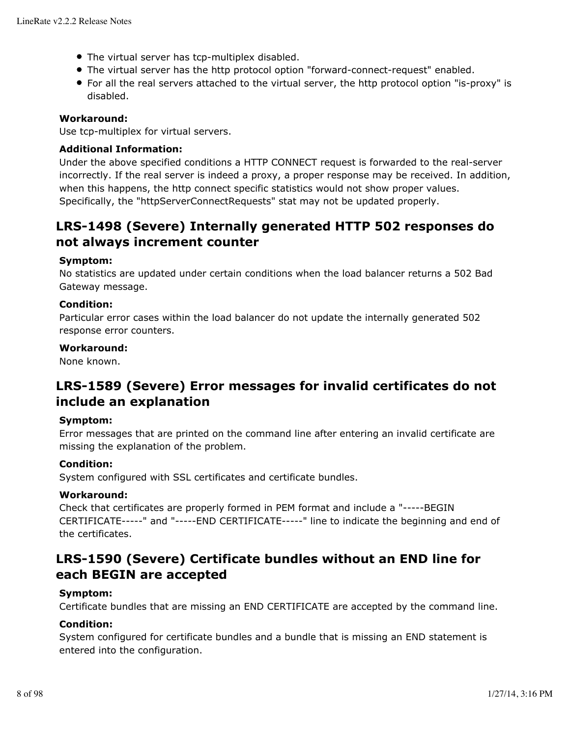- The virtual server has tcp-multiplex disabled.
- The virtual server has the http protocol option "forward-connect-request" enabled.
- For all the real servers attached to the virtual server, the http protocol option "is-proxy" is disabled.

## **Workaround:**

Use tcp-multiplex for virtual servers.

## **Additional Information:**

Under the above specified conditions a HTTP CONNECT request is forwarded to the real-server incorrectly. If the real server is indeed a proxy, a proper response may be received. In addition, when this happens, the http connect specific statistics would not show proper values. Specifically, the "httpServerConnectRequests" stat may not be updated properly.

## **LRS-1498 (Severe) Internally generated HTTP 502 responses do not always increment counter**

## **Symptom:**

No statistics are updated under certain conditions when the load balancer returns a 502 Bad Gateway message.

## **Condition:**

Particular error cases within the load balancer do not update the internally generated 502 response error counters.

## **Workaround:**

None known.

## **LRS-1589 (Severe) Error messages for invalid certificates do not include an explanation**

### **Symptom:**

Error messages that are printed on the command line after entering an invalid certificate are missing the explanation of the problem.

### **Condition:**

System configured with SSL certificates and certificate bundles.

### **Workaround:**

Check that certificates are properly formed in PEM format and include a "-----BEGIN CERTIFICATE-----" and "-----END CERTIFICATE-----" line to indicate the beginning and end of the certificates.

## **LRS-1590 (Severe) Certificate bundles without an END line for each BEGIN are accepted**

### **Symptom:**

Certificate bundles that are missing an END CERTIFICATE are accepted by the command line.

## **Condition:**

System configured for certificate bundles and a bundle that is missing an END statement is entered into the configuration.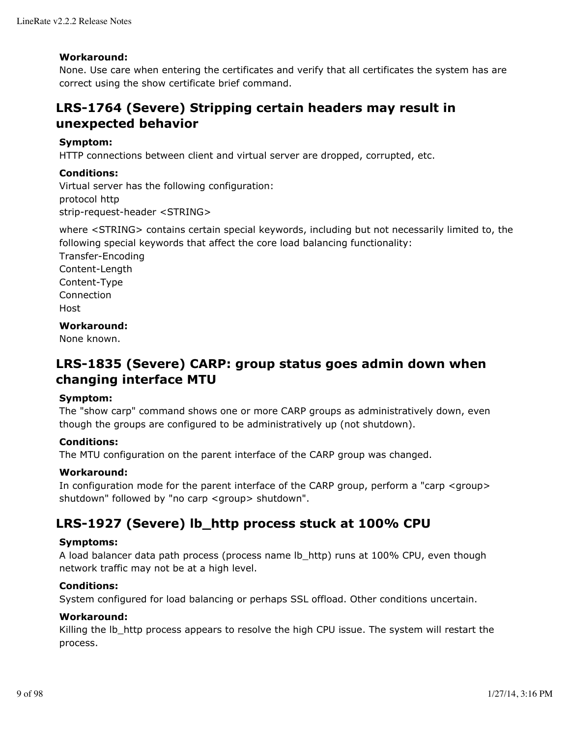### **Workaround:**

None. Use care when entering the certificates and verify that all certificates the system has are correct using the show certificate brief command.

## **LRS-1764 (Severe) Stripping certain headers may result in unexpected behavior**

### **Symptom:**

HTTP connections between client and virtual server are dropped, corrupted, etc.

### **Conditions:**

Virtual server has the following configuration: protocol http strip-request-header <STRING>

where <STRING> contains certain special keywords, including but not necessarily limited to, the following special keywords that affect the core load balancing functionality:

Transfer-Encoding Content-Length Content-Type Connection Host

## **Workaround:**

None known.

## **LRS-1835 (Severe) CARP: group status goes admin down when changing interface MTU**

### **Symptom:**

The "show carp" command shows one or more CARP groups as administratively down, even though the groups are configured to be administratively up (not shutdown).

## **Conditions:**

The MTU configuration on the parent interface of the CARP group was changed.

### **Workaround:**

In configuration mode for the parent interface of the CARP group, perform a "carp <group> shutdown" followed by "no carp <group> shutdown".

## **LRS-1927 (Severe) lb\_http process stuck at 100% CPU**

### **Symptoms:**

A load balancer data path process (process name lb http) runs at 100% CPU, even though network traffic may not be at a high level.

### **Conditions:**

System configured for load balancing or perhaps SSL offload. Other conditions uncertain.

### **Workaround:**

Killing the lb\_http process appears to resolve the high CPU issue. The system will restart the process.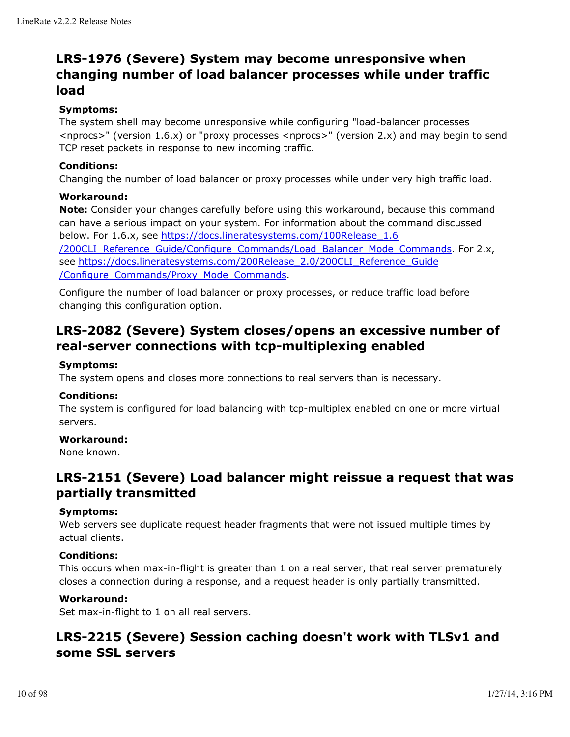## **LRS-1976 (Severe) System may become unresponsive when changing number of load balancer processes while under traffic load**

## **Symptoms:**

The system shell may become unresponsive while configuring "load-balancer processes <nprocs>" (version 1.6.x) or "proxy processes <nprocs>" (version 2.x) and may begin to send TCP reset packets in response to new incoming traffic.

## **Conditions:**

Changing the number of load balancer or proxy processes while under very high traffic load.

## **Workaround:**

**Note:** Consider your changes carefully before using this workaround, because this command can have a serious impact on your system. For information about the command discussed below. For 1.6.x, see https://docs.lineratesystems.com/100Release\_1.6 /200CLI\_Reference\_Guide/Configure\_Commands/Load\_Balancer\_Mode\_Commands. For 2.x, see https://docs.lineratesystems.com/200Release\_2.0/200CLI\_Reference\_Guide /Configure\_Commands/Proxy\_Mode\_Commands.

Configure the number of load balancer or proxy processes, or reduce traffic load before changing this configuration option.

## **LRS-2082 (Severe) System closes/opens an excessive number of real-server connections with tcp-multiplexing enabled**

## **Symptoms:**

The system opens and closes more connections to real servers than is necessary.

### **Conditions:**

The system is configured for load balancing with tcp-multiplex enabled on one or more virtual servers.

## **Workaround:**

None known.

## **LRS-2151 (Severe) Load balancer might reissue a request that was partially transmitted**

## **Symptoms:**

Web servers see duplicate request header fragments that were not issued multiple times by actual clients.

## **Conditions:**

This occurs when max-in-flight is greater than 1 on a real server, that real server prematurely closes a connection during a response, and a request header is only partially transmitted.

## **Workaround:**

Set max-in-flight to 1 on all real servers.

## **LRS-2215 (Severe) Session caching doesn't work with TLSv1 and some SSL servers**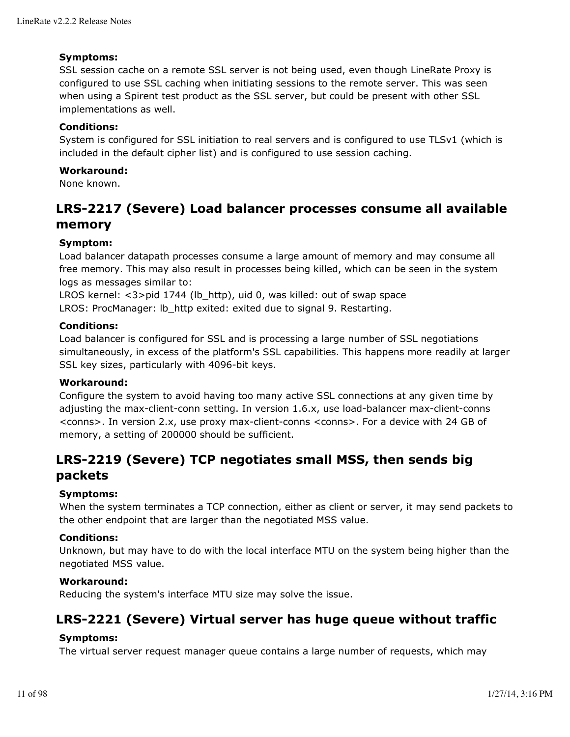### **Symptoms:**

SSL session cache on a remote SSL server is not being used, even though LineRate Proxy is configured to use SSL caching when initiating sessions to the remote server. This was seen when using a Spirent test product as the SSL server, but could be present with other SSL implementations as well.

## **Conditions:**

System is configured for SSL initiation to real servers and is configured to use TLSv1 (which is included in the default cipher list) and is configured to use session caching.

## **Workaround:**

None known.

## **LRS-2217 (Severe) Load balancer processes consume all available memory**

## **Symptom:**

Load balancer datapath processes consume a large amount of memory and may consume all free memory. This may also result in processes being killed, which can be seen in the system logs as messages similar to:

LROS kernel: <3>pid 1744 (lb\_http), uid 0, was killed: out of swap space LROS: ProcManager: lb\_http exited: exited due to signal 9. Restarting.

### **Conditions:**

Load balancer is configured for SSL and is processing a large number of SSL negotiations simultaneously, in excess of the platform's SSL capabilities. This happens more readily at larger SSL key sizes, particularly with 4096-bit keys.

### **Workaround:**

Configure the system to avoid having too many active SSL connections at any given time by adjusting the max-client-conn setting. In version 1.6.x, use load-balancer max-client-conns <conns>. In version 2.x, use proxy max-client-conns <conns>. For a device with 24 GB of memory, a setting of 200000 should be sufficient.

## **LRS-2219 (Severe) TCP negotiates small MSS, then sends big packets**

## **Symptoms:**

When the system terminates a TCP connection, either as client or server, it may send packets to the other endpoint that are larger than the negotiated MSS value.

### **Conditions:**

Unknown, but may have to do with the local interface MTU on the system being higher than the negotiated MSS value.

### **Workaround:**

Reducing the system's interface MTU size may solve the issue.

## **LRS-2221 (Severe) Virtual server has huge queue without traffic**

## **Symptoms:**

The virtual server request manager queue contains a large number of requests, which may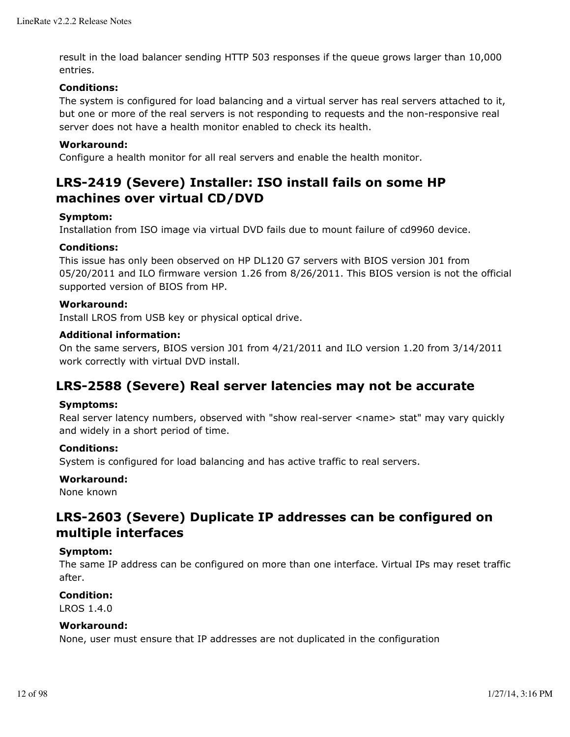result in the load balancer sending HTTP 503 responses if the queue grows larger than 10,000 entries.

## **Conditions:**

The system is configured for load balancing and a virtual server has real servers attached to it, but one or more of the real servers is not responding to requests and the non-responsive real server does not have a health monitor enabled to check its health.

## **Workaround:**

Configure a health monitor for all real servers and enable the health monitor.

## **LRS-2419 (Severe) Installer: ISO install fails on some HP machines over virtual CD/DVD**

### **Symptom:**

Installation from ISO image via virtual DVD fails due to mount failure of cd9960 device.

## **Conditions:**

This issue has only been observed on HP DL120 G7 servers with BIOS version J01 from 05/20/2011 and ILO firmware version 1.26 from 8/26/2011. This BIOS version is not the official supported version of BIOS from HP.

### **Workaround:**

Install LROS from USB key or physical optical drive.

## **Additional information:**

On the same servers, BIOS version J01 from 4/21/2011 and ILO version 1.20 from 3/14/2011 work correctly with virtual DVD install.

## **LRS-2588 (Severe) Real server latencies may not be accurate**

### **Symptoms:**

Real server latency numbers, observed with "show real-server <name> stat" may vary quickly and widely in a short period of time.

### **Conditions:**

System is configured for load balancing and has active traffic to real servers.

### **Workaround:**

None known

## **LRS-2603 (Severe) Duplicate IP addresses can be configured on multiple interfaces**

### **Symptom:**

The same IP address can be configured on more than one interface. Virtual IPs may reset traffic after.

### **Condition:**

LROS 1.4.0

### **Workaround:**

None, user must ensure that IP addresses are not duplicated in the configuration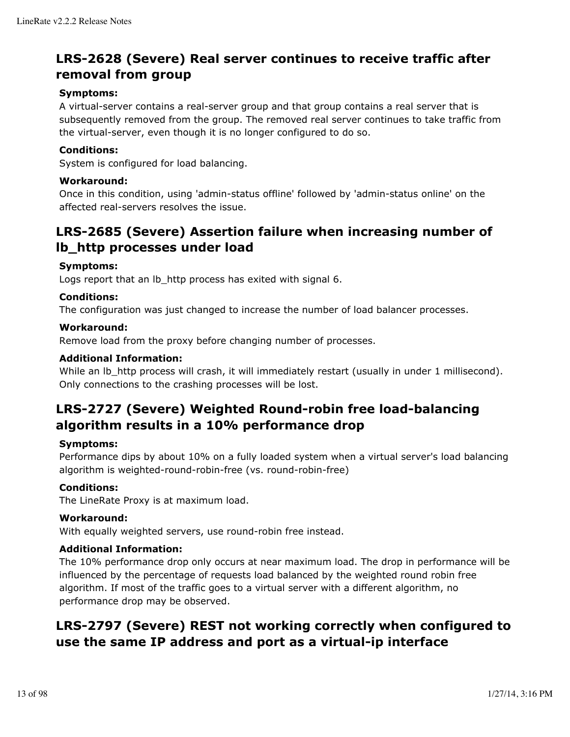## **LRS-2628 (Severe) Real server continues to receive traffic after removal from group**

## **Symptoms:**

A virtual-server contains a real-server group and that group contains a real server that is subsequently removed from the group. The removed real server continues to take traffic from the virtual-server, even though it is no longer configured to do so.

## **Conditions:**

System is configured for load balancing.

### **Workaround:**

Once in this condition, using 'admin-status offline' followed by 'admin-status online' on the affected real-servers resolves the issue.

## **LRS-2685 (Severe) Assertion failure when increasing number of lb\_http processes under load**

### **Symptoms:**

Logs report that an Ib http process has exited with signal 6.

## **Conditions:**

The configuration was just changed to increase the number of load balancer processes.

## **Workaround:**

Remove load from the proxy before changing number of processes.

## **Additional Information:**

While an lb\_http process will crash, it will immediately restart (usually in under 1 millisecond). Only connections to the crashing processes will be lost.

## **LRS-2727 (Severe) Weighted Round-robin free load-balancing algorithm results in a 10% performance drop**

### **Symptoms:**

Performance dips by about 10% on a fully loaded system when a virtual server's load balancing algorithm is weighted-round-robin-free (vs. round-robin-free)

### **Conditions:**

The LineRate Proxy is at maximum load.

### **Workaround:**

With equally weighted servers, use round-robin free instead.

### **Additional Information:**

The 10% performance drop only occurs at near maximum load. The drop in performance will be influenced by the percentage of requests load balanced by the weighted round robin free algorithm. If most of the traffic goes to a virtual server with a different algorithm, no performance drop may be observed.

## **LRS-2797 (Severe) REST not working correctly when configured to use the same IP address and port as a virtual-ip interface**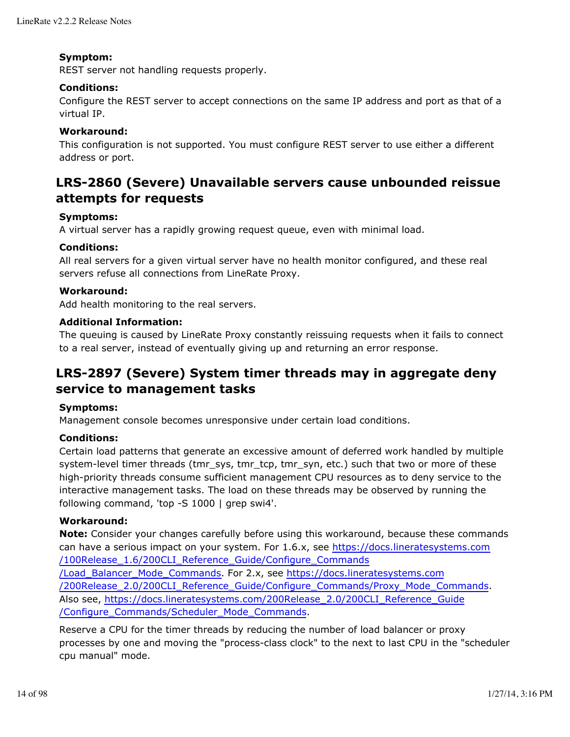### **Symptom:**

REST server not handling requests properly.

### **Conditions:**

Configure the REST server to accept connections on the same IP address and port as that of a virtual IP.

## **Workaround:**

This configuration is not supported. You must configure REST server to use either a different address or port.

## **LRS-2860 (Severe) Unavailable servers cause unbounded reissue attempts for requests**

## **Symptoms:**

A virtual server has a rapidly growing request queue, even with minimal load.

## **Conditions:**

All real servers for a given virtual server have no health monitor configured, and these real servers refuse all connections from LineRate Proxy.

### **Workaround:**

Add health monitoring to the real servers.

### **Additional Information:**

The queuing is caused by LineRate Proxy constantly reissuing requests when it fails to connect to a real server, instead of eventually giving up and returning an error response.

## **LRS-2897 (Severe) System timer threads may in aggregate deny service to management tasks**

### **Symptoms:**

Management console becomes unresponsive under certain load conditions.

### **Conditions:**

Certain load patterns that generate an excessive amount of deferred work handled by multiple system-level timer threads (tmr\_sys, tmr\_tcp, tmr\_syn, etc.) such that two or more of these high-priority threads consume sufficient management CPU resources as to deny service to the interactive management tasks. The load on these threads may be observed by running the following command, 'top -S 1000 | grep swi4'.

### **Workaround:**

**Note:** Consider your changes carefully before using this workaround, because these commands can have a serious impact on your system. For 1.6.x, see https://docs.lineratesystems.com /100Release\_1.6/200CLI\_Reference\_Guide/Configure\_Commands /Load\_Balancer\_Mode\_Commands. For 2.x, see https://docs.lineratesystems.com /200Release\_2.0/200CLI\_Reference\_Guide/Configure\_Commands/Proxy\_Mode\_Commands. Also see, https://docs.lineratesystems.com/200Release\_2.0/200CLI\_Reference\_Guide /Configure\_Commands/Scheduler\_Mode\_Commands.

Reserve a CPU for the timer threads by reducing the number of load balancer or proxy processes by one and moving the "process-class clock" to the next to last CPU in the "scheduler cpu manual" mode.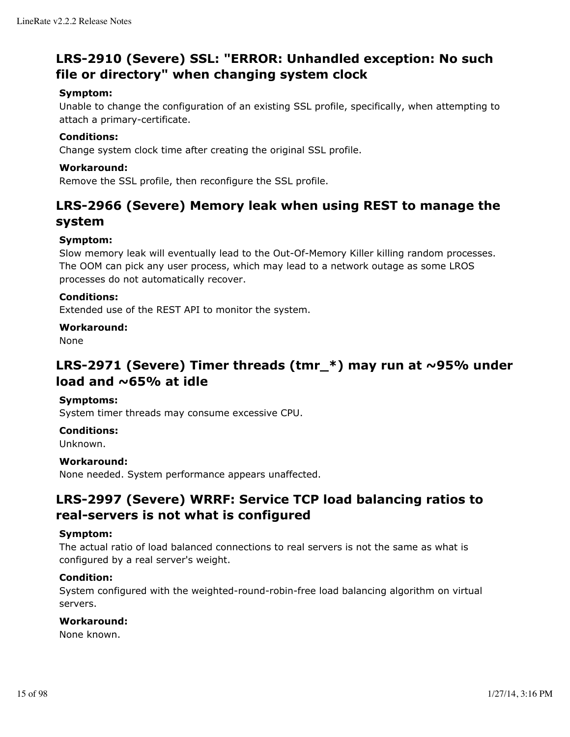## **LRS-2910 (Severe) SSL: "ERROR: Unhandled exception: No such file or directory" when changing system clock**

## **Symptom:**

Unable to change the configuration of an existing SSL profile, specifically, when attempting to attach a primary-certificate.

## **Conditions:**

Change system clock time after creating the original SSL profile.

## **Workaround:**

Remove the SSL profile, then reconfigure the SSL profile.

## **LRS-2966 (Severe) Memory leak when using REST to manage the system**

## **Symptom:**

Slow memory leak will eventually lead to the Out-Of-Memory Killer killing random processes. The OOM can pick any user process, which may lead to a network outage as some LROS processes do not automatically recover.

## **Conditions:**

Extended use of the REST API to monitor the system.

## **Workaround:**

None

## **LRS-2971 (Severe) Timer threads (tmr\_\*) may run at ~95% under load and ~65% at idle**

### **Symptoms:**

System timer threads may consume excessive CPU.

### **Conditions:**

Unknown.

## **Workaround:**

None needed. System performance appears unaffected.

## **LRS-2997 (Severe) WRRF: Service TCP load balancing ratios to real-servers is not what is configured**

### **Symptom:**

The actual ratio of load balanced connections to real servers is not the same as what is configured by a real server's weight.

### **Condition:**

System configured with the weighted-round-robin-free load balancing algorithm on virtual servers.

## **Workaround:**

None known.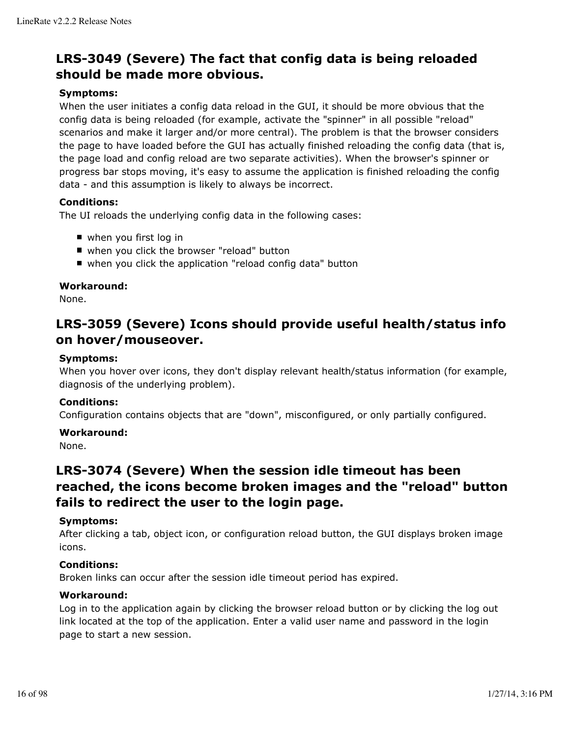## **LRS-3049 (Severe) The fact that config data is being reloaded should be made more obvious.**

## **Symptoms:**

When the user initiates a config data reload in the GUI, it should be more obvious that the config data is being reloaded (for example, activate the "spinner" in all possible "reload" scenarios and make it larger and/or more central). The problem is that the browser considers the page to have loaded before the GUI has actually finished reloading the config data (that is, the page load and config reload are two separate activities). When the browser's spinner or progress bar stops moving, it's easy to assume the application is finished reloading the config data - and this assumption is likely to always be incorrect.

## **Conditions:**

The UI reloads the underlying config data in the following cases:

- when you first log in
- when you click the browser "reload" button
- when you click the application "reload config data" button

## **Workaround:**

None.

## **LRS-3059 (Severe) Icons should provide useful health/status info on hover/mouseover.**

### **Symptoms:**

When you hover over icons, they don't display relevant health/status information (for example, diagnosis of the underlying problem).

### **Conditions:**

Configuration contains objects that are "down", misconfigured, or only partially configured.

### **Workaround:**

None.

## **LRS-3074 (Severe) When the session idle timeout has been reached, the icons become broken images and the "reload" button fails to redirect the user to the login page.**

### **Symptoms:**

After clicking a tab, object icon, or configuration reload button, the GUI displays broken image icons.

## **Conditions:**

Broken links can occur after the session idle timeout period has expired.

### **Workaround:**

Log in to the application again by clicking the browser reload button or by clicking the log out link located at the top of the application. Enter a valid user name and password in the login page to start a new session.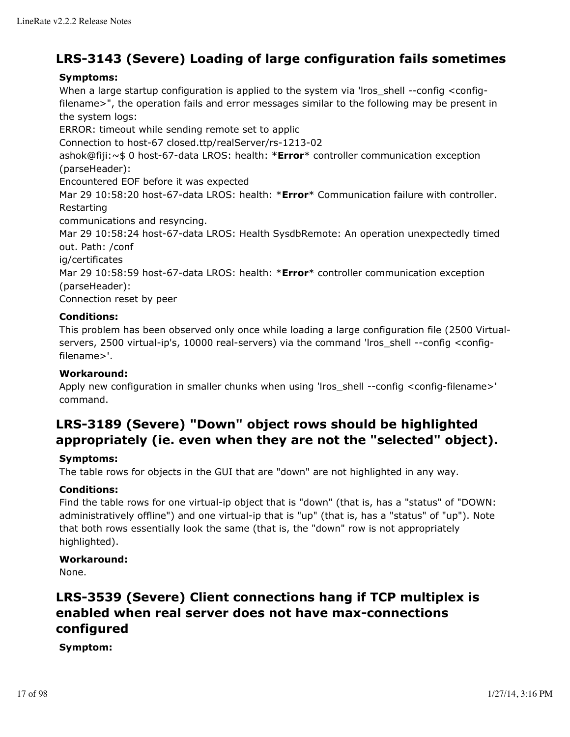## **LRS-3143 (Severe) Loading of large configuration fails sometimes**

## **Symptoms:**

When a large startup configuration is applied to the system via 'lros\_shell --config <configfilename>", the operation fails and error messages similar to the following may be present in the system logs:

ERROR: timeout while sending remote set to applic

Connection to host-67 closed.ttp/realServer/rs-1213-02

ashok@fiji:~\$ 0 host-67-data LROS: health: \***Error**\* controller communication exception (parseHeader):

Encountered EOF before it was expected

Mar 29 10:58:20 host-67-data LROS: health: \***Error**\* Communication failure with controller. Restarting

communications and resyncing.

Mar 29 10:58:24 host-67-data LROS: Health SysdbRemote: An operation unexpectedly timed out. Path: /conf

ig/certificates

Mar 29 10:58:59 host-67-data LROS: health: \***Error**\* controller communication exception (parseHeader):

Connection reset by peer

## **Conditions:**

This problem has been observed only once while loading a large configuration file (2500 Virtualservers, 2500 virtual-ip's, 10000 real-servers) via the command 'lros\_shell --config <configfilename>'.

## **Workaround:**

Apply new configuration in smaller chunks when using 'lros\_shell --config <config-filename>' command.

## **LRS-3189 (Severe) "Down" object rows should be highlighted appropriately (ie. even when they are not the "selected" object).**

## **Symptoms:**

The table rows for objects in the GUI that are "down" are not highlighted in any way.

### **Conditions:**

Find the table rows for one virtual-ip object that is "down" (that is, has a "status" of "DOWN: administratively offline") and one virtual-ip that is "up" (that is, has a "status" of "up"). Note that both rows essentially look the same (that is, the "down" row is not appropriately highlighted).

### **Workaround:**

None.

## **LRS-3539 (Severe) Client connections hang if TCP multiplex is enabled when real server does not have max-connections configured**

## **Symptom:**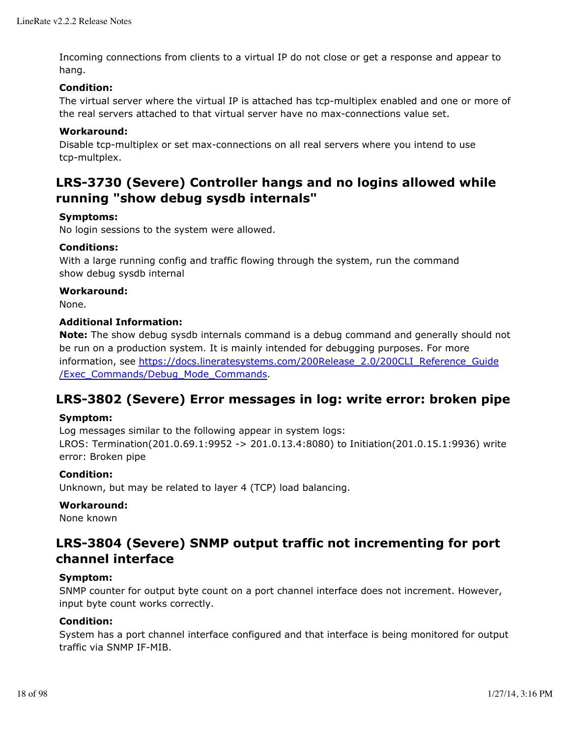Incoming connections from clients to a virtual IP do not close or get a response and appear to hang.

## **Condition:**

The virtual server where the virtual IP is attached has tcp-multiplex enabled and one or more of the real servers attached to that virtual server have no max-connections value set.

## **Workaround:**

Disable tcp-multiplex or set max-connections on all real servers where you intend to use tcp-multplex.

## **LRS-3730 (Severe) Controller hangs and no logins allowed while running "show debug sysdb internals"**

## **Symptoms:**

No login sessions to the system were allowed.

## **Conditions:**

With a large running config and traffic flowing through the system, run the command show debug sysdb internal

### **Workaround:**

None.

## **Additional Information:**

**Note:** The show debug sysdb internals command is a debug command and generally should not be run on a production system. It is mainly intended for debugging purposes. For more information, see https://docs.lineratesystems.com/200Release\_2.0/200CLI\_Reference\_Guide /Exec\_Commands/Debug\_Mode\_Commands.

## **LRS-3802 (Severe) Error messages in log: write error: broken pipe**

### **Symptom:**

Log messages similar to the following appear in system logs:

LROS: Termination(201.0.69.1:9952 -> 201.0.13.4:8080) to Initiation(201.0.15.1:9936) write error: Broken pipe

### **Condition:**

Unknown, but may be related to layer 4 (TCP) load balancing.

### **Workaround:**

None known

## **LRS-3804 (Severe) SNMP output traffic not incrementing for port channel interface**

### **Symptom:**

SNMP counter for output byte count on a port channel interface does not increment. However, input byte count works correctly.

## **Condition:**

System has a port channel interface configured and that interface is being monitored for output traffic via SNMP IF-MIB.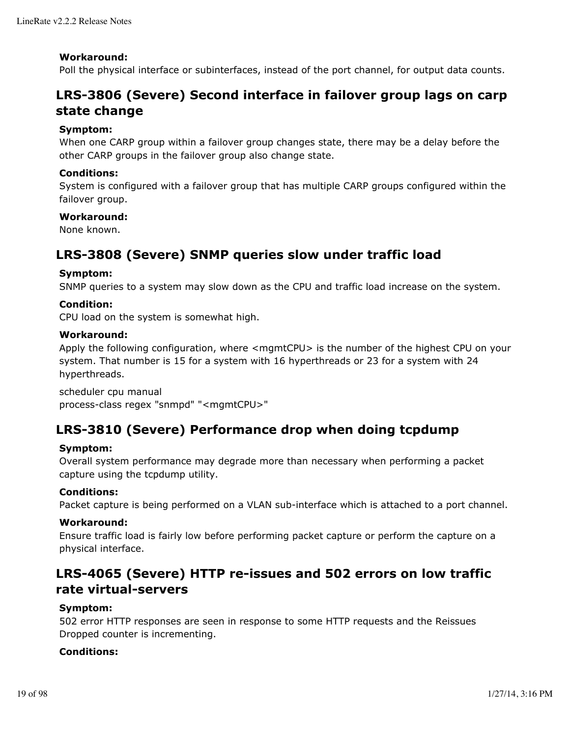### **Workaround:**

Poll the physical interface or subinterfaces, instead of the port channel, for output data counts.

## **LRS-3806 (Severe) Second interface in failover group lags on carp state change**

## **Symptom:**

When one CARP group within a failover group changes state, there may be a delay before the other CARP groups in the failover group also change state.

### **Conditions:**

System is configured with a failover group that has multiple CARP groups configured within the failover group.

## **Workaround:**

None known.

## **LRS-3808 (Severe) SNMP queries slow under traffic load**

## **Symptom:**

SNMP queries to a system may slow down as the CPU and traffic load increase on the system.

## **Condition:**

CPU load on the system is somewhat high.

### **Workaround:**

Apply the following configuration, where <mgmtCPU> is the number of the highest CPU on your system. That number is 15 for a system with 16 hyperthreads or 23 for a system with 24 hyperthreads.

scheduler cpu manual process-class regex "snmpd" "<mgmtCPU>"

## **LRS-3810 (Severe) Performance drop when doing tcpdump**

### **Symptom:**

Overall system performance may degrade more than necessary when performing a packet capture using the tcpdump utility.

### **Conditions:**

Packet capture is being performed on a VLAN sub-interface which is attached to a port channel.

### **Workaround:**

Ensure traffic load is fairly low before performing packet capture or perform the capture on a physical interface.

## **LRS-4065 (Severe) HTTP re-issues and 502 errors on low traffic rate virtual-servers**

## **Symptom:**

502 error HTTP responses are seen in response to some HTTP requests and the Reissues Dropped counter is incrementing.

### **Conditions:**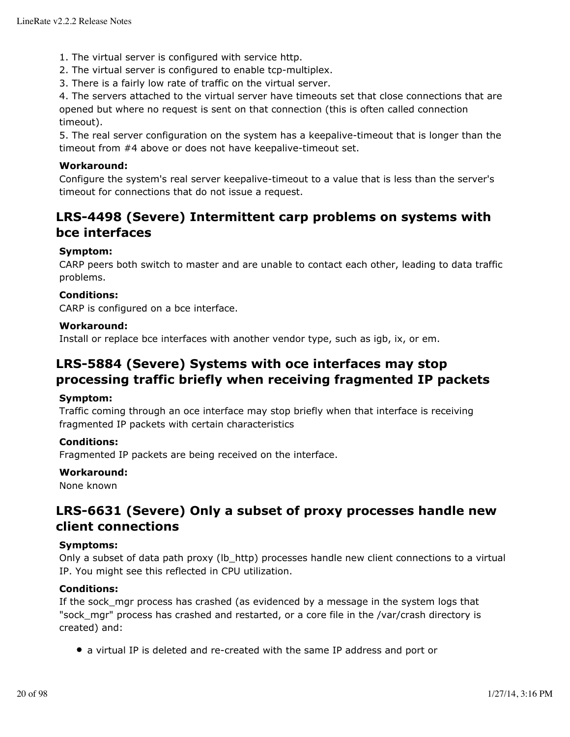- 1. The virtual server is configured with service http.
- 2. The virtual server is configured to enable tcp-multiplex.
- 3. There is a fairly low rate of traffic on the virtual server.

4. The servers attached to the virtual server have timeouts set that close connections that are opened but where no request is sent on that connection (this is often called connection timeout).

5. The real server configuration on the system has a keepalive-timeout that is longer than the timeout from #4 above or does not have keepalive-timeout set.

## **Workaround:**

Configure the system's real server keepalive-timeout to a value that is less than the server's timeout for connections that do not issue a request.

## **LRS-4498 (Severe) Intermittent carp problems on systems with bce interfaces**

## **Symptom:**

CARP peers both switch to master and are unable to contact each other, leading to data traffic problems.

## **Conditions:**

CARP is configured on a bce interface.

### **Workaround:**

Install or replace bce interfaces with another vendor type, such as igb, ix, or em.

## **LRS-5884 (Severe) Systems with oce interfaces may stop processing traffic briefly when receiving fragmented IP packets**

### **Symptom:**

Traffic coming through an oce interface may stop briefly when that interface is receiving fragmented IP packets with certain characteristics

## **Conditions:**

Fragmented IP packets are being received on the interface.

### **Workaround:**

None known

## **LRS-6631 (Severe) Only a subset of proxy processes handle new client connections**

### **Symptoms:**

Only a subset of data path proxy (Ib\_http) processes handle new client connections to a virtual IP. You might see this reflected in CPU utilization.

## **Conditions:**

If the sock mgr process has crashed (as evidenced by a message in the system logs that "sock mgr" process has crashed and restarted, or a core file in the /var/crash directory is created) and:

• a virtual IP is deleted and re-created with the same IP address and port or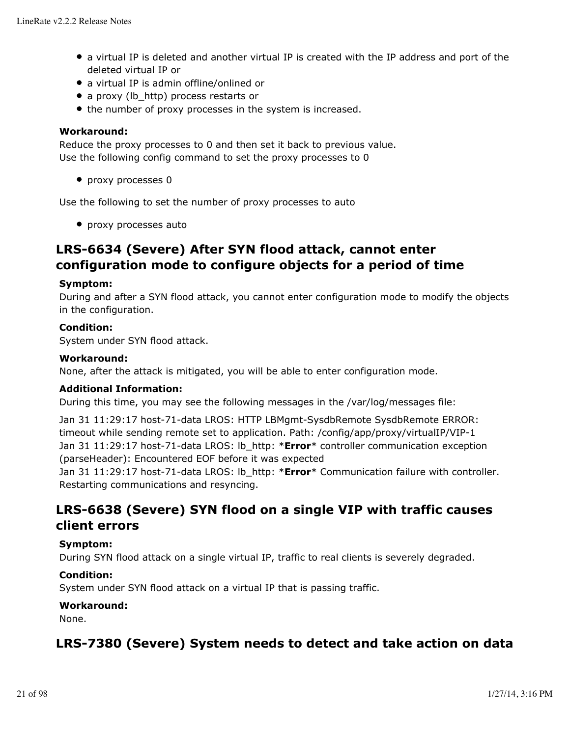- a virtual IP is deleted and another virtual IP is created with the IP address and port of the deleted virtual IP or
- a virtual IP is admin offline/onlined or
- a proxy (lb\_http) process restarts or
- the number of proxy processes in the system is increased.

## **Workaround:**

Reduce the proxy processes to 0 and then set it back to previous value. Use the following config command to set the proxy processes to 0

• proxy processes 0

Use the following to set the number of proxy processes to auto

• proxy processes auto

## **LRS-6634 (Severe) After SYN flood attack, cannot enter configuration mode to configure objects for a period of time**

### **Symptom:**

During and after a SYN flood attack, you cannot enter configuration mode to modify the objects in the configuration.

### **Condition:**

System under SYN flood attack.

#### **Workaround:**

None, after the attack is mitigated, you will be able to enter configuration mode.

### **Additional Information:**

During this time, you may see the following messages in the /var/log/messages file:

Jan 31 11:29:17 host-71-data LROS: HTTP LBMgmt-SysdbRemote SysdbRemote ERROR: timeout while sending remote set to application. Path: /config/app/proxy/virtualIP/VIP-1 Jan 31 11:29:17 host-71-data LROS: lb\_http: \***Error**\* controller communication exception (parseHeader): Encountered EOF before it was expected

Jan 31 11:29:17 host-71-data LROS: lb\_http: \***Error**\* Communication failure with controller. Restarting communications and resyncing.

## **LRS-6638 (Severe) SYN flood on a single VIP with traffic causes client errors**

#### **Symptom:**

During SYN flood attack on a single virtual IP, traffic to real clients is severely degraded.

### **Condition:**

System under SYN flood attack on a virtual IP that is passing traffic.

### **Workaround:**

None.

## **LRS-7380 (Severe) System needs to detect and take action on data**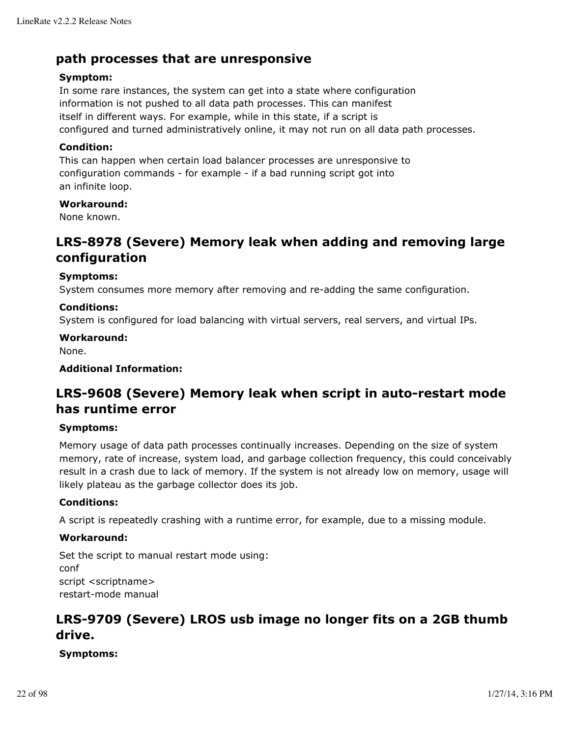## **path processes that are unresponsive**

## **Symptom:**

In some rare instances, the system can get into a state where configuration information is not pushed to all data path processes. This can manifest itself in different ways. For example, while in this state, if a script is configured and turned administratively online, it may not run on all data path processes.

## **Condition:**

This can happen when certain load balancer processes are unresponsive to configuration commands - for example - if a bad running script got into an infinite loop.

## **Workaround:**

None known.

## **LRS-8978 (Severe) Memory leak when adding and removing large configuration**

## **Symptoms:**

System consumes more memory after removing and re-adding the same configuration.

## **Conditions:**

System is configured for load balancing with virtual servers, real servers, and virtual IPs.

### **Workaround:**

None.

## **Additional Information:**

## **LRS-9608 (Severe) Memory leak when script in auto-restart mode has runtime error**

### **Symptoms:**

Memory usage of data path processes continually increases. Depending on the size of system memory, rate of increase, system load, and garbage collection frequency, this could conceivably result in a crash due to lack of memory. If the system is not already low on memory, usage will likely plateau as the garbage collector does its job.

### **Conditions:**

A script is repeatedly crashing with a runtime error, for example, due to a missing module.

## **Workaround:**

Set the script to manual restart mode using: conf script <scriptname> restart-mode manual

## **LRS-9709 (Severe) LROS usb image no longer fits on a 2GB thumb drive.**

**Symptoms:**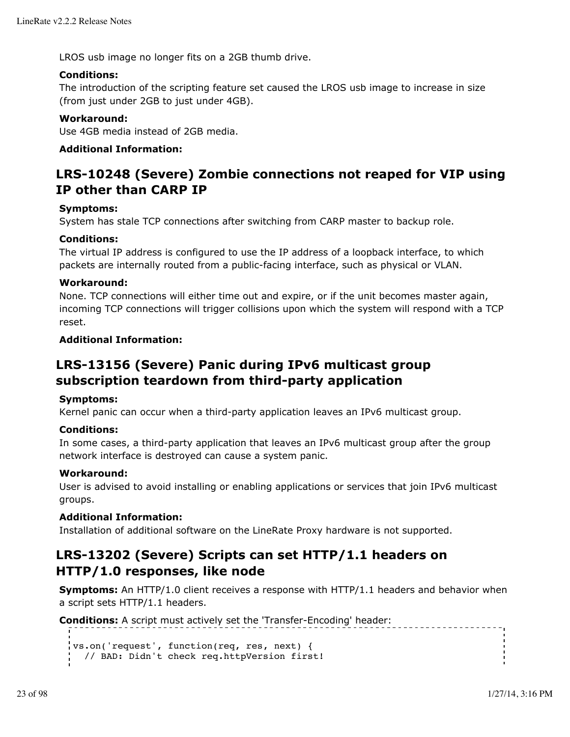LROS usb image no longer fits on a 2GB thumb drive.

## **Conditions:**

The introduction of the scripting feature set caused the LROS usb image to increase in size (from just under 2GB to just under 4GB).

## **Workaround:**

Use 4GB media instead of 2GB media.

## **Additional Information:**

## **LRS-10248 (Severe) Zombie connections not reaped for VIP using IP other than CARP IP**

## **Symptoms:**

System has stale TCP connections after switching from CARP master to backup role.

## **Conditions:**

The virtual IP address is configured to use the IP address of a loopback interface, to which packets are internally routed from a public-facing interface, such as physical or VLAN.

## **Workaround:**

None. TCP connections will either time out and expire, or if the unit becomes master again, incoming TCP connections will trigger collisions upon which the system will respond with a TCP reset.

## **Additional Information:**

## **LRS-13156 (Severe) Panic during IPv6 multicast group subscription teardown from third-party application**

### **Symptoms:**

Kernel panic can occur when a third-party application leaves an IPv6 multicast group.

### **Conditions:**

In some cases, a third-party application that leaves an IPv6 multicast group after the group network interface is destroyed can cause a system panic.

### **Workaround:**

User is advised to avoid installing or enabling applications or services that join IPv6 multicast groups.

### **Additional Information:**

Installation of additional software on the LineRate Proxy hardware is not supported.

## **LRS-13202 (Severe) Scripts can set HTTP/1.1 headers on HTTP/1.0 responses, like node**

**Symptoms:** An HTTP/1.0 client receives a response with HTTP/1.1 headers and behavior when a script sets HTTP/1.1 headers.

```
Conditions: A script must actively set the 'Transfer-Encoding' header:
  vs.on('request', function(req, res, next) {
     // BAD: Didn't check req.httpVersion first!
```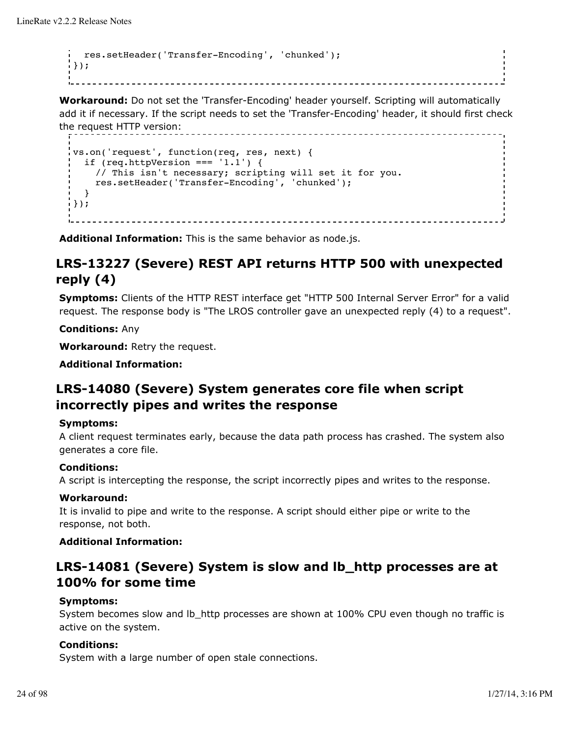```
 res.setHeader('Transfer-Encoding', 'chunked');
});
```
**Workaround:** Do not set the 'Transfer-Encoding' header yourself. Scripting will automatically add it if necessary. If the script needs to set the 'Transfer-Encoding' header, it should first check the request HTTP version: ----------------

```
vs.on('request', function(req, res, next) {
  if (req.httpVersion === '1.1') {
     // This isn't necessary; scripting will set it for you.
     res.setHeader('Transfer-Encoding', 'chunked');
   }
});
                              <u>-----------------</u>
```
**Additional Information:** This is the same behavior as node.js.

## **LRS-13227 (Severe) REST API returns HTTP 500 with unexpected reply (4)**

**Symptoms:** Clients of the HTTP REST interface get "HTTP 500 Internal Server Error" for a valid request. The response body is "The LROS controller gave an unexpected reply (4) to a request".

**Conditions:** Any

**Workaround:** Retry the request.

**Additional Information:**

## **LRS-14080 (Severe) System generates core file when script incorrectly pipes and writes the response**

### **Symptoms:**

A client request terminates early, because the data path process has crashed. The system also generates a core file.

## **Conditions:**

A script is intercepting the response, the script incorrectly pipes and writes to the response.

### **Workaround:**

It is invalid to pipe and write to the response. A script should either pipe or write to the response, not both.

### **Additional Information:**

## **LRS-14081 (Severe) System is slow and lb\_http processes are at 100% for some time**

### **Symptoms:**

System becomes slow and lb\_http processes are shown at 100% CPU even though no traffic is active on the system.

## **Conditions:**

System with a large number of open stale connections.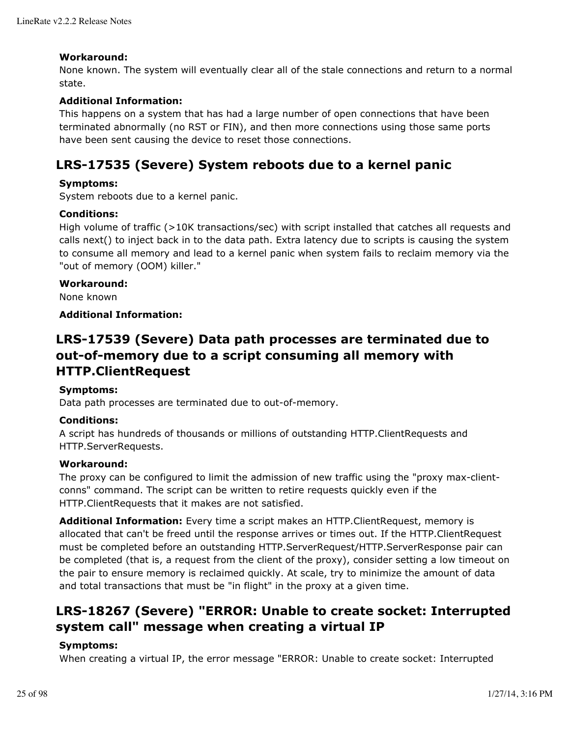## **Workaround:**

None known. The system will eventually clear all of the stale connections and return to a normal state.

## **Additional Information:**

This happens on a system that has had a large number of open connections that have been terminated abnormally (no RST or FIN), and then more connections using those same ports have been sent causing the device to reset those connections.

## **LRS-17535 (Severe) System reboots due to a kernel panic**

### **Symptoms:**

System reboots due to a kernel panic.

### **Conditions:**

High volume of traffic (>10K transactions/sec) with script installed that catches all requests and calls next() to inject back in to the data path. Extra latency due to scripts is causing the system to consume all memory and lead to a kernel panic when system fails to reclaim memory via the "out of memory (OOM) killer."

### **Workaround:**

None known

### **Additional Information:**

## **LRS-17539 (Severe) Data path processes are terminated due to out-of-memory due to a script consuming all memory with HTTP.ClientRequest**

### **Symptoms:**

Data path processes are terminated due to out-of-memory.

### **Conditions:**

A script has hundreds of thousands or millions of outstanding HTTP.ClientRequests and HTTP.ServerRequests.

### **Workaround:**

The proxy can be configured to limit the admission of new traffic using the "proxy max-clientconns" command. The script can be written to retire requests quickly even if the HTTP.ClientRequests that it makes are not satisfied.

**Additional Information:** Every time a script makes an HTTP.ClientRequest, memory is allocated that can't be freed until the response arrives or times out. If the HTTP.ClientRequest must be completed before an outstanding HTTP.ServerRequest/HTTP.ServerResponse pair can be completed (that is, a request from the client of the proxy), consider setting a low timeout on the pair to ensure memory is reclaimed quickly. At scale, try to minimize the amount of data and total transactions that must be "in flight" in the proxy at a given time.

## **LRS-18267 (Severe) "ERROR: Unable to create socket: Interrupted system call" message when creating a virtual IP**

### **Symptoms:**

When creating a virtual IP, the error message "ERROR: Unable to create socket: Interrupted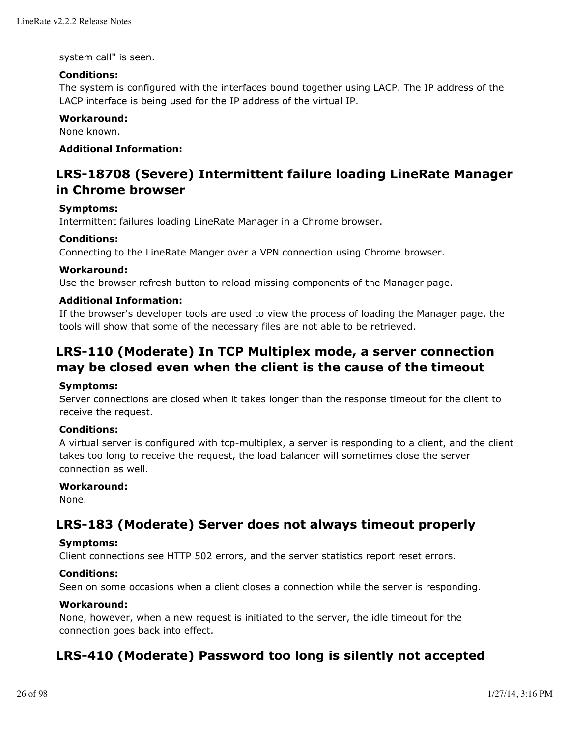system call" is seen.

## **Conditions:**

The system is configured with the interfaces bound together using LACP. The IP address of the LACP interface is being used for the IP address of the virtual IP.

## **Workaround:**

None known.

### **Additional Information:**

## **LRS-18708 (Severe) Intermittent failure loading LineRate Manager in Chrome browser**

### **Symptoms:**

Intermittent failures loading LineRate Manager in a Chrome browser.

## **Conditions:**

Connecting to the LineRate Manger over a VPN connection using Chrome browser.

### **Workaround:**

Use the browser refresh button to reload missing components of the Manager page.

## **Additional Information:**

If the browser's developer tools are used to view the process of loading the Manager page, the tools will show that some of the necessary files are not able to be retrieved.

## **LRS-110 (Moderate) In TCP Multiplex mode, a server connection may be closed even when the client is the cause of the timeout**

### **Symptoms:**

Server connections are closed when it takes longer than the response timeout for the client to receive the request.

## **Conditions:**

A virtual server is configured with tcp-multiplex, a server is responding to a client, and the client takes too long to receive the request, the load balancer will sometimes close the server connection as well.

### **Workaround:**

None.

## **LRS-183 (Moderate) Server does not always timeout properly**

### **Symptoms:**

Client connections see HTTP 502 errors, and the server statistics report reset errors.

### **Conditions:**

Seen on some occasions when a client closes a connection while the server is responding.

## **Workaround:**

None, however, when a new request is initiated to the server, the idle timeout for the connection goes back into effect.

## **LRS-410 (Moderate) Password too long is silently not accepted**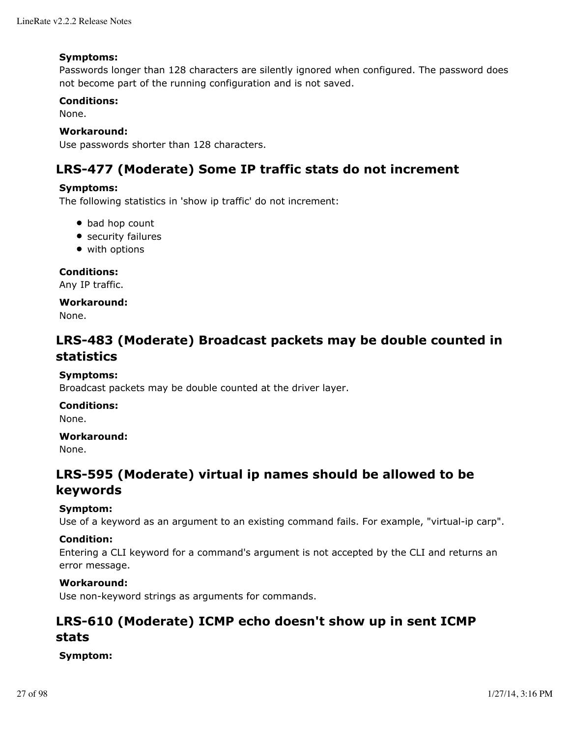### **Symptoms:**

Passwords longer than 128 characters are silently ignored when configured. The password does not become part of the running configuration and is not saved.

## **Conditions:**

None.

### **Workaround:**

Use passwords shorter than 128 characters.

## **LRS-477 (Moderate) Some IP traffic stats do not increment**

### **Symptoms:**

The following statistics in 'show ip traffic' do not increment:

- bad hop count
- security failures
- with options

**Conditions:**

Any IP traffic.

## **Workaround:**

None.

## **LRS-483 (Moderate) Broadcast packets may be double counted in statistics**

## **Symptoms:**

Broadcast packets may be double counted at the driver layer.

### **Conditions:**

None.

### **Workaround:**

None.

## **LRS-595 (Moderate) virtual ip names should be allowed to be keywords**

### **Symptom:**

Use of a keyword as an argument to an existing command fails. For example, "virtual-ip carp".

### **Condition:**

Entering a CLI keyword for a command's argument is not accepted by the CLI and returns an error message.

## **Workaround:**

Use non-keyword strings as arguments for commands.

## **LRS-610 (Moderate) ICMP echo doesn't show up in sent ICMP stats**

## **Symptom:**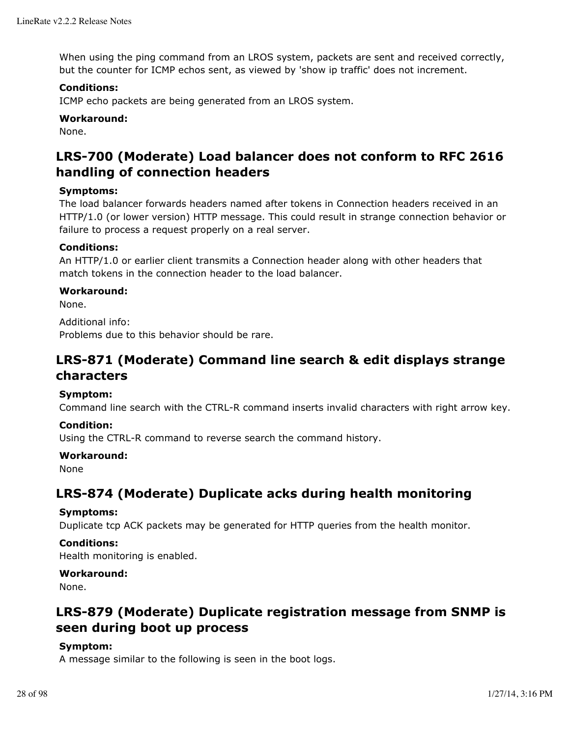When using the ping command from an LROS system, packets are sent and received correctly, but the counter for ICMP echos sent, as viewed by 'show ip traffic' does not increment.

## **Conditions:**

ICMP echo packets are being generated from an LROS system.

### **Workaround:**

None.

## **LRS-700 (Moderate) Load balancer does not conform to RFC 2616 handling of connection headers**

## **Symptoms:**

The load balancer forwards headers named after tokens in Connection headers received in an HTTP/1.0 (or lower version) HTTP message. This could result in strange connection behavior or failure to process a request properly on a real server.

## **Conditions:**

An HTTP/1.0 or earlier client transmits a Connection header along with other headers that match tokens in the connection header to the load balancer.

## **Workaround:**

None.

Additional info: Problems due to this behavior should be rare.

## **LRS-871 (Moderate) Command line search & edit displays strange characters**

### **Symptom:**

Command line search with the CTRL-R command inserts invalid characters with right arrow key.

## **Condition:**

Using the CTRL-R command to reverse search the command history.

### **Workaround:**

None

## **LRS-874 (Moderate) Duplicate acks during health monitoring**

### **Symptoms:**

Duplicate tcp ACK packets may be generated for HTTP queries from the health monitor.

### **Conditions:**

Health monitoring is enabled.

### **Workaround:**

None.

## **LRS-879 (Moderate) Duplicate registration message from SNMP is seen during boot up process**

## **Symptom:**

A message similar to the following is seen in the boot logs.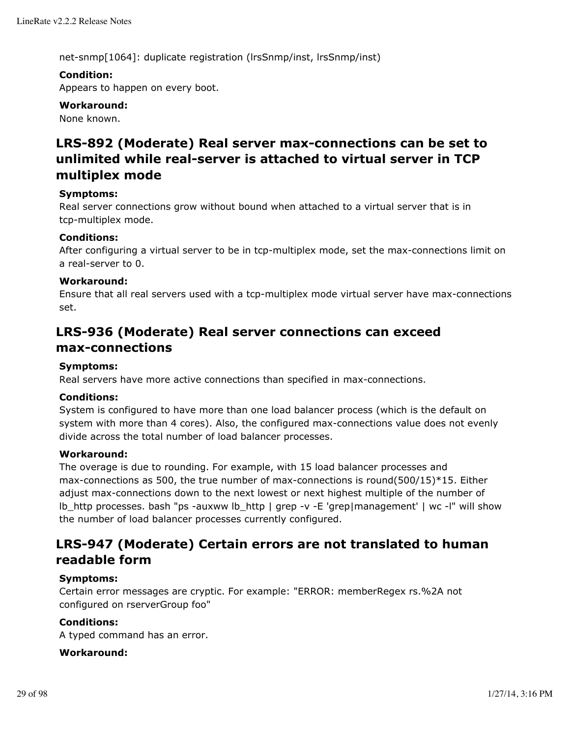net-snmp[1064]: duplicate registration (lrsSnmp/inst, lrsSnmp/inst)

## **Condition:**

Appears to happen on every boot.

**Workaround:**

None known.

## **LRS-892 (Moderate) Real server max-connections can be set to unlimited while real-server is attached to virtual server in TCP multiplex mode**

## **Symptoms:**

Real server connections grow without bound when attached to a virtual server that is in tcp-multiplex mode.

## **Conditions:**

After configuring a virtual server to be in tcp-multiplex mode, set the max-connections limit on a real-server to 0.

## **Workaround:**

Ensure that all real servers used with a tcp-multiplex mode virtual server have max-connections set.

## **LRS-936 (Moderate) Real server connections can exceed max-connections**

## **Symptoms:**

Real servers have more active connections than specified in max-connections.

### **Conditions:**

System is configured to have more than one load balancer process (which is the default on system with more than 4 cores). Also, the configured max-connections value does not evenly divide across the total number of load balancer processes.

### **Workaround:**

The overage is due to rounding. For example, with 15 load balancer processes and max-connections as 500, the true number of max-connections is round(500/15)\*15. Either adjust max-connections down to the next lowest or next highest multiple of the number of lb\_http processes. bash "ps -auxww lb\_http | grep -v -E 'grep|management' | wc -l" will show the number of load balancer processes currently configured.

## **LRS-947 (Moderate) Certain errors are not translated to human readable form**

### **Symptoms:**

Certain error messages are cryptic. For example: "ERROR: memberRegex rs.%2A not configured on rserverGroup foo"

## **Conditions:**

A typed command has an error.

### **Workaround:**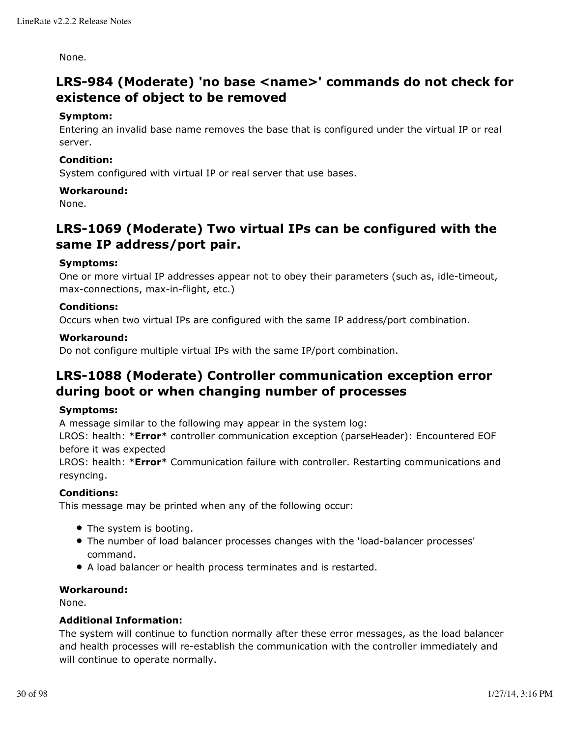None.

## **LRS-984 (Moderate) 'no base <name>' commands do not check for existence of object to be removed**

## **Symptom:**

Entering an invalid base name removes the base that is configured under the virtual IP or real server.

## **Condition:**

System configured with virtual IP or real server that use bases.

### **Workaround:**

None.

## **LRS-1069 (Moderate) Two virtual IPs can be configured with the same IP address/port pair.**

## **Symptoms:**

One or more virtual IP addresses appear not to obey their parameters (such as, idle-timeout, max-connections, max-in-flight, etc.)

## **Conditions:**

Occurs when two virtual IPs are configured with the same IP address/port combination.

### **Workaround:**

Do not configure multiple virtual IPs with the same IP/port combination.

## **LRS-1088 (Moderate) Controller communication exception error during boot or when changing number of processes**

### **Symptoms:**

A message similar to the following may appear in the system log:

LROS: health: \***Error**\* controller communication exception (parseHeader): Encountered EOF before it was expected

LROS: health: \***Error**\* Communication failure with controller. Restarting communications and resyncing.

### **Conditions:**

This message may be printed when any of the following occur:

- The system is booting.
- The number of load balancer processes changes with the 'load-balancer processes' command.
- A load balancer or health process terminates and is restarted.

### **Workaround:**

None.

## **Additional Information:**

The system will continue to function normally after these error messages, as the load balancer and health processes will re-establish the communication with the controller immediately and will continue to operate normally.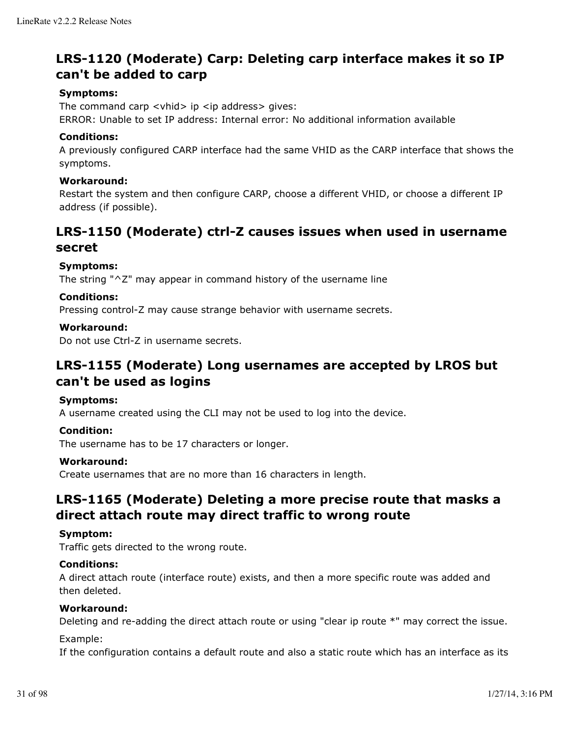## **LRS-1120 (Moderate) Carp: Deleting carp interface makes it so IP can't be added to carp**

## **Symptoms:**

The command carp  $\langle$  vhid $\rangle$  ip  $\langle$  ip address $\rangle$  gives:

ERROR: Unable to set IP address: Internal error: No additional information available

### **Conditions:**

A previously configured CARP interface had the same VHID as the CARP interface that shows the symptoms.

### **Workaround:**

Restart the system and then configure CARP, choose a different VHID, or choose a different IP address (if possible).

## **LRS-1150 (Moderate) ctrl-Z causes issues when used in username secret**

## **Symptoms:**

The string "^Z" may appear in command history of the username line

## **Conditions:**

Pressing control-Z may cause strange behavior with username secrets.

### **Workaround:**

Do not use Ctrl-Z in username secrets.

## **LRS-1155 (Moderate) Long usernames are accepted by LROS but can't be used as logins**

### **Symptoms:**

A username created using the CLI may not be used to log into the device.

### **Condition:**

The username has to be 17 characters or longer.

### **Workaround:**

Create usernames that are no more than 16 characters in length.

## **LRS-1165 (Moderate) Deleting a more precise route that masks a direct attach route may direct traffic to wrong route**

### **Symptom:**

Traffic gets directed to the wrong route.

### **Conditions:**

A direct attach route (interface route) exists, and then a more specific route was added and then deleted.

### **Workaround:**

Deleting and re-adding the direct attach route or using "clear ip route \*" may correct the issue.

### Example:

If the configuration contains a default route and also a static route which has an interface as its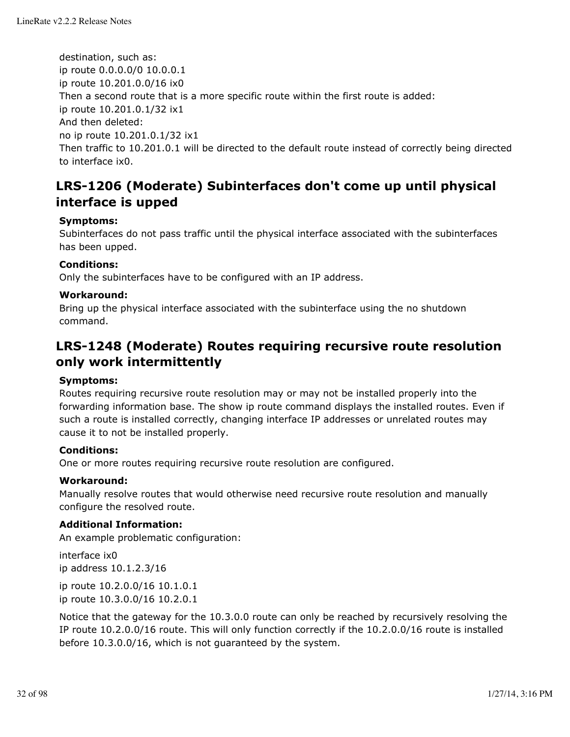destination, such as: ip route 0.0.0.0/0 10.0.0.1 ip route 10.201.0.0/16 ix0 Then a second route that is a more specific route within the first route is added: ip route 10.201.0.1/32 ix1 And then deleted: no ip route 10.201.0.1/32 ix1 Then traffic to 10.201.0.1 will be directed to the default route instead of correctly being directed to interface ix0.

## **LRS-1206 (Moderate) Subinterfaces don't come up until physical interface is upped**

## **Symptoms:**

Subinterfaces do not pass traffic until the physical interface associated with the subinterfaces has been upped.

### **Conditions:**

Only the subinterfaces have to be configured with an IP address.

### **Workaround:**

Bring up the physical interface associated with the subinterface using the no shutdown command.

## **LRS-1248 (Moderate) Routes requiring recursive route resolution only work intermittently**

### **Symptoms:**

Routes requiring recursive route resolution may or may not be installed properly into the forwarding information base. The show ip route command displays the installed routes. Even if such a route is installed correctly, changing interface IP addresses or unrelated routes may cause it to not be installed properly.

### **Conditions:**

One or more routes requiring recursive route resolution are configured.

### **Workaround:**

Manually resolve routes that would otherwise need recursive route resolution and manually configure the resolved route.

## **Additional Information:**

An example problematic configuration:

interface ix0 ip address 10.1.2.3/16

ip route 10.2.0.0/16 10.1.0.1 ip route 10.3.0.0/16 10.2.0.1

Notice that the gateway for the 10.3.0.0 route can only be reached by recursively resolving the IP route 10.2.0.0/16 route. This will only function correctly if the 10.2.0.0/16 route is installed before 10.3.0.0/16, which is not guaranteed by the system.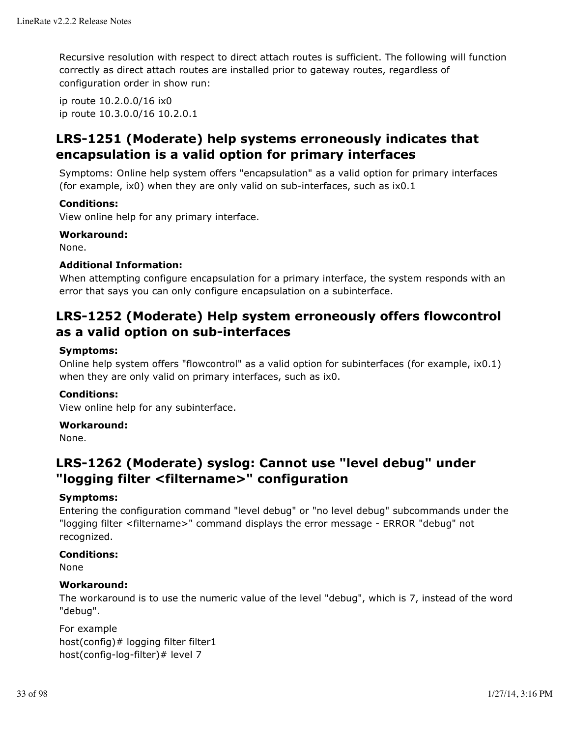Recursive resolution with respect to direct attach routes is sufficient. The following will function correctly as direct attach routes are installed prior to gateway routes, regardless of configuration order in show run:

ip route 10.2.0.0/16 ix0 ip route 10.3.0.0/16 10.2.0.1

## **LRS-1251 (Moderate) help systems erroneously indicates that encapsulation is a valid option for primary interfaces**

Symptoms: Online help system offers "encapsulation" as a valid option for primary interfaces (for example, ix0) when they are only valid on sub-interfaces, such as ix0.1

## **Conditions:**

View online help for any primary interface.

## **Workaround:**

None.

## **Additional Information:**

When attempting configure encapsulation for a primary interface, the system responds with an error that says you can only configure encapsulation on a subinterface.

## **LRS-1252 (Moderate) Help system erroneously offers flowcontrol as a valid option on sub-interfaces**

## **Symptoms:**

Online help system offers "flowcontrol" as a valid option for subinterfaces (for example, ix0.1) when they are only valid on primary interfaces, such as ix0.

## **Conditions:**

View online help for any subinterface.

### **Workaround:**

None.

## **LRS-1262 (Moderate) syslog: Cannot use "level debug" under "logging filter <filtername>" configuration**

### **Symptoms:**

Entering the configuration command "level debug" or "no level debug" subcommands under the "logging filter <filtername>" command displays the error message - ERROR "debug" not recognized.

### **Conditions:**

None

### **Workaround:**

The workaround is to use the numeric value of the level "debug", which is 7, instead of the word "debug".

For example host(config)# logging filter filter1 host(config-log-filter)# level 7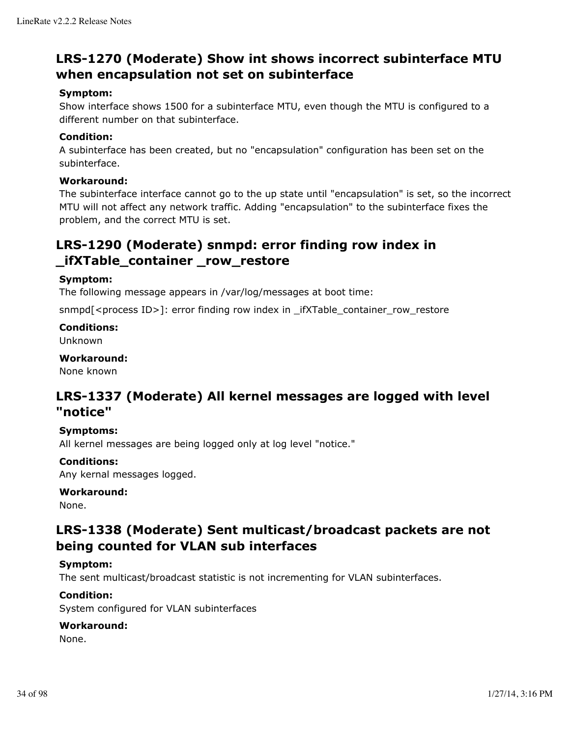## **LRS-1270 (Moderate) Show int shows incorrect subinterface MTU when encapsulation not set on subinterface**

## **Symptom:**

Show interface shows 1500 for a subinterface MTU, even though the MTU is configured to a different number on that subinterface.

## **Condition:**

A subinterface has been created, but no "encapsulation" configuration has been set on the subinterface.

## **Workaround:**

The subinterface interface cannot go to the up state until "encapsulation" is set, so the incorrect MTU will not affect any network traffic. Adding "encapsulation" to the subinterface fixes the problem, and the correct MTU is set.

## **LRS-1290 (Moderate) snmpd: error finding row index in \_ifXTable\_container \_row\_restore**

## **Symptom:**

The following message appears in /var/log/messages at boot time:

snmpd $\zeta$  = process ID>]: error finding row index in \_ifXTable\_container\_row\_restore

## **Conditions:**

Unknown

## **Workaround:**

None known

## **LRS-1337 (Moderate) All kernel messages are logged with level "notice"**

## **Symptoms:**

All kernel messages are being logged only at log level "notice."

## **Conditions:**

Any kernal messages logged.

## **Workaround:**

None.

## **LRS-1338 (Moderate) Sent multicast/broadcast packets are not being counted for VLAN sub interfaces**

## **Symptom:**

The sent multicast/broadcast statistic is not incrementing for VLAN subinterfaces.

## **Condition:**

System configured for VLAN subinterfaces

### **Workaround:**

None.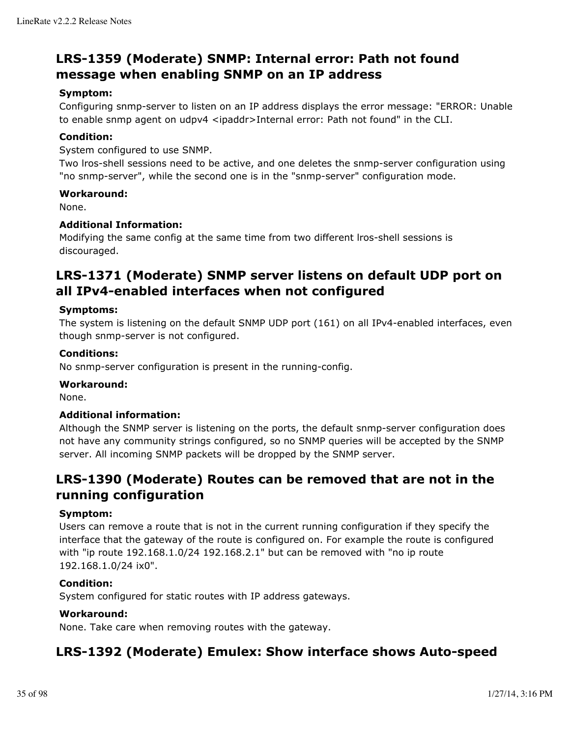## **LRS-1359 (Moderate) SNMP: Internal error: Path not found message when enabling SNMP on an IP address**

## **Symptom:**

Configuring snmp-server to listen on an IP address displays the error message: "ERROR: Unable to enable snmp agent on udpv4 <ipaddr>Internal error: Path not found" in the CLI.

## **Condition:**

System configured to use SNMP.

Two lros-shell sessions need to be active, and one deletes the snmp-server configuration using "no snmp-server", while the second one is in the "snmp-server" configuration mode.

## **Workaround:**

None.

## **Additional Information:**

Modifying the same config at the same time from two different lros-shell sessions is discouraged.

## **LRS-1371 (Moderate) SNMP server listens on default UDP port on all IPv4-enabled interfaces when not configured**

## **Symptoms:**

The system is listening on the default SNMP UDP port (161) on all IPv4-enabled interfaces, even though snmp-server is not configured.

### **Conditions:**

No snmp-server configuration is present in the running-config.

### **Workaround:**

None.

## **Additional information:**

Although the SNMP server is listening on the ports, the default snmp-server configuration does not have any community strings configured, so no SNMP queries will be accepted by the SNMP server. All incoming SNMP packets will be dropped by the SNMP server.

## **LRS-1390 (Moderate) Routes can be removed that are not in the running configuration**

### **Symptom:**

Users can remove a route that is not in the current running configuration if they specify the interface that the gateway of the route is configured on. For example the route is configured with "ip route 192.168.1.0/24 192.168.2.1" but can be removed with "no ip route 192.168.1.0/24 ix0".

### **Condition:**

System configured for static routes with IP address gateways.

## **Workaround:**

None. Take care when removing routes with the gateway.

## **LRS-1392 (Moderate) Emulex: Show interface shows Auto-speed**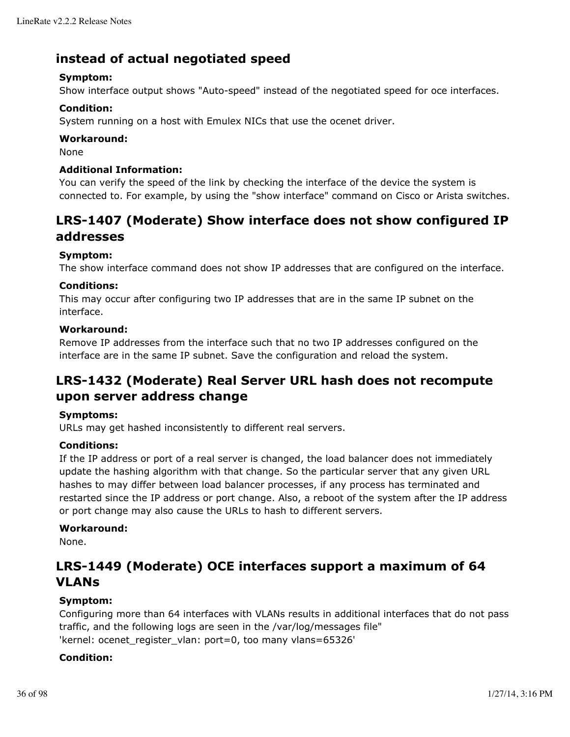## **instead of actual negotiated speed**

## **Symptom:**

Show interface output shows "Auto-speed" instead of the negotiated speed for oce interfaces.

## **Condition:**

System running on a host with Emulex NICs that use the ocenet driver.

## **Workaround:**

None

## **Additional Information:**

You can verify the speed of the link by checking the interface of the device the system is connected to. For example, by using the "show interface" command on Cisco or Arista switches.

## **LRS-1407 (Moderate) Show interface does not show configured IP addresses**

## **Symptom:**

The show interface command does not show IP addresses that are configured on the interface.

## **Conditions:**

This may occur after configuring two IP addresses that are in the same IP subnet on the interface.

## **Workaround:**

Remove IP addresses from the interface such that no two IP addresses configured on the interface are in the same IP subnet. Save the configuration and reload the system.

## **LRS-1432 (Moderate) Real Server URL hash does not recompute upon server address change**

### **Symptoms:**

URLs may get hashed inconsistently to different real servers.

### **Conditions:**

If the IP address or port of a real server is changed, the load balancer does not immediately update the hashing algorithm with that change. So the particular server that any given URL hashes to may differ between load balancer processes, if any process has terminated and restarted since the IP address or port change. Also, a reboot of the system after the IP address or port change may also cause the URLs to hash to different servers.

### **Workaround:**

None.

## **LRS-1449 (Moderate) OCE interfaces support a maximum of 64 VLANs**

## **Symptom:**

Configuring more than 64 interfaces with VLANs results in additional interfaces that do not pass traffic, and the following logs are seen in the /var/log/messages file" 'kernel: ocenet\_register\_vlan: port=0, too many vlans=65326'

## **Condition:**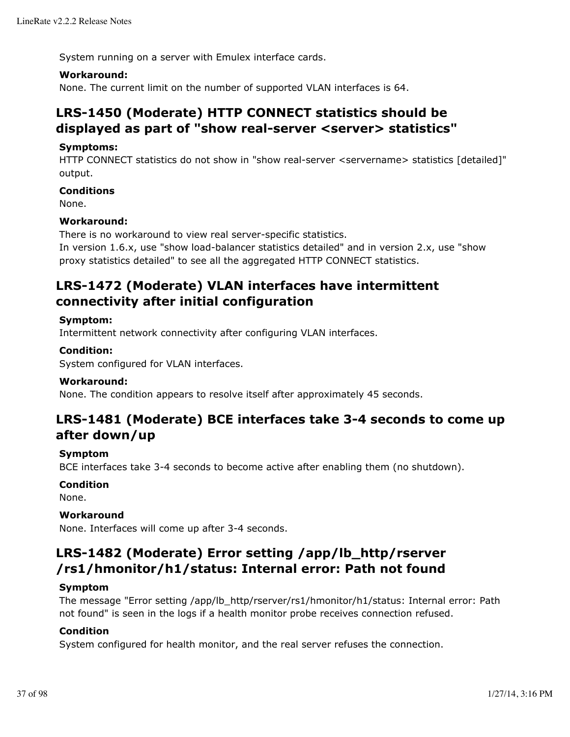System running on a server with Emulex interface cards.

### **Workaround:**

None. The current limit on the number of supported VLAN interfaces is 64.

## **LRS-1450 (Moderate) HTTP CONNECT statistics should be displayed as part of "show real-server <server> statistics"**

### **Symptoms:**

HTTP CONNECT statistics do not show in "show real-server <servername> statistics [detailed]" output.

### **Conditions**

None.

## **Workaround:**

There is no workaround to view real server-specific statistics.

In version 1.6.x, use "show load-balancer statistics detailed" and in version 2.x, use "show proxy statistics detailed" to see all the aggregated HTTP CONNECT statistics.

# **LRS-1472 (Moderate) VLAN interfaces have intermittent connectivity after initial configuration**

### **Symptom:**

Intermittent network connectivity after configuring VLAN interfaces.

## **Condition:**

System configured for VLAN interfaces.

#### **Workaround:**

None. The condition appears to resolve itself after approximately 45 seconds.

# **LRS-1481 (Moderate) BCE interfaces take 3-4 seconds to come up after down/up**

#### **Symptom**

BCE interfaces take 3-4 seconds to become active after enabling them (no shutdown).

#### **Condition**

None.

#### **Workaround**

None. Interfaces will come up after 3-4 seconds.

# **LRS-1482 (Moderate) Error setting /app/lb\_http/rserver /rs1/hmonitor/h1/status: Internal error: Path not found**

## **Symptom**

The message "Error setting /app/lb\_http/rserver/rs1/hmonitor/h1/status: Internal error: Path not found" is seen in the logs if a health monitor probe receives connection refused.

## **Condition**

System configured for health monitor, and the real server refuses the connection.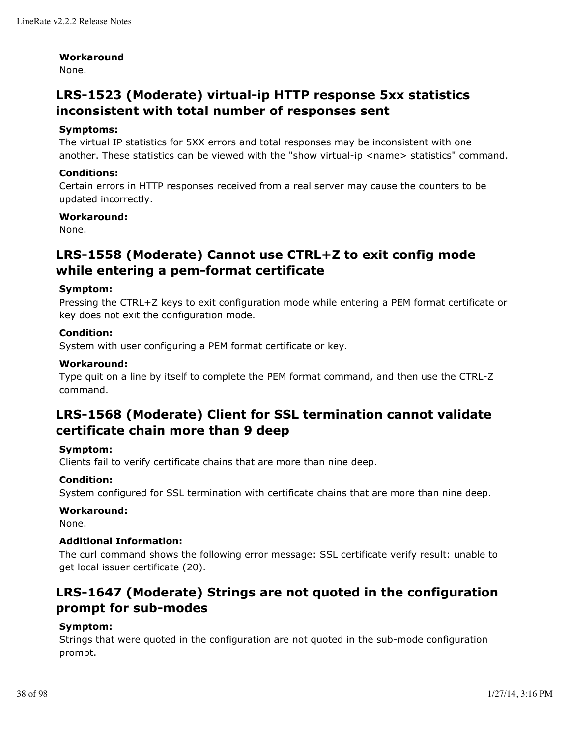#### **Workaround**

None.

# **LRS-1523 (Moderate) virtual-ip HTTP response 5xx statistics inconsistent with total number of responses sent**

### **Symptoms:**

The virtual IP statistics for 5XX errors and total responses may be inconsistent with one another. These statistics can be viewed with the "show virtual-ip <name> statistics" command.

### **Conditions:**

Certain errors in HTTP responses received from a real server may cause the counters to be updated incorrectly.

### **Workaround:**

None.

# **LRS-1558 (Moderate) Cannot use CTRL+Z to exit config mode while entering a pem-format certificate**

### **Symptom:**

Pressing the CTRL+Z keys to exit configuration mode while entering a PEM format certificate or key does not exit the configuration mode.

### **Condition:**

System with user configuring a PEM format certificate or key.

## **Workaround:**

Type quit on a line by itself to complete the PEM format command, and then use the CTRL-Z command.

# **LRS-1568 (Moderate) Client for SSL termination cannot validate certificate chain more than 9 deep**

#### **Symptom:**

Clients fail to verify certificate chains that are more than nine deep.

#### **Condition:**

System configured for SSL termination with certificate chains that are more than nine deep.

#### **Workaround:**

None.

#### **Additional Information:**

The curl command shows the following error message: SSL certificate verify result: unable to get local issuer certificate (20).

# **LRS-1647 (Moderate) Strings are not quoted in the configuration prompt for sub-modes**

## **Symptom:**

Strings that were quoted in the configuration are not quoted in the sub-mode configuration prompt.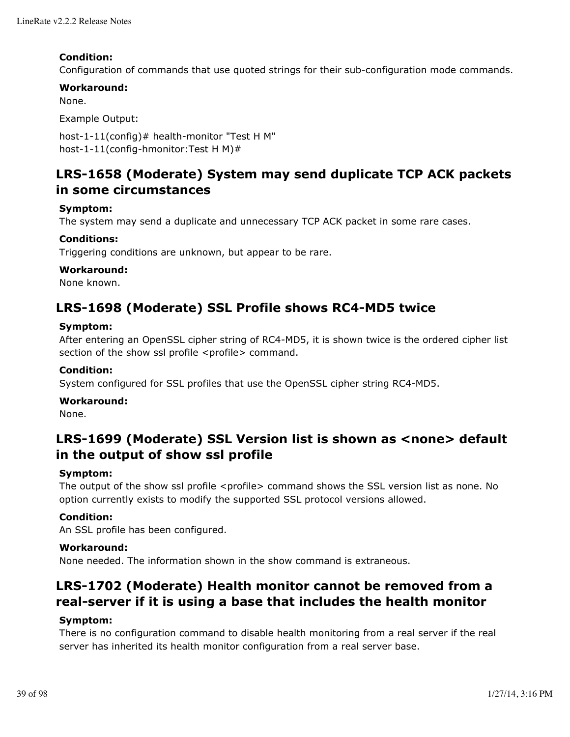### **Condition:**

Configuration of commands that use quoted strings for their sub-configuration mode commands.

### **Workaround:**

None.

Example Output:

host-1-11(config)# health-monitor "Test H M" host-1-11(config-hmonitor:Test H M)#

# **LRS-1658 (Moderate) System may send duplicate TCP ACK packets in some circumstances**

### **Symptom:**

The system may send a duplicate and unnecessary TCP ACK packet in some rare cases.

### **Conditions:**

Triggering conditions are unknown, but appear to be rare.

#### **Workaround:**

None known.

# **LRS-1698 (Moderate) SSL Profile shows RC4-MD5 twice**

#### **Symptom:**

After entering an OpenSSL cipher string of RC4-MD5, it is shown twice is the ordered cipher list section of the show ssl profile <profile> command.

### **Condition:**

System configured for SSL profiles that use the OpenSSL cipher string RC4-MD5.

#### **Workaround:**

None.

# **LRS-1699 (Moderate) SSL Version list is shown as <none> default in the output of show ssl profile**

#### **Symptom:**

The output of the show ssl profile <profile> command shows the SSL version list as none. No option currently exists to modify the supported SSL protocol versions allowed.

#### **Condition:**

An SSL profile has been configured.

#### **Workaround:**

None needed. The information shown in the show command is extraneous.

# **LRS-1702 (Moderate) Health monitor cannot be removed from a real-server if it is using a base that includes the health monitor**

#### **Symptom:**

There is no configuration command to disable health monitoring from a real server if the real server has inherited its health monitor configuration from a real server base.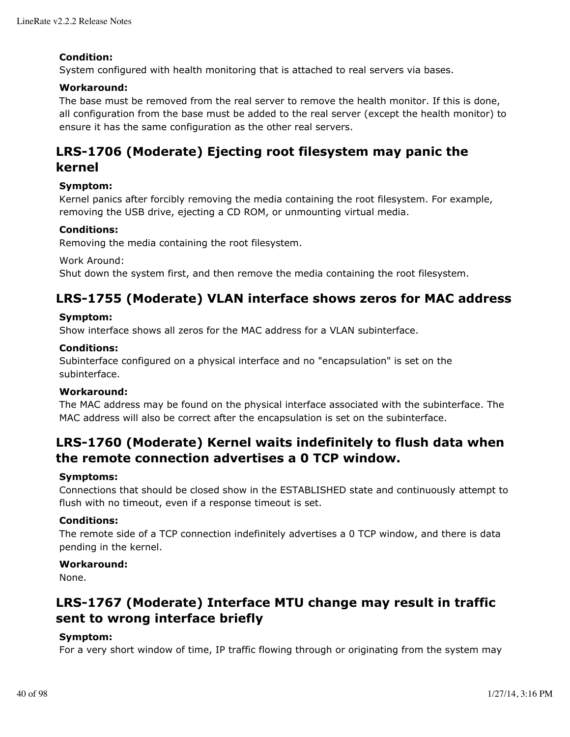### **Condition:**

System configured with health monitoring that is attached to real servers via bases.

### **Workaround:**

The base must be removed from the real server to remove the health monitor. If this is done, all configuration from the base must be added to the real server (except the health monitor) to ensure it has the same configuration as the other real servers.

# **LRS-1706 (Moderate) Ejecting root filesystem may panic the kernel**

### **Symptom:**

Kernel panics after forcibly removing the media containing the root filesystem. For example, removing the USB drive, ejecting a CD ROM, or unmounting virtual media.

#### **Conditions:**

Removing the media containing the root filesystem.

Work Around:

Shut down the system first, and then remove the media containing the root filesystem.

# **LRS-1755 (Moderate) VLAN interface shows zeros for MAC address**

#### **Symptom:**

Show interface shows all zeros for the MAC address for a VLAN subinterface.

### **Conditions:**

Subinterface configured on a physical interface and no "encapsulation" is set on the subinterface.

#### **Workaround:**

The MAC address may be found on the physical interface associated with the subinterface. The MAC address will also be correct after the encapsulation is set on the subinterface.

# **LRS-1760 (Moderate) Kernel waits indefinitely to flush data when the remote connection advertises a 0 TCP window.**

#### **Symptoms:**

Connections that should be closed show in the ESTABLISHED state and continuously attempt to flush with no timeout, even if a response timeout is set.

#### **Conditions:**

The remote side of a TCP connection indefinitely advertises a 0 TCP window, and there is data pending in the kernel.

#### **Workaround:**

None.

# **LRS-1767 (Moderate) Interface MTU change may result in traffic sent to wrong interface briefly**

## **Symptom:**

For a very short window of time, IP traffic flowing through or originating from the system may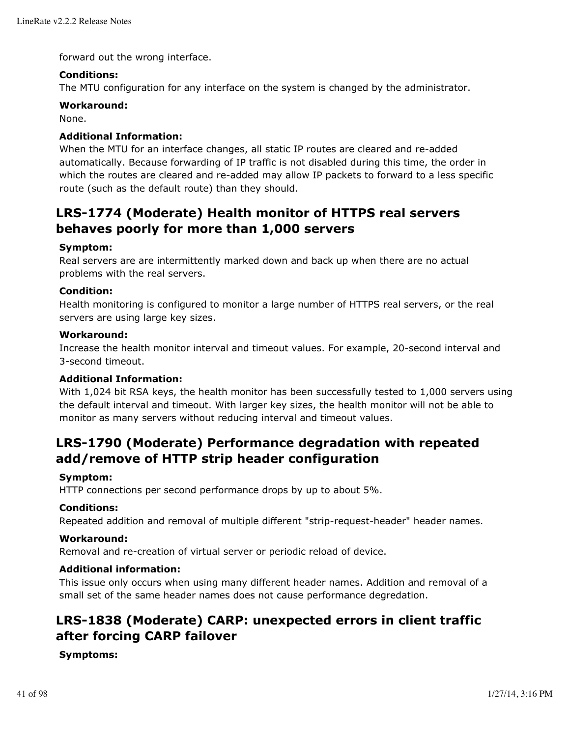forward out the wrong interface.

## **Conditions:**

The MTU configuration for any interface on the system is changed by the administrator.

## **Workaround:**

None.

## **Additional Information:**

When the MTU for an interface changes, all static IP routes are cleared and re-added automatically. Because forwarding of IP traffic is not disabled during this time, the order in which the routes are cleared and re-added may allow IP packets to forward to a less specific route (such as the default route) than they should.

# **LRS-1774 (Moderate) Health monitor of HTTPS real servers behaves poorly for more than 1,000 servers**

### **Symptom:**

Real servers are are intermittently marked down and back up when there are no actual problems with the real servers.

### **Condition:**

Health monitoring is configured to monitor a large number of HTTPS real servers, or the real servers are using large key sizes.

#### **Workaround:**

Increase the health monitor interval and timeout values. For example, 20-second interval and 3-second timeout.

### **Additional Information:**

With 1,024 bit RSA keys, the health monitor has been successfully tested to 1,000 servers using the default interval and timeout. With larger key sizes, the health monitor will not be able to monitor as many servers without reducing interval and timeout values.

# **LRS-1790 (Moderate) Performance degradation with repeated add/remove of HTTP strip header configuration**

#### **Symptom:**

HTTP connections per second performance drops by up to about 5%.

#### **Conditions:**

Repeated addition and removal of multiple different "strip-request-header" header names.

#### **Workaround:**

Removal and re-creation of virtual server or periodic reload of device.

#### **Additional information:**

This issue only occurs when using many different header names. Addition and removal of a small set of the same header names does not cause performance degredation.

# **LRS-1838 (Moderate) CARP: unexpected errors in client traffic after forcing CARP failover**

#### **Symptoms:**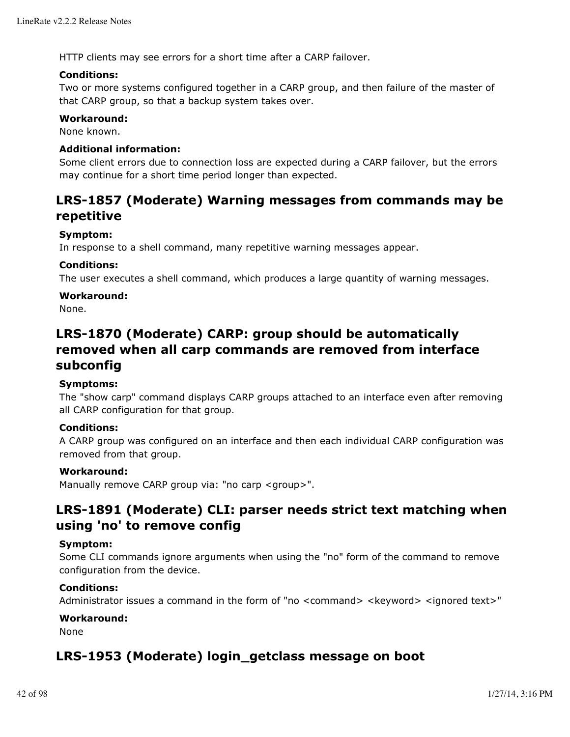HTTP clients may see errors for a short time after a CARP failover.

#### **Conditions:**

Two or more systems configured together in a CARP group, and then failure of the master of that CARP group, so that a backup system takes over.

#### **Workaround:**

None known.

### **Additional information:**

Some client errors due to connection loss are expected during a CARP failover, but the errors may continue for a short time period longer than expected.

# **LRS-1857 (Moderate) Warning messages from commands may be repetitive**

### **Symptom:**

In response to a shell command, many repetitive warning messages appear.

### **Conditions:**

The user executes a shell command, which produces a large quantity of warning messages.

### **Workaround:**

None.

# **LRS-1870 (Moderate) CARP: group should be automatically removed when all carp commands are removed from interface subconfig**

### **Symptoms:**

The "show carp" command displays CARP groups attached to an interface even after removing all CARP configuration for that group.

## **Conditions:**

A CARP group was configured on an interface and then each individual CARP configuration was removed from that group.

#### **Workaround:**

Manually remove CARP group via: "no carp <group>".

# **LRS-1891 (Moderate) CLI: parser needs strict text matching when using 'no' to remove config**

#### **Symptom:**

Some CLI commands ignore arguments when using the "no" form of the command to remove configuration from the device.

#### **Conditions:**

Administrator issues a command in the form of "no <command> <keyword> <ignored text>"

#### **Workaround:**

None

# **LRS-1953 (Moderate) login\_getclass message on boot**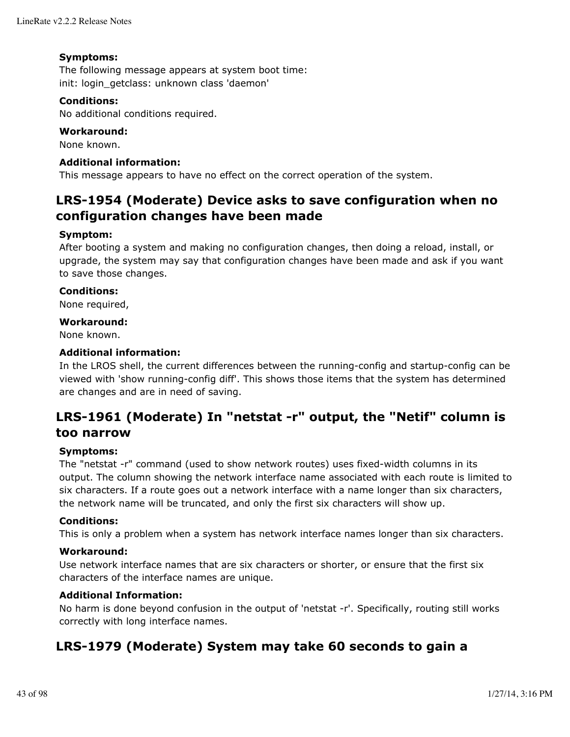### **Symptoms:**

The following message appears at system boot time: init: login getclass: unknown class 'daemon'

### **Conditions:**

No additional conditions required.

### **Workaround:**

None known.

### **Additional information:**

This message appears to have no effect on the correct operation of the system.

# **LRS-1954 (Moderate) Device asks to save configuration when no configuration changes have been made**

### **Symptom:**

After booting a system and making no configuration changes, then doing a reload, install, or upgrade, the system may say that configuration changes have been made and ask if you want to save those changes.

#### **Conditions:**

None required,

#### **Workaround:**

None known.

## **Additional information:**

In the LROS shell, the current differences between the running-config and startup-config can be viewed with 'show running-config diff'. This shows those items that the system has determined are changes and are in need of saving.

# **LRS-1961 (Moderate) In "netstat -r" output, the "Netif" column is too narrow**

#### **Symptoms:**

The "netstat -r" command (used to show network routes) uses fixed-width columns in its output. The column showing the network interface name associated with each route is limited to six characters. If a route goes out a network interface with a name longer than six characters, the network name will be truncated, and only the first six characters will show up.

#### **Conditions:**

This is only a problem when a system has network interface names longer than six characters.

#### **Workaround:**

Use network interface names that are six characters or shorter, or ensure that the first six characters of the interface names are unique.

#### **Additional Information:**

No harm is done beyond confusion in the output of 'netstat -r'. Specifically, routing still works correctly with long interface names.

# **LRS-1979 (Moderate) System may take 60 seconds to gain a**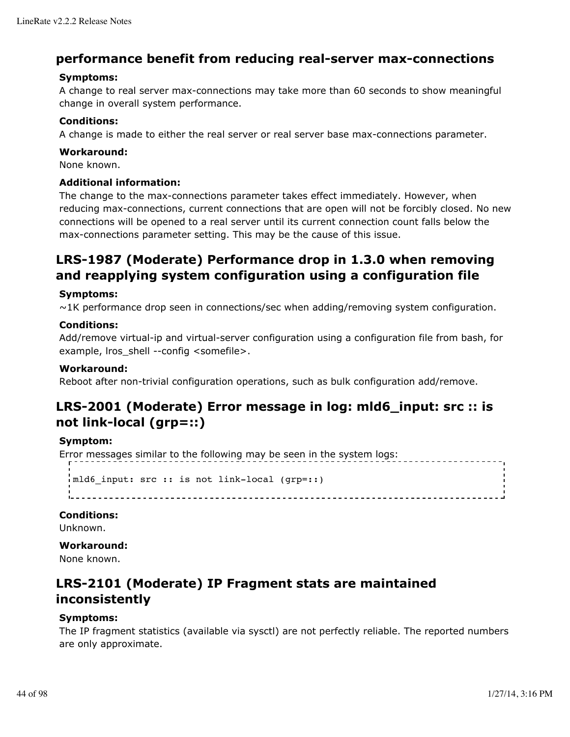# **performance benefit from reducing real-server max-connections**

## **Symptoms:**

A change to real server max-connections may take more than 60 seconds to show meaningful change in overall system performance.

### **Conditions:**

A change is made to either the real server or real server base max-connections parameter.

### **Workaround:**

None known.

### **Additional information:**

The change to the max-connections parameter takes effect immediately. However, when reducing max-connections, current connections that are open will not be forcibly closed. No new connections will be opened to a real server until its current connection count falls below the max-connections parameter setting. This may be the cause of this issue.

# **LRS-1987 (Moderate) Performance drop in 1.3.0 when removing and reapplying system configuration using a configuration file**

### **Symptoms:**

 $\sim$ 1K performance drop seen in connections/sec when adding/removing system configuration.

### **Conditions:**

Add/remove virtual-ip and virtual-server configuration using a configuration file from bash, for example, lros\_shell --config <somefile>.

### **Workaround:**

Reboot after non-trivial configuration operations, such as bulk configuration add/remove.

# **LRS-2001 (Moderate) Error message in log: mld6\_input: src :: is not link-local (grp=::)**

#### **Symptom:**

Error messages similar to the following may be seen in the system logs:

```
\frac{1}{2}mld6 input: src :: is not link-local (grp=::)
```
#### **Conditions:**

Unknown.

#### **Workaround:**

None known.

# **LRS-2101 (Moderate) IP Fragment stats are maintained inconsistently**

#### **Symptoms:**

The IP fragment statistics (available via sysctl) are not perfectly reliable. The reported numbers are only approximate.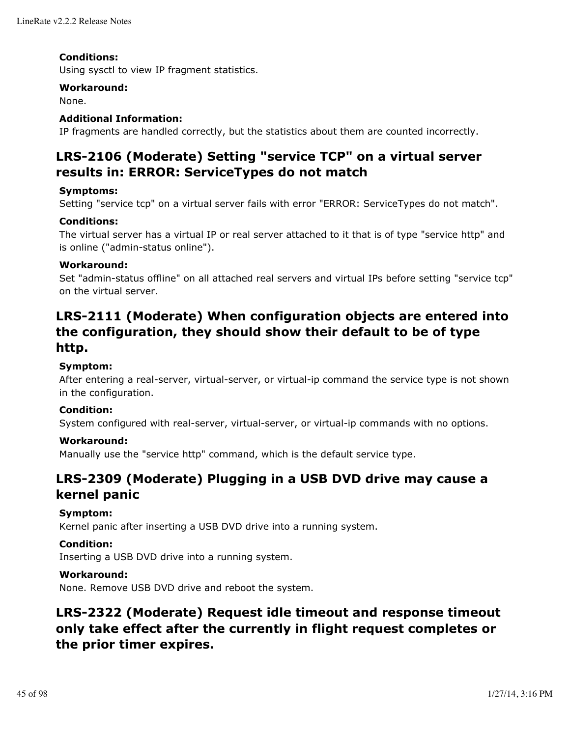### **Conditions:**

Using sysctl to view IP fragment statistics.

#### **Workaround:**

None.

## **Additional Information:**

IP fragments are handled correctly, but the statistics about them are counted incorrectly.

# **LRS-2106 (Moderate) Setting "service TCP" on a virtual server results in: ERROR: ServiceTypes do not match**

### **Symptoms:**

Setting "service tcp" on a virtual server fails with error "ERROR: ServiceTypes do not match".

## **Conditions:**

The virtual server has a virtual IP or real server attached to it that is of type "service http" and is online ("admin-status online").

### **Workaround:**

Set "admin-status offline" on all attached real servers and virtual IPs before setting "service tcp" on the virtual server.

# **LRS-2111 (Moderate) When configuration objects are entered into the configuration, they should show their default to be of type http.**

## **Symptom:**

After entering a real-server, virtual-server, or virtual-ip command the service type is not shown in the configuration.

#### **Condition:**

System configured with real-server, virtual-server, or virtual-ip commands with no options.

#### **Workaround:**

Manually use the "service http" command, which is the default service type.

# **LRS-2309 (Moderate) Plugging in a USB DVD drive may cause a kernel panic**

#### **Symptom:**

Kernel panic after inserting a USB DVD drive into a running system.

#### **Condition:**

Inserting a USB DVD drive into a running system.

### **Workaround:**

None. Remove USB DVD drive and reboot the system.

# **LRS-2322 (Moderate) Request idle timeout and response timeout only take effect after the currently in flight request completes or the prior timer expires.**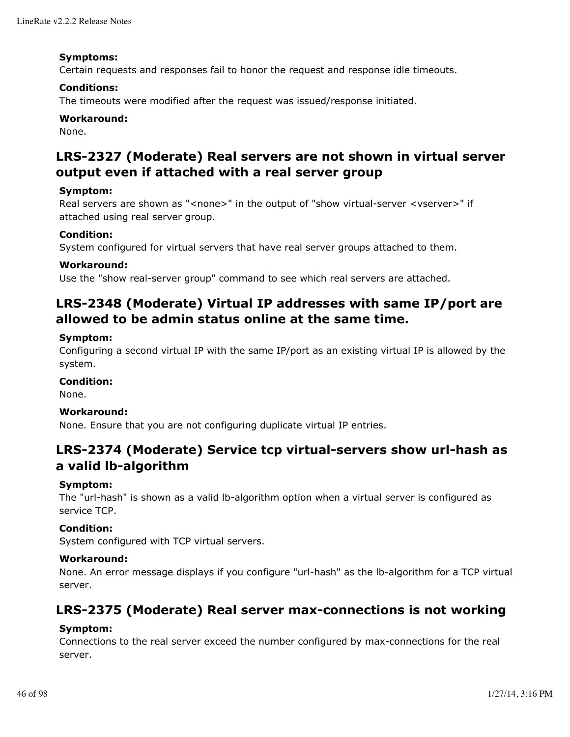#### **Symptoms:**

Certain requests and responses fail to honor the request and response idle timeouts.

#### **Conditions:**

The timeouts were modified after the request was issued/response initiated.

#### **Workaround:**

None.

# **LRS-2327 (Moderate) Real servers are not shown in virtual server output even if attached with a real server group**

#### **Symptom:**

Real servers are shown as "<none>" in the output of "show virtual-server <vserver>" if attached using real server group.

#### **Condition:**

System configured for virtual servers that have real server groups attached to them.

#### **Workaround:**

Use the "show real-server group" command to see which real servers are attached.

# **LRS-2348 (Moderate) Virtual IP addresses with same IP/port are allowed to be admin status online at the same time.**

#### **Symptom:**

Configuring a second virtual IP with the same IP/port as an existing virtual IP is allowed by the system.

#### **Condition:**

None.

#### **Workaround:**

None. Ensure that you are not configuring duplicate virtual IP entries.

# **LRS-2374 (Moderate) Service tcp virtual-servers show url-hash as a valid lb-algorithm**

#### **Symptom:**

The "url-hash" is shown as a valid lb-algorithm option when a virtual server is configured as service TCP.

#### **Condition:**

System configured with TCP virtual servers.

## **Workaround:**

None. An error message displays if you configure "url-hash" as the lb-algorithm for a TCP virtual server.

# **LRS-2375 (Moderate) Real server max-connections is not working**

#### **Symptom:**

Connections to the real server exceed the number configured by max-connections for the real server.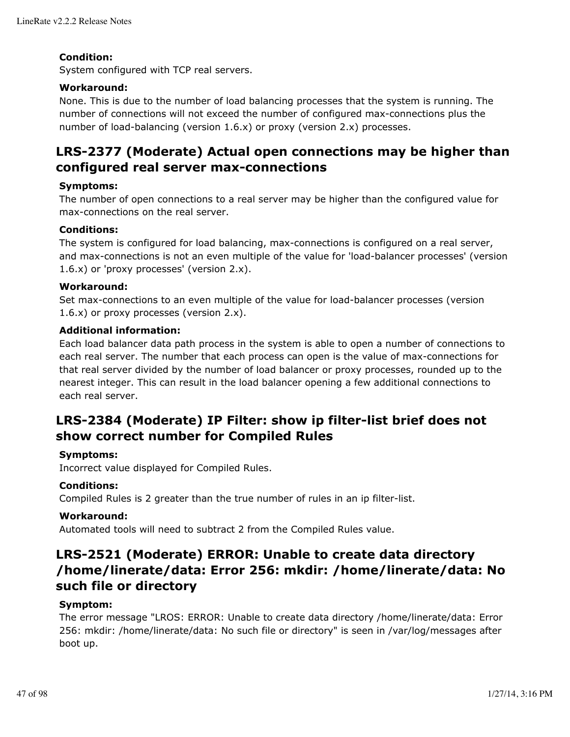### **Condition:**

System configured with TCP real servers.

### **Workaround:**

None. This is due to the number of load balancing processes that the system is running. The number of connections will not exceed the number of configured max-connections plus the number of load-balancing (version 1.6.x) or proxy (version 2.x) processes.

# **LRS-2377 (Moderate) Actual open connections may be higher than configured real server max-connections**

### **Symptoms:**

The number of open connections to a real server may be higher than the configured value for max-connections on the real server.

#### **Conditions:**

The system is configured for load balancing, max-connections is configured on a real server, and max-connections is not an even multiple of the value for 'load-balancer processes' (version 1.6.x) or 'proxy processes' (version 2.x).

### **Workaround:**

Set max-connections to an even multiple of the value for load-balancer processes (version 1.6.x) or proxy processes (version 2.x).

### **Additional information:**

Each load balancer data path process in the system is able to open a number of connections to each real server. The number that each process can open is the value of max-connections for that real server divided by the number of load balancer or proxy processes, rounded up to the nearest integer. This can result in the load balancer opening a few additional connections to each real server.

# **LRS-2384 (Moderate) IP Filter: show ip filter-list brief does not show correct number for Compiled Rules**

#### **Symptoms:**

Incorrect value displayed for Compiled Rules.

## **Conditions:**

Compiled Rules is 2 greater than the true number of rules in an ip filter-list.

#### **Workaround:**

Automated tools will need to subtract 2 from the Compiled Rules value.

# **LRS-2521 (Moderate) ERROR: Unable to create data directory /home/linerate/data: Error 256: mkdir: /home/linerate/data: No such file or directory**

#### **Symptom:**

The error message "LROS: ERROR: Unable to create data directory /home/linerate/data: Error 256: mkdir: /home/linerate/data: No such file or directory" is seen in /var/log/messages after boot up.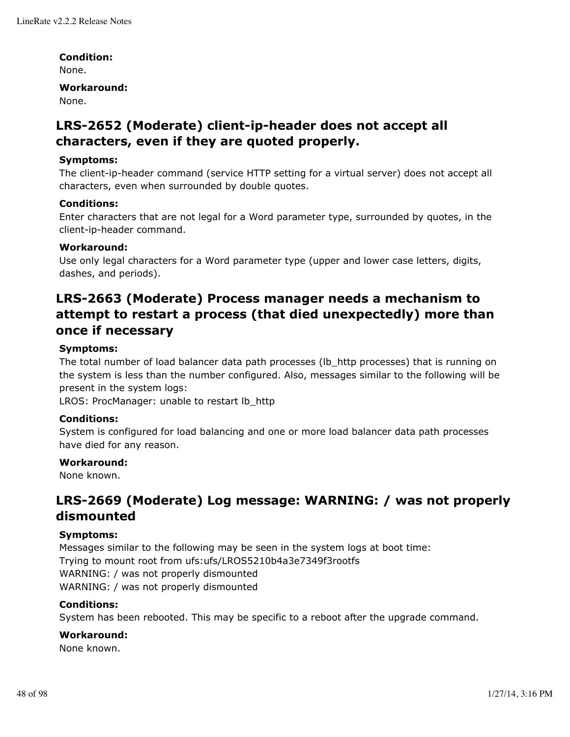### **Condition:**

None.

#### **Workaround:**

None.

# **LRS-2652 (Moderate) client-ip-header does not accept all characters, even if they are quoted properly.**

### **Symptoms:**

The client-ip-header command (service HTTP setting for a virtual server) does not accept all characters, even when surrounded by double quotes.

#### **Conditions:**

Enter characters that are not legal for a Word parameter type, surrounded by quotes, in the client-ip-header command.

### **Workaround:**

Use only legal characters for a Word parameter type (upper and lower case letters, digits, dashes, and periods).

# **LRS-2663 (Moderate) Process manager needs a mechanism to attempt to restart a process (that died unexpectedly) more than once if necessary**

### **Symptoms:**

The total number of load balancer data path processes (Ib\_http processes) that is running on the system is less than the number configured. Also, messages similar to the following will be present in the system logs:

LROS: ProcManager: unable to restart Ib http

#### **Conditions:**

System is configured for load balancing and one or more load balancer data path processes have died for any reason.

#### **Workaround:**

None known.

# **LRS-2669 (Moderate) Log message: WARNING: / was not properly dismounted**

#### **Symptoms:**

Messages similar to the following may be seen in the system logs at boot time: Trying to mount root from ufs:ufs/LROS5210b4a3e7349f3rootfs WARNING: / was not properly dismounted WARNING: / was not properly dismounted

#### **Conditions:**

System has been rebooted. This may be specific to a reboot after the upgrade command.

## **Workaround:**

None known.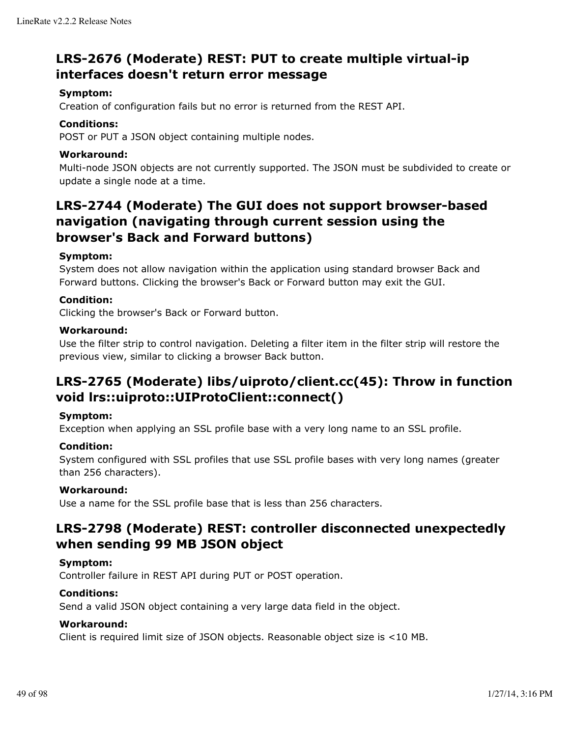# **LRS-2676 (Moderate) REST: PUT to create multiple virtual-ip interfaces doesn't return error message**

### **Symptom:**

Creation of configuration fails but no error is returned from the REST API.

### **Conditions:**

POST or PUT a JSON object containing multiple nodes.

### **Workaround:**

Multi-node JSON objects are not currently supported. The JSON must be subdivided to create or update a single node at a time.

# **LRS-2744 (Moderate) The GUI does not support browser-based navigation (navigating through current session using the browser's Back and Forward buttons)**

### **Symptom:**

System does not allow navigation within the application using standard browser Back and Forward buttons. Clicking the browser's Back or Forward button may exit the GUI.

### **Condition:**

Clicking the browser's Back or Forward button.

#### **Workaround:**

Use the filter strip to control navigation. Deleting a filter item in the filter strip will restore the previous view, similar to clicking a browser Back button.

# **LRS-2765 (Moderate) libs/uiproto/client.cc(45): Throw in function void lrs::uiproto::UIProtoClient::connect()**

#### **Symptom:**

Exception when applying an SSL profile base with a very long name to an SSL profile.

#### **Condition:**

System configured with SSL profiles that use SSL profile bases with very long names (greater than 256 characters).

#### **Workaround:**

Use a name for the SSL profile base that is less than 256 characters.

# **LRS-2798 (Moderate) REST: controller disconnected unexpectedly when sending 99 MB JSON object**

### **Symptom:**

Controller failure in REST API during PUT or POST operation.

## **Conditions:**

Send a valid JSON object containing a very large data field in the object.

#### **Workaround:**

Client is required limit size of JSON objects. Reasonable object size is <10 MB.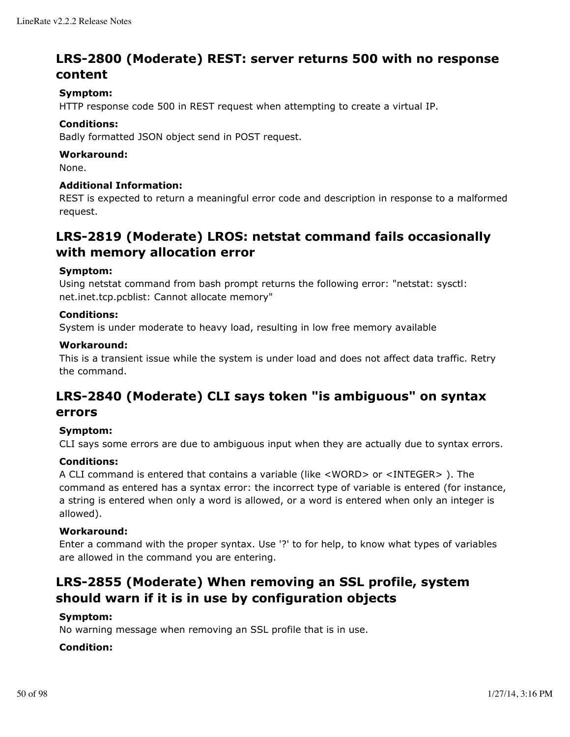# **LRS-2800 (Moderate) REST: server returns 500 with no response content**

### **Symptom:**

HTTP response code 500 in REST request when attempting to create a virtual IP.

#### **Conditions:**

Badly formatted JSON object send in POST request.

#### **Workaround:**

None.

#### **Additional Information:**

REST is expected to return a meaningful error code and description in response to a malformed request.

# **LRS-2819 (Moderate) LROS: netstat command fails occasionally with memory allocation error**

#### **Symptom:**

Using netstat command from bash prompt returns the following error: "netstat: sysctl: net.inet.tcp.pcblist: Cannot allocate memory"

#### **Conditions:**

System is under moderate to heavy load, resulting in low free memory available

#### **Workaround:**

This is a transient issue while the system is under load and does not affect data traffic. Retry the command.

# **LRS-2840 (Moderate) CLI says token "is ambiguous" on syntax errors**

#### **Symptom:**

CLI says some errors are due to ambiguous input when they are actually due to syntax errors.

#### **Conditions:**

A CLI command is entered that contains a variable (like <WORD> or <INTEGER> ). The command as entered has a syntax error: the incorrect type of variable is entered (for instance, a string is entered when only a word is allowed, or a word is entered when only an integer is allowed).

#### **Workaround:**

Enter a command with the proper syntax. Use '?' to for help, to know what types of variables are allowed in the command you are entering.

# **LRS-2855 (Moderate) When removing an SSL profile, system should warn if it is in use by configuration objects**

#### **Symptom:**

No warning message when removing an SSL profile that is in use.

#### **Condition:**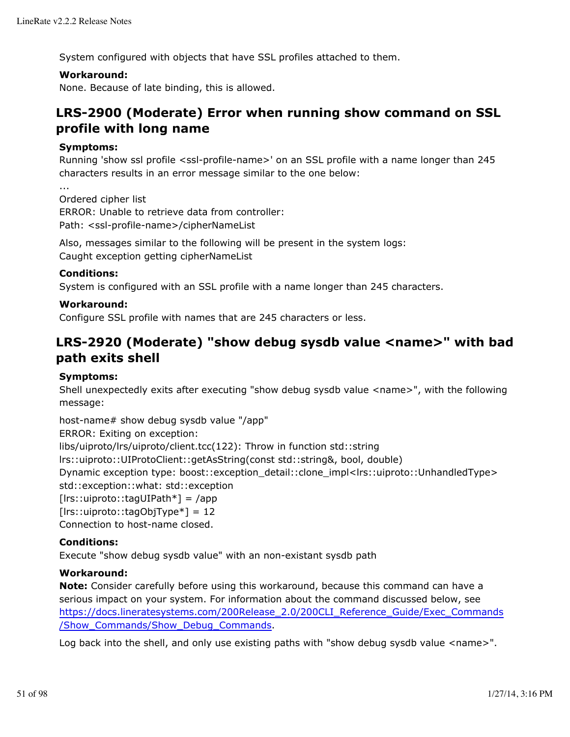System configured with objects that have SSL profiles attached to them.

### **Workaround:**

None. Because of late binding, this is allowed.

# **LRS-2900 (Moderate) Error when running show command on SSL profile with long name**

### **Symptoms:**

Running 'show ssl profile <ssl-profile-name>' on an SSL profile with a name longer than 245 characters results in an error message similar to the one below:

...

Ordered cipher list ERROR: Unable to retrieve data from controller: Path: <ssl-profile-name>/cipherNameList

Also, messages similar to the following will be present in the system logs: Caught exception getting cipherNameList

### **Conditions:**

System is configured with an SSL profile with a name longer than 245 characters.

## **Workaround:**

Configure SSL profile with names that are 245 characters or less.

# **LRS-2920 (Moderate) "show debug sysdb value <name>" with bad path exits shell**

#### **Symptoms:**

Shell unexpectedly exits after executing "show debug sysdb value <name>", with the following message:

host-name# show debug sysdb value "/app"

ERROR: Exiting on exception:

libs/uiproto/lrs/uiproto/client.tcc(122): Throw in function std::string

lrs::uiproto::UIProtoClient::getAsString(const std::string&, bool, double)

Dynamic exception type: boost::exception\_detail::clone\_impl<lrs::uiproto::UnhandledType> std::exception::what: std::exception

[lrs::uiproto::tagUIPath\*] = /app

 $[lrs::uiproto::tagObjType*] = 12$ 

Connection to host-name closed.

## **Conditions:**

Execute "show debug sysdb value" with an non-existant sysdb path

#### **Workaround:**

**Note:** Consider carefully before using this workaround, because this command can have a serious impact on your system. For information about the command discussed below, see https://docs.lineratesystems.com/200Release\_2.0/200CLI\_Reference\_Guide/Exec\_Commands /Show\_Commands/Show\_Debug\_Commands.

Log back into the shell, and only use existing paths with "show debug sysdb value <name>".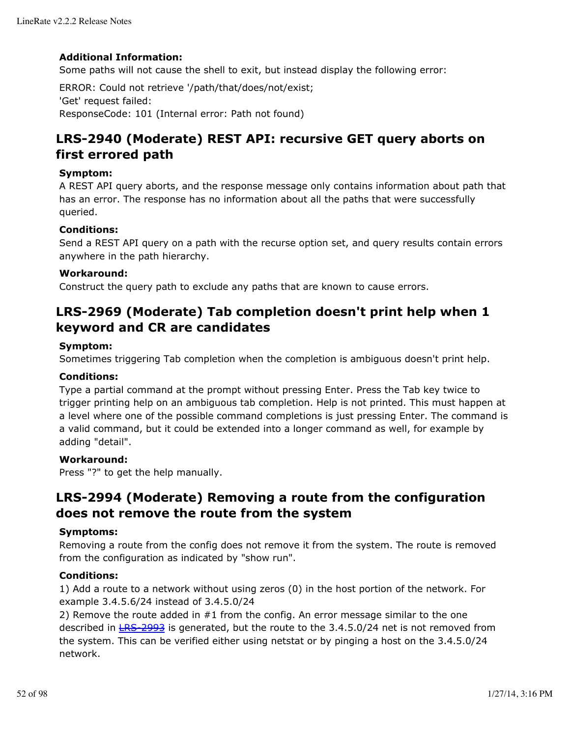## **Additional Information:**

Some paths will not cause the shell to exit, but instead display the following error:

ERROR: Could not retrieve '/path/that/does/not/exist; 'Get' request failed: ResponseCode: 101 (Internal error: Path not found)

# **LRS-2940 (Moderate) REST API: recursive GET query aborts on first errored path**

## **Symptom:**

A REST API query aborts, and the response message only contains information about path that has an error. The response has no information about all the paths that were successfully queried.

### **Conditions:**

Send a REST API query on a path with the recurse option set, and query results contain errors anywhere in the path hierarchy.

### **Workaround:**

Construct the query path to exclude any paths that are known to cause errors.

# **LRS-2969 (Moderate) Tab completion doesn't print help when 1 keyword and CR are candidates**

### **Symptom:**

Sometimes triggering Tab completion when the completion is ambiguous doesn't print help.

#### **Conditions:**

Type a partial command at the prompt without pressing Enter. Press the Tab key twice to trigger printing help on an ambiguous tab completion. Help is not printed. This must happen at a level where one of the possible command completions is just pressing Enter. The command is a valid command, but it could be extended into a longer command as well, for example by adding "detail".

#### **Workaround:**

Press "?" to get the help manually.

# **LRS-2994 (Moderate) Removing a route from the configuration does not remove the route from the system**

#### **Symptoms:**

Removing a route from the config does not remove it from the system. The route is removed from the configuration as indicated by "show run".

#### **Conditions:**

1) Add a route to a network without using zeros (0) in the host portion of the network. For example 3.4.5.6/24 instead of 3.4.5.0/24

2) Remove the route added in #1 from the config. An error message similar to the one described in  $E = 2993$  is generated, but the route to the 3.4.5.0/24 net is not removed from the system. This can be verified either using netstat or by pinging a host on the 3.4.5.0/24 network.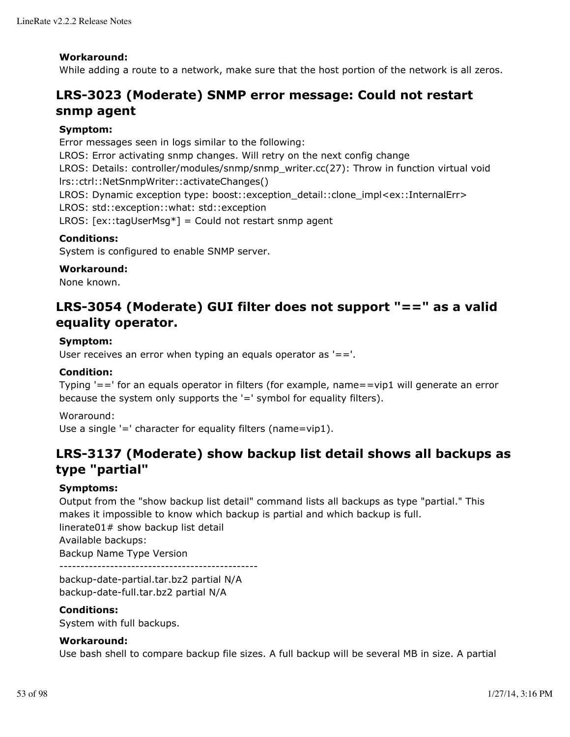### **Workaround:**

While adding a route to a network, make sure that the host portion of the network is all zeros.

# **LRS-3023 (Moderate) SNMP error message: Could not restart snmp agent**

### **Symptom:**

Error messages seen in logs similar to the following: LROS: Error activating snmp changes. Will retry on the next config change LROS: Details: controller/modules/snmp/snmp\_writer.cc(27): Throw in function virtual void lrs::ctrl::NetSnmpWriter::activateChanges() LROS: Dynamic exception type: boost::exception\_detail::clone\_impl<ex::InternalErr> LROS: std::exception::what: std::exception LROS:  $[ex::tagUserMsq*] = Could not restart s nmp agent$ 

### **Conditions:**

System is configured to enable SNMP server.

#### **Workaround:**

None known.

# **LRS-3054 (Moderate) GUI filter does not support "==" as a valid equality operator.**

#### **Symptom:**

User receives an error when typing an equals operator as  $'=-'$ .

### **Condition:**

Typing '==' for an equals operator in filters (for example, name==vip1 will generate an error because the system only supports the '=' symbol for equality filters).

Woraround: Use a single '=' character for equality filters (name=vip1).

# **LRS-3137 (Moderate) show backup list detail shows all backups as type "partial"**

## **Symptoms:**

Output from the "show backup list detail" command lists all backups as type "partial." This makes it impossible to know which backup is partial and which backup is full. linerate01# show backup list detail Available backups:

Backup Name Type Version

-----------------------------------------------

backup-date-partial.tar.bz2 partial N/A backup-date-full.tar.bz2 partial N/A

### **Conditions:**

System with full backups.

#### **Workaround:**

Use bash shell to compare backup file sizes. A full backup will be several MB in size. A partial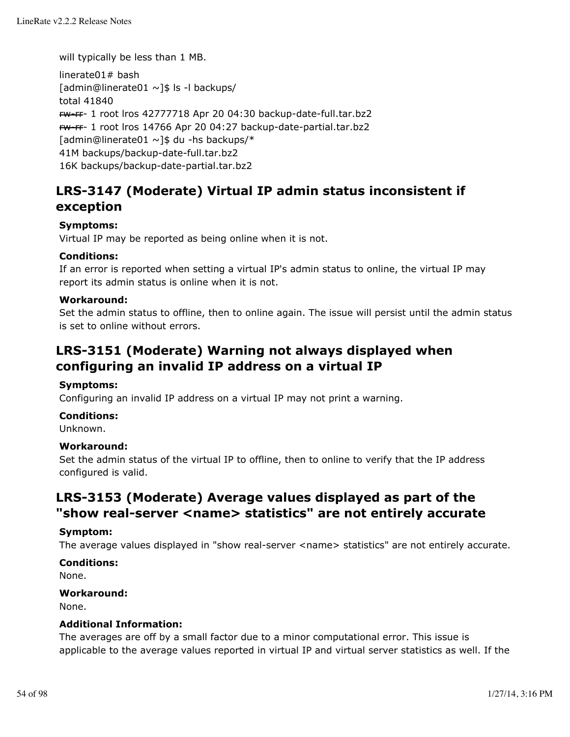will typically be less than 1 MB.

linerate01# bash [admin@linerate01 ~]\$ ls -l backups/ total 41840 rw-rr- 1 root lros 42777718 Apr 20 04:30 backup-date-full.tar.bz2 rw-rr- 1 root lros 14766 Apr 20 04:27 backup-date-partial.tar.bz2 [admin@linerate01 ~]\$ du -hs backups/\* 41M backups/backup-date-full.tar.bz2 16K backups/backup-date-partial.tar.bz2

# **LRS-3147 (Moderate) Virtual IP admin status inconsistent if exception**

## **Symptoms:**

Virtual IP may be reported as being online when it is not.

### **Conditions:**

If an error is reported when setting a virtual IP's admin status to online, the virtual IP may report its admin status is online when it is not.

#### **Workaround:**

Set the admin status to offline, then to online again. The issue will persist until the admin status is set to online without errors.

# **LRS-3151 (Moderate) Warning not always displayed when configuring an invalid IP address on a virtual IP**

### **Symptoms:**

Configuring an invalid IP address on a virtual IP may not print a warning.

#### **Conditions:**

Unknown.

#### **Workaround:**

Set the admin status of the virtual IP to offline, then to online to verify that the IP address configured is valid.

# **LRS-3153 (Moderate) Average values displayed as part of the "show real-server <name> statistics" are not entirely accurate**

#### **Symptom:**

The average values displayed in "show real-server <name> statistics" are not entirely accurate.

#### **Conditions:**

None.

#### **Workaround:**

None.

#### **Additional Information:**

The averages are off by a small factor due to a minor computational error. This issue is applicable to the average values reported in virtual IP and virtual server statistics as well. If the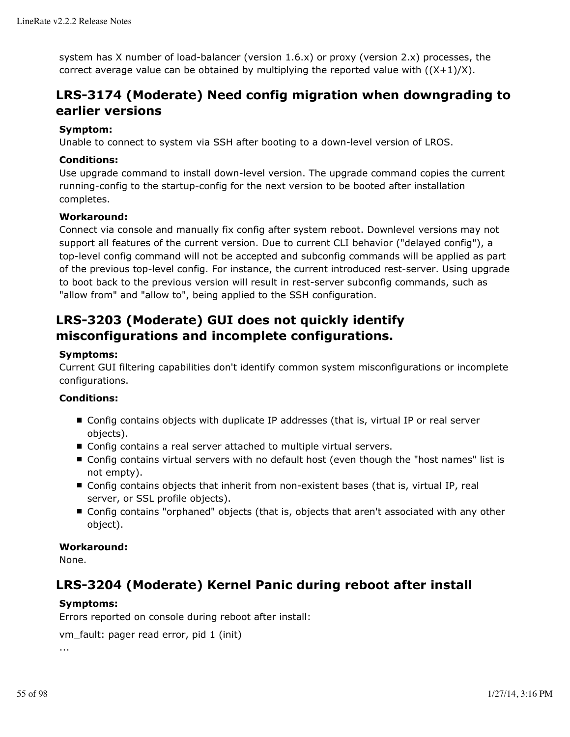system has X number of load-balancer (version 1.6.x) or proxy (version 2.x) processes, the correct average value can be obtained by multiplying the reported value with  $((X+1)/X)$ .

# **LRS-3174 (Moderate) Need config migration when downgrading to earlier versions**

### **Symptom:**

Unable to connect to system via SSH after booting to a down-level version of LROS.

### **Conditions:**

Use upgrade command to install down-level version. The upgrade command copies the current running-config to the startup-config for the next version to be booted after installation completes.

### **Workaround:**

Connect via console and manually fix config after system reboot. Downlevel versions may not support all features of the current version. Due to current CLI behavior ("delayed config"), a top-level config command will not be accepted and subconfig commands will be applied as part of the previous top-level config. For instance, the current introduced rest-server. Using upgrade to boot back to the previous version will result in rest-server subconfig commands, such as "allow from" and "allow to", being applied to the SSH configuration.

# **LRS-3203 (Moderate) GUI does not quickly identify misconfigurations and incomplete configurations.**

#### **Symptoms:**

Current GUI filtering capabilities don't identify common system misconfigurations or incomplete configurations.

## **Conditions:**

- Config contains objects with duplicate IP addresses (that is, virtual IP or real server objects).
- Config contains a real server attached to multiple virtual servers.
- Config contains virtual servers with no default host (even though the "host names" list is not empty).
- Config contains objects that inherit from non-existent bases (that is, virtual IP, real server, or SSL profile objects).
- Config contains "orphaned" objects (that is, objects that aren't associated with any other object).

### **Workaround:**

None.

# **LRS-3204 (Moderate) Kernel Panic during reboot after install**

#### **Symptoms:**

Errors reported on console during reboot after install:

```
vm_fault: pager read error, pid 1 (init)
...
```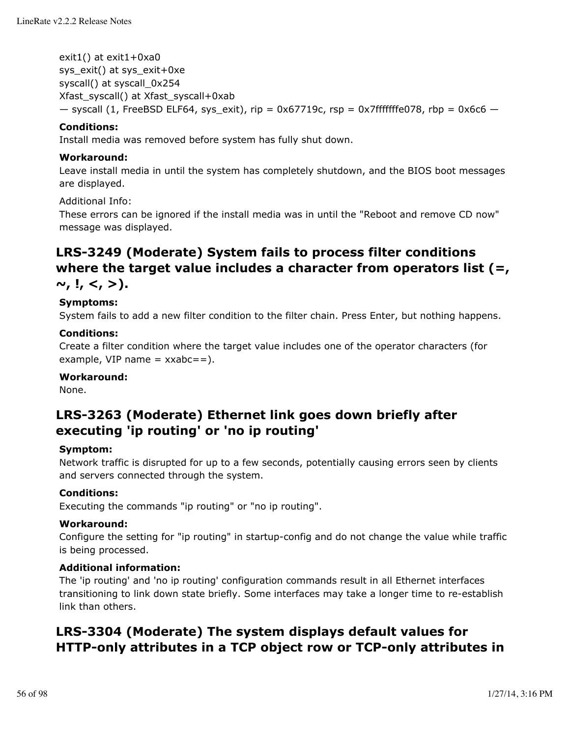exit1() at exit1+0xa0 sys\_exit() at sys\_exit+0xe syscall() at syscall\_0x254 Xfast\_syscall() at Xfast\_syscall+0xab  $-$  syscall (1, FreeBSD ELF64, sys\_exit), rip = 0x67719c, rsp = 0x7fffffffe078, rbp = 0x6c6  $-$ 

### **Conditions:**

Install media was removed before system has fully shut down.

#### **Workaround:**

Leave install media in until the system has completely shutdown, and the BIOS boot messages are displayed.

#### Additional Info:

These errors can be ignored if the install media was in until the "Reboot and remove CD now" message was displayed.

# **LRS-3249 (Moderate) System fails to process filter conditions where the target value includes a character from operators list (=,**

**~, !, <, >).**

## **Symptoms:**

System fails to add a new filter condition to the filter chain. Press Enter, but nothing happens.

### **Conditions:**

Create a filter condition where the target value includes one of the operator characters (for example, VIP name  $=$  xxabc $=$ =).

#### **Workaround:**

None.

# **LRS-3263 (Moderate) Ethernet link goes down briefly after executing 'ip routing' or 'no ip routing'**

#### **Symptom:**

Network traffic is disrupted for up to a few seconds, potentially causing errors seen by clients and servers connected through the system.

### **Conditions:**

Executing the commands "ip routing" or "no ip routing".

#### **Workaround:**

Configure the setting for "ip routing" in startup-config and do not change the value while traffic is being processed.

## **Additional information:**

The 'ip routing' and 'no ip routing' configuration commands result in all Ethernet interfaces transitioning to link down state briefly. Some interfaces may take a longer time to re-establish link than others.

# **LRS-3304 (Moderate) The system displays default values for HTTP-only attributes in a TCP object row or TCP-only attributes in**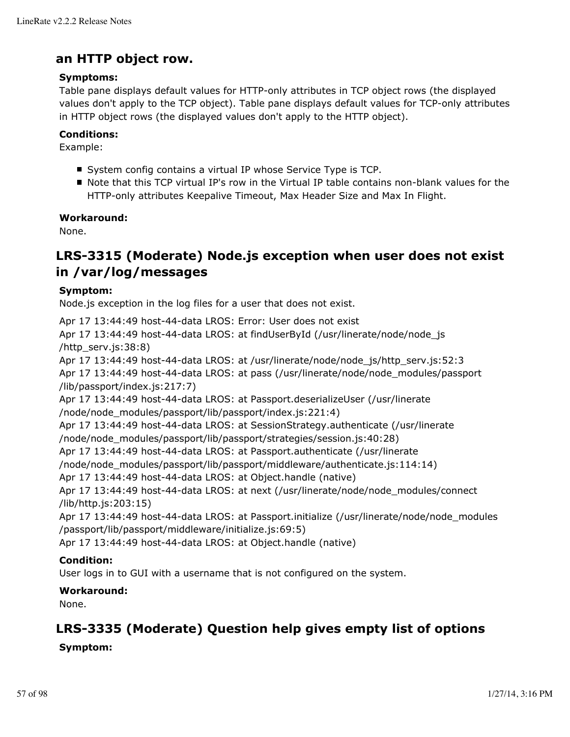# **an HTTP object row.**

## **Symptoms:**

Table pane displays default values for HTTP-only attributes in TCP object rows (the displayed values don't apply to the TCP object). Table pane displays default values for TCP-only attributes in HTTP object rows (the displayed values don't apply to the HTTP object).

### **Conditions:**

Example:

- System config contains a virtual IP whose Service Type is TCP.
- Note that this TCP virtual IP's row in the Virtual IP table contains non-blank values for the HTTP-only attributes Keepalive Timeout, Max Header Size and Max In Flight.

### **Workaround:**

None.

# **LRS-3315 (Moderate) Node.js exception when user does not exist in /var/log/messages**

## **Symptom:**

Node.js exception in the log files for a user that does not exist.

Apr 17 13:44:49 host-44-data LROS: Error: User does not exist

Apr 17 13:44:49 host-44-data LROS: at findUserById (/usr/linerate/node/node\_js /http\_serv.js:38:8)

Apr 17 13:44:49 host-44-data LROS: at /usr/linerate/node/node\_js/http\_serv.js:52:3 Apr 17 13:44:49 host-44-data LROS: at pass (/usr/linerate/node/node\_modules/passport /lib/passport/index.js:217:7)

Apr 17 13:44:49 host-44-data LROS: at Passport.deserializeUser (/usr/linerate

/node/node\_modules/passport/lib/passport/index.js:221:4)

Apr 17 13:44:49 host-44-data LROS: at SessionStrategy.authenticate (/usr/linerate

/node/node\_modules/passport/lib/passport/strategies/session.js:40:28)

Apr 17 13:44:49 host-44-data LROS: at Passport.authenticate (/usr/linerate

/node/node\_modules/passport/lib/passport/middleware/authenticate.js:114:14)

Apr 17 13:44:49 host-44-data LROS: at Object.handle (native)

Apr 17 13:44:49 host-44-data LROS: at next (/usr/linerate/node/node\_modules/connect /lib/http.js:203:15)

Apr 17 13:44:49 host-44-data LROS: at Passport.initialize (/usr/linerate/node/node\_modules /passport/lib/passport/middleware/initialize.js:69:5)

Apr 17 13:44:49 host-44-data LROS: at Object.handle (native)

## **Condition:**

User logs in to GUI with a username that is not configured on the system.

## **Workaround:**

None.

# **LRS-3335 (Moderate) Question help gives empty list of options**

## **Symptom:**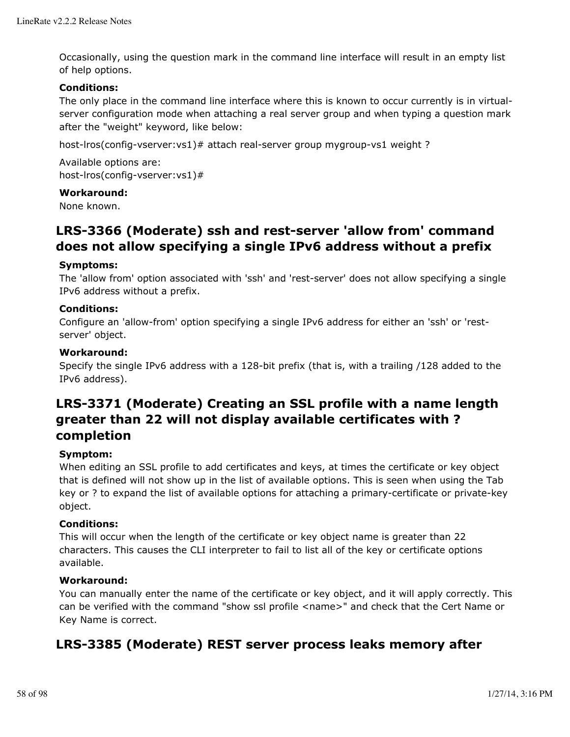Occasionally, using the question mark in the command line interface will result in an empty list of help options.

### **Conditions:**

The only place in the command line interface where this is known to occur currently is in virtualserver configuration mode when attaching a real server group and when typing a question mark after the "weight" keyword, like below:

host-lros(config-vserver: vs1)# attach real-server group mygroup-vs1 weight?

Available options are: host-lros(config-vserver:vs1)#

### **Workaround:**

None known.

# **LRS-3366 (Moderate) ssh and rest-server 'allow from' command does not allow specifying a single IPv6 address without a prefix**

### **Symptoms:**

The 'allow from' option associated with 'ssh' and 'rest-server' does not allow specifying a single IPv6 address without a prefix.

### **Conditions:**

Configure an 'allow-from' option specifying a single IPv6 address for either an 'ssh' or 'restserver' object.

### **Workaround:**

Specify the single IPv6 address with a 128-bit prefix (that is, with a trailing /128 added to the IPv6 address).

# **LRS-3371 (Moderate) Creating an SSL profile with a name length greater than 22 will not display available certificates with ? completion**

## **Symptom:**

When editing an SSL profile to add certificates and keys, at times the certificate or key object that is defined will not show up in the list of available options. This is seen when using the Tab key or ? to expand the list of available options for attaching a primary-certificate or private-key object.

#### **Conditions:**

This will occur when the length of the certificate or key object name is greater than 22 characters. This causes the CLI interpreter to fail to list all of the key or certificate options available.

#### **Workaround:**

You can manually enter the name of the certificate or key object, and it will apply correctly. This can be verified with the command "show ssl profile <name>" and check that the Cert Name or Key Name is correct.

# **LRS-3385 (Moderate) REST server process leaks memory after**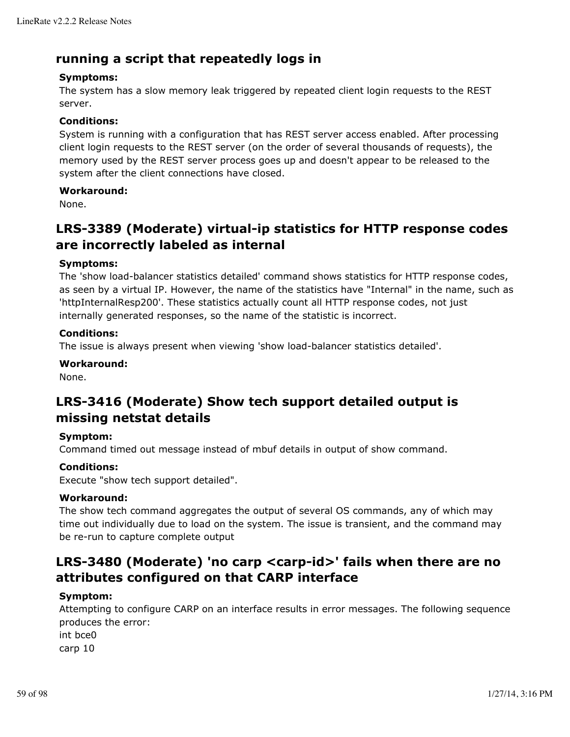# **running a script that repeatedly logs in**

## **Symptoms:**

The system has a slow memory leak triggered by repeated client login requests to the REST server.

### **Conditions:**

System is running with a configuration that has REST server access enabled. After processing client login requests to the REST server (on the order of several thousands of requests), the memory used by the REST server process goes up and doesn't appear to be released to the system after the client connections have closed.

### **Workaround:**

None.

# **LRS-3389 (Moderate) virtual-ip statistics for HTTP response codes are incorrectly labeled as internal**

### **Symptoms:**

The 'show load-balancer statistics detailed' command shows statistics for HTTP response codes, as seen by a virtual IP. However, the name of the statistics have "Internal" in the name, such as 'httpInternalResp200'. These statistics actually count all HTTP response codes, not just internally generated responses, so the name of the statistic is incorrect.

### **Conditions:**

The issue is always present when viewing 'show load-balancer statistics detailed'.

### **Workaround:**

None.

# **LRS-3416 (Moderate) Show tech support detailed output is missing netstat details**

#### **Symptom:**

Command timed out message instead of mbuf details in output of show command.

## **Conditions:**

Execute "show tech support detailed".

#### **Workaround:**

The show tech command aggregates the output of several OS commands, any of which may time out individually due to load on the system. The issue is transient, and the command may be re-run to capture complete output

# **LRS-3480 (Moderate) 'no carp <carp-id>' fails when there are no attributes configured on that CARP interface**

#### **Symptom:**

Attempting to configure CARP on an interface results in error messages. The following sequence produces the error: int bce0 carp 10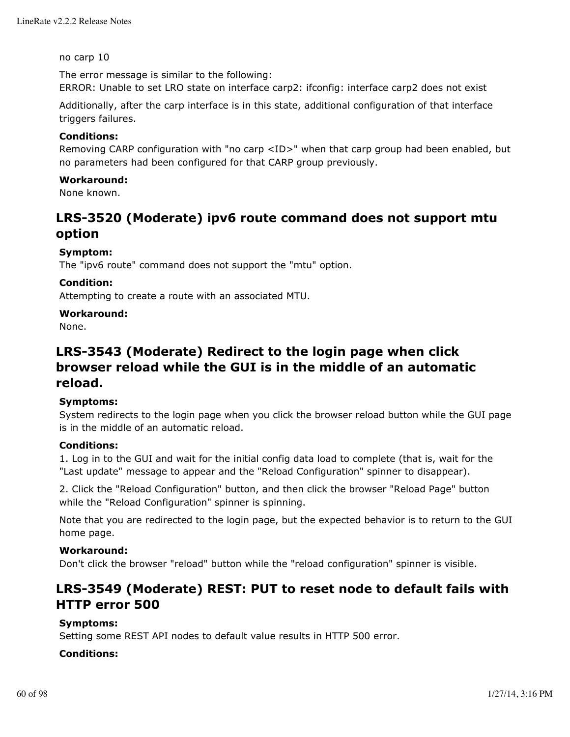no carp 10

The error message is similar to the following:

ERROR: Unable to set LRO state on interface carp2: ifconfig: interface carp2 does not exist

Additionally, after the carp interface is in this state, additional configuration of that interface triggers failures.

### **Conditions:**

Removing CARP configuration with "no carp <ID>" when that carp group had been enabled, but no parameters had been configured for that CARP group previously.

### **Workaround:**

None known.

# **LRS-3520 (Moderate) ipv6 route command does not support mtu option**

### **Symptom:**

The "ipv6 route" command does not support the "mtu" option.

### **Condition:**

Attempting to create a route with an associated MTU.

#### **Workaround:**

None.

# **LRS-3543 (Moderate) Redirect to the login page when click browser reload while the GUI is in the middle of an automatic reload.**

#### **Symptoms:**

System redirects to the login page when you click the browser reload button while the GUI page is in the middle of an automatic reload.

### **Conditions:**

1. Log in to the GUI and wait for the initial config data load to complete (that is, wait for the "Last update" message to appear and the "Reload Configuration" spinner to disappear).

2. Click the "Reload Configuration" button, and then click the browser "Reload Page" button while the "Reload Configuration" spinner is spinning.

Note that you are redirected to the login page, but the expected behavior is to return to the GUI home page.

#### **Workaround:**

Don't click the browser "reload" button while the "reload configuration" spinner is visible.

# **LRS-3549 (Moderate) REST: PUT to reset node to default fails with HTTP error 500**

#### **Symptoms:**

Setting some REST API nodes to default value results in HTTP 500 error.

#### **Conditions:**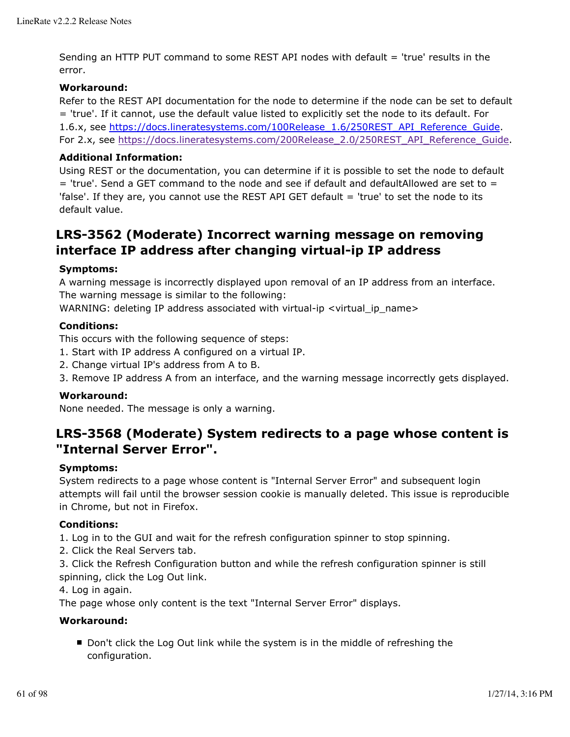Sending an HTTP PUT command to some REST API nodes with default = 'true' results in the error.

### **Workaround:**

Refer to the REST API documentation for the node to determine if the node can be set to default = 'true'. If it cannot, use the default value listed to explicitly set the node to its default. For 1.6.x, see https://docs.lineratesystems.com/100Release\_1.6/250REST\_API\_Reference\_Guide. For 2.x, see https://docs.lineratesystems.com/200Release\_2.0/250REST\_API\_Reference\_Guide.

## **Additional Information:**

Using REST or the documentation, you can determine if it is possible to set the node to default  $=$  'true'. Send a GET command to the node and see if default and defaultAllowed are set to  $=$ 'false'. If they are, you cannot use the REST API GET default = 'true' to set the node to its default value.

# **LRS-3562 (Moderate) Incorrect warning message on removing interface IP address after changing virtual-ip IP address**

### **Symptoms:**

A warning message is incorrectly displayed upon removal of an IP address from an interface. The warning message is similar to the following:

WARNING: deleting IP address associated with virtual-ip <virtual\_ip\_name>

#### **Conditions:**

This occurs with the following sequence of steps:

- 1. Start with IP address A configured on a virtual IP.
- 2. Change virtual IP's address from A to B.
- 3. Remove IP address A from an interface, and the warning message incorrectly gets displayed.

#### **Workaround:**

None needed. The message is only a warning.

# **LRS-3568 (Moderate) System redirects to a page whose content is "Internal Server Error".**

#### **Symptoms:**

System redirects to a page whose content is "Internal Server Error" and subsequent login attempts will fail until the browser session cookie is manually deleted. This issue is reproducible in Chrome, but not in Firefox.

#### **Conditions:**

1. Log in to the GUI and wait for the refresh configuration spinner to stop spinning.

2. Click the Real Servers tab.

3. Click the Refresh Configuration button and while the refresh configuration spinner is still spinning, click the Log Out link.

4. Log in again.

The page whose only content is the text "Internal Server Error" displays.

#### **Workaround:**

■ Don't click the Log Out link while the system is in the middle of refreshing the configuration.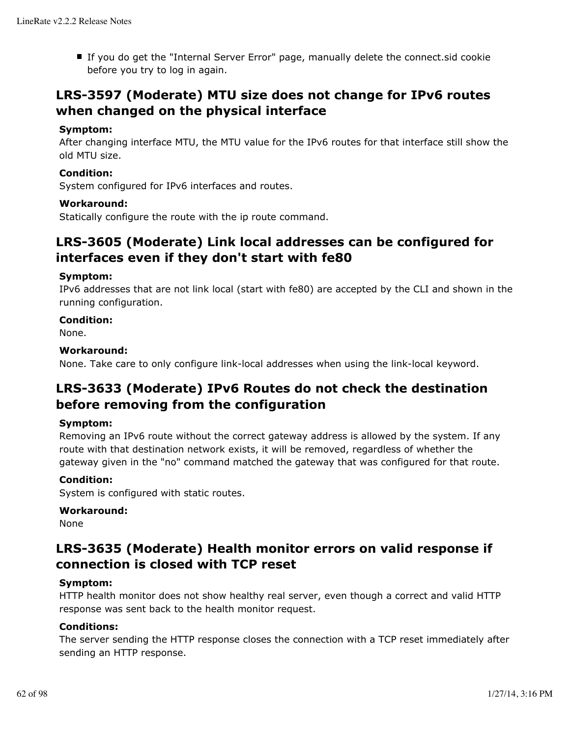If you do get the "Internal Server Error" page, manually delete the connect.sid cookie before you try to log in again.

# **LRS-3597 (Moderate) MTU size does not change for IPv6 routes when changed on the physical interface**

### **Symptom:**

After changing interface MTU, the MTU value for the IPv6 routes for that interface still show the old MTU size.

### **Condition:**

System configured for IPv6 interfaces and routes.

#### **Workaround:**

Statically configure the route with the ip route command.

# **LRS-3605 (Moderate) Link local addresses can be configured for interfaces even if they don't start with fe80**

### **Symptom:**

IPv6 addresses that are not link local (start with fe80) are accepted by the CLI and shown in the running configuration.

## **Condition:**

None.

### **Workaround:**

None. Take care to only configure link-local addresses when using the link-local keyword.

# **LRS-3633 (Moderate) IPv6 Routes do not check the destination before removing from the configuration**

## **Symptom:**

Removing an IPv6 route without the correct gateway address is allowed by the system. If any route with that destination network exists, it will be removed, regardless of whether the gateway given in the "no" command matched the gateway that was configured for that route.

#### **Condition:**

System is configured with static routes.

#### **Workaround:**

None

# **LRS-3635 (Moderate) Health monitor errors on valid response if connection is closed with TCP reset**

## **Symptom:**

HTTP health monitor does not show healthy real server, even though a correct and valid HTTP response was sent back to the health monitor request.

#### **Conditions:**

The server sending the HTTP response closes the connection with a TCP reset immediately after sending an HTTP response.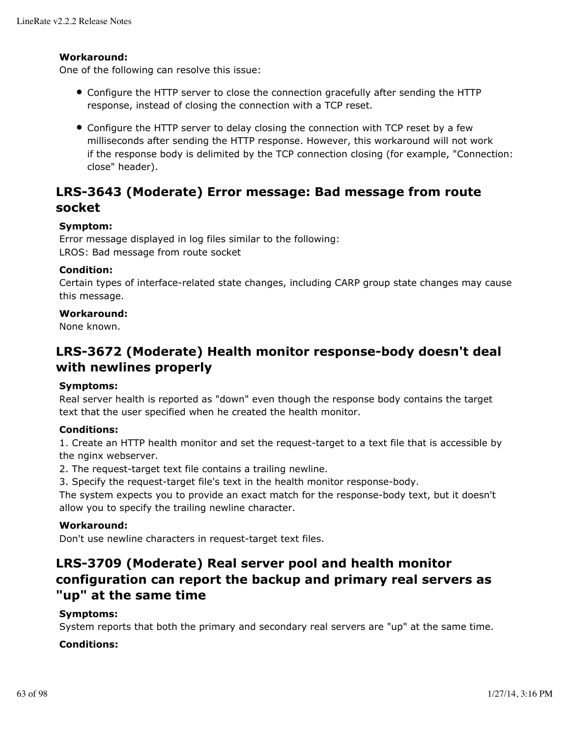### **Workaround:**

One of the following can resolve this issue:

- Configure the HTTP server to close the connection gracefully after sending the HTTP response, instead of closing the connection with a TCP reset.
- Configure the HTTP server to delay closing the connection with TCP reset by a few milliseconds after sending the HTTP response. However, this workaround will not work if the response body is delimited by the TCP connection closing (for example, "Connection: close" header).

# **LRS-3643 (Moderate) Error message: Bad message from route socket**

### **Symptom:**

Error message displayed in log files similar to the following: LROS: Bad message from route socket

### **Condition:**

Certain types of interface-related state changes, including CARP group state changes may cause this message.

### **Workaround:**

None known.

# **LRS-3672 (Moderate) Health monitor response-body doesn't deal with newlines properly**

#### **Symptoms:**

Real server health is reported as "down" even though the response body contains the target text that the user specified when he created the health monitor.

#### **Conditions:**

1. Create an HTTP health monitor and set the request-target to a text file that is accessible by the nginx webserver.

2. The request-target text file contains a trailing newline.

3. Specify the request-target file's text in the health monitor response-body.

The system expects you to provide an exact match for the response-body text, but it doesn't allow you to specify the trailing newline character.

#### **Workaround:**

Don't use newline characters in request-target text files.

# **LRS-3709 (Moderate) Real server pool and health monitor configuration can report the backup and primary real servers as "up" at the same time**

## **Symptoms:**

System reports that both the primary and secondary real servers are "up" at the same time.

## **Conditions:**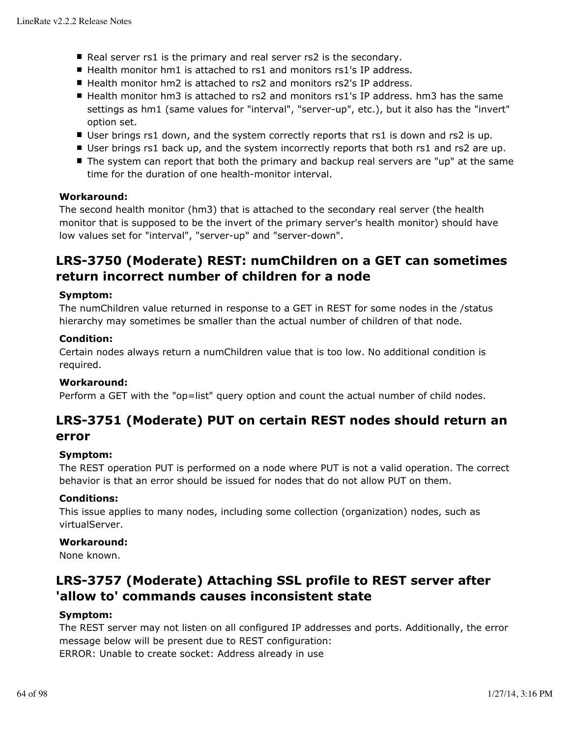- Real server rs1 is the primary and real server rs2 is the secondary.
- $\blacksquare$  Health monitor hm1 is attached to rs1 and monitors rs1's IP address.
- Health monitor hm2 is attached to rs2 and monitors rs2's IP address.
- Health monitor hm3 is attached to rs2 and monitors rs1's IP address. hm3 has the same settings as hm1 (same values for "interval", "server-up", etc.), but it also has the "invert" option set.
- User brings rs1 down, and the system correctly reports that rs1 is down and rs2 is up.
- User brings rs1 back up, and the system incorrectly reports that both rs1 and rs2 are up.
- The system can report that both the primary and backup real servers are "up" at the same time for the duration of one health-monitor interval.

### **Workaround:**

The second health monitor (hm3) that is attached to the secondary real server (the health monitor that is supposed to be the invert of the primary server's health monitor) should have low values set for "interval", "server-up" and "server-down".

# **LRS-3750 (Moderate) REST: numChildren on a GET can sometimes return incorrect number of children for a node**

#### **Symptom:**

The numChildren value returned in response to a GET in REST for some nodes in the /status hierarchy may sometimes be smaller than the actual number of children of that node.

#### **Condition:**

Certain nodes always return a numChildren value that is too low. No additional condition is required.

#### **Workaround:**

Perform a GET with the "op=list" query option and count the actual number of child nodes.

# **LRS-3751 (Moderate) PUT on certain REST nodes should return an error**

## **Symptom:**

The REST operation PUT is performed on a node where PUT is not a valid operation. The correct behavior is that an error should be issued for nodes that do not allow PUT on them.

## **Conditions:**

This issue applies to many nodes, including some collection (organization) nodes, such as virtualServer.

#### **Workaround:**

None known.

# **LRS-3757 (Moderate) Attaching SSL profile to REST server after 'allow to' commands causes inconsistent state**

## **Symptom:**

The REST server may not listen on all configured IP addresses and ports. Additionally, the error message below will be present due to REST configuration: ERROR: Unable to create socket: Address already in use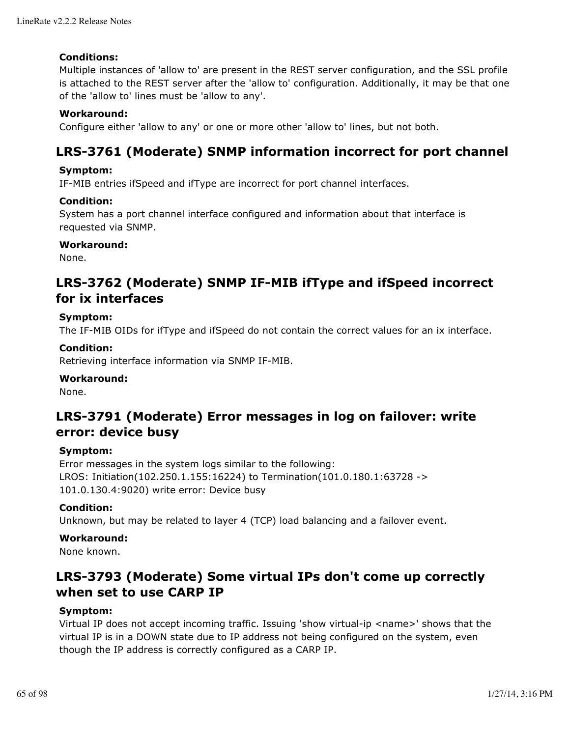### **Conditions:**

Multiple instances of 'allow to' are present in the REST server configuration, and the SSL profile is attached to the REST server after the 'allow to' configuration. Additionally, it may be that one of the 'allow to' lines must be 'allow to any'.

### **Workaround:**

Configure either 'allow to any' or one or more other 'allow to' lines, but not both.

# **LRS-3761 (Moderate) SNMP information incorrect for port channel**

#### **Symptom:**

IF-MIB entries ifSpeed and ifType are incorrect for port channel interfaces.

#### **Condition:**

System has a port channel interface configured and information about that interface is requested via SNMP.

### **Workaround:**

None.

# **LRS-3762 (Moderate) SNMP IF-MIB ifType and ifSpeed incorrect for ix interfaces**

### **Symptom:**

The IF-MIB OIDs for ifType and ifSpeed do not contain the correct values for an ix interface.

### **Condition:**

Retrieving interface information via SNMP IF-MIB.

#### **Workaround:**

None.

# **LRS-3791 (Moderate) Error messages in log on failover: write error: device busy**

#### **Symptom:**

Error messages in the system logs similar to the following: LROS: Initiation(102.250.1.155:16224) to Termination(101.0.180.1:63728 -> 101.0.130.4:9020) write error: Device busy

#### **Condition:**

Unknown, but may be related to layer 4 (TCP) load balancing and a failover event.

#### **Workaround:**

None known.

# **LRS-3793 (Moderate) Some virtual IPs don't come up correctly when set to use CARP IP**

#### **Symptom:**

Virtual IP does not accept incoming traffic. Issuing 'show virtual-ip <name>' shows that the virtual IP is in a DOWN state due to IP address not being configured on the system, even though the IP address is correctly configured as a CARP IP.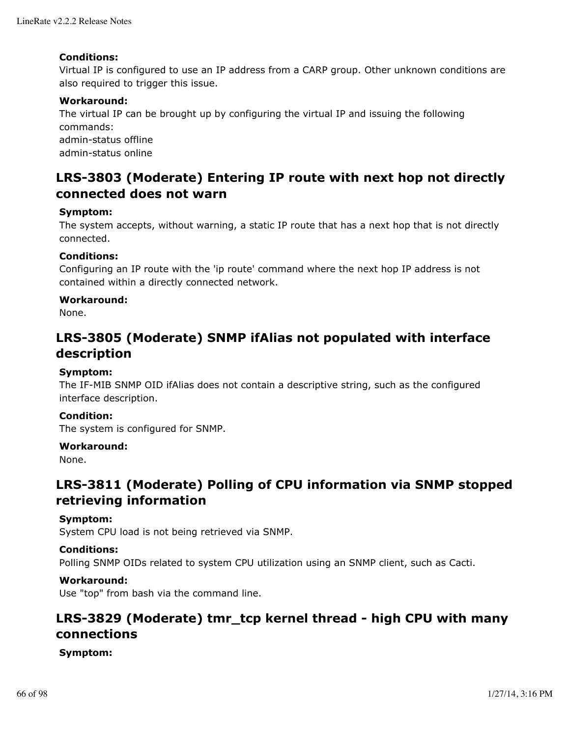### **Conditions:**

Virtual IP is configured to use an IP address from a CARP group. Other unknown conditions are also required to trigger this issue.

## **Workaround:**

The virtual IP can be brought up by configuring the virtual IP and issuing the following commands: admin-status offline

admin-status online

# **LRS-3803 (Moderate) Entering IP route with next hop not directly connected does not warn**

### **Symptom:**

The system accepts, without warning, a static IP route that has a next hop that is not directly connected.

### **Conditions:**

Configuring an IP route with the 'ip route' command where the next hop IP address is not contained within a directly connected network.

### **Workaround:**

None.

# **LRS-3805 (Moderate) SNMP ifAlias not populated with interface description**

### **Symptom:**

The IF-MIB SNMP OID ifAlias does not contain a descriptive string, such as the configured interface description.

#### **Condition:**

The system is configured for SNMP.

#### **Workaround:**

None.

# **LRS-3811 (Moderate) Polling of CPU information via SNMP stopped retrieving information**

#### **Symptom:**

System CPU load is not being retrieved via SNMP.

## **Conditions:**

Polling SNMP OIDs related to system CPU utilization using an SNMP client, such as Cacti.

## **Workaround:**

Use "top" from bash via the command line.

# **LRS-3829 (Moderate) tmr\_tcp kernel thread - high CPU with many connections**

#### **Symptom:**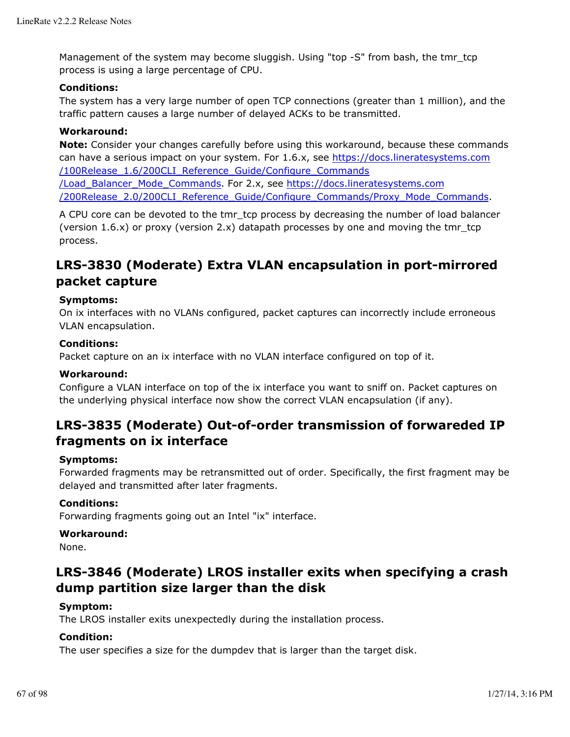Management of the system may become sluggish. Using "top -S" from bash, the tmr\_tcp process is using a large percentage of CPU.

#### **Conditions:**

The system has a very large number of open TCP connections (greater than 1 million), and the traffic pattern causes a large number of delayed ACKs to be transmitted.

## **Workaround:**

**Note:** Consider your changes carefully before using this workaround, because these commands can have a serious impact on your system. For 1.6.x, see https://docs.lineratesystems.com /100Release\_1.6/200CLI\_Reference\_Guide/Configure\_Commands /Load\_Balancer\_Mode\_Commands. For 2.x, see https://docs.lineratesystems.com /200Release\_2.0/200CLI\_Reference\_Guide/Configure\_Commands/Proxy\_Mode\_Commands.

A CPU core can be devoted to the tmr\_tcp process by decreasing the number of load balancer (version 1.6.x) or proxy (version 2.x) datapath processes by one and moving the tmr\_tcp process.

# **LRS-3830 (Moderate) Extra VLAN encapsulation in port-mirrored packet capture**

### **Symptoms:**

On ix interfaces with no VLANs configured, packet captures can incorrectly include erroneous VLAN encapsulation.

## **Conditions:**

Packet capture on an ix interface with no VLAN interface configured on top of it.

### **Workaround:**

Configure a VLAN interface on top of the ix interface you want to sniff on. Packet captures on the underlying physical interface now show the correct VLAN encapsulation (if any).

# **LRS-3835 (Moderate) Out-of-order transmission of forwareded IP fragments on ix interface**

#### **Symptoms:**

Forwarded fragments may be retransmitted out of order. Specifically, the first fragment may be delayed and transmitted after later fragments.

#### **Conditions:**

Forwarding fragments going out an Intel "ix" interface.

#### **Workaround:**

None.

# **LRS-3846 (Moderate) LROS installer exits when specifying a crash dump partition size larger than the disk**

#### **Symptom:**

The LROS installer exits unexpectedly during the installation process.

## **Condition:**

The user specifies a size for the dumpdev that is larger than the target disk.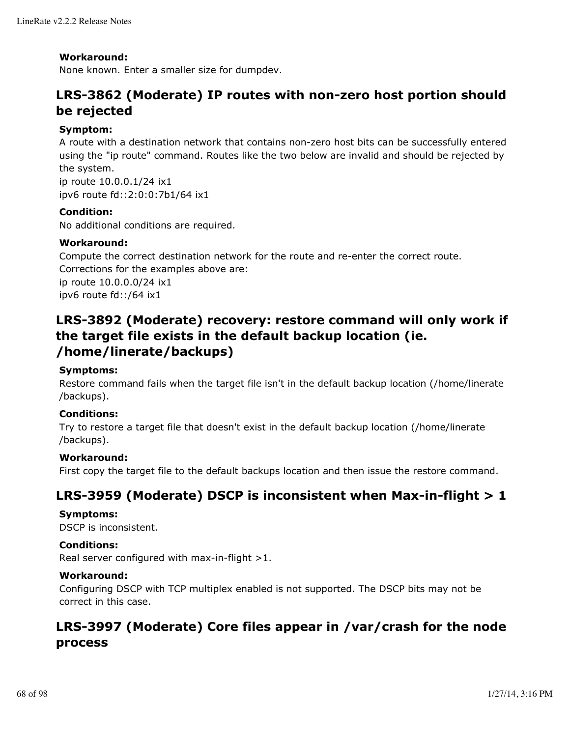### **Workaround:**

None known. Enter a smaller size for dumpdev.

# **LRS-3862 (Moderate) IP routes with non-zero host portion should be rejected**

### **Symptom:**

A route with a destination network that contains non-zero host bits can be successfully entered using the "ip route" command. Routes like the two below are invalid and should be rejected by the system.

ip route 10.0.0.1/24 ix1 ipv6 route fd::2:0:0:7b1/64 ix1

### **Condition:**

No additional conditions are required.

### **Workaround:**

Compute the correct destination network for the route and re-enter the correct route. Corrections for the examples above are: ip route 10.0.0.0/24 ix1 ipv6 route fd::/64 ix1

# **LRS-3892 (Moderate) recovery: restore command will only work if the target file exists in the default backup location (ie. /home/linerate/backups)**

### **Symptoms:**

Restore command fails when the target file isn't in the default backup location (/home/linerate /backups).

### **Conditions:**

Try to restore a target file that doesn't exist in the default backup location (/home/linerate /backups).

#### **Workaround:**

First copy the target file to the default backups location and then issue the restore command.

# **LRS-3959 (Moderate) DSCP is inconsistent when Max-in-flight > 1**

#### **Symptoms:**

DSCP is inconsistent.

#### **Conditions:**

Real server configured with max-in-flight >1.

#### **Workaround:**

Configuring DSCP with TCP multiplex enabled is not supported. The DSCP bits may not be correct in this case.

# **LRS-3997 (Moderate) Core files appear in /var/crash for the node process**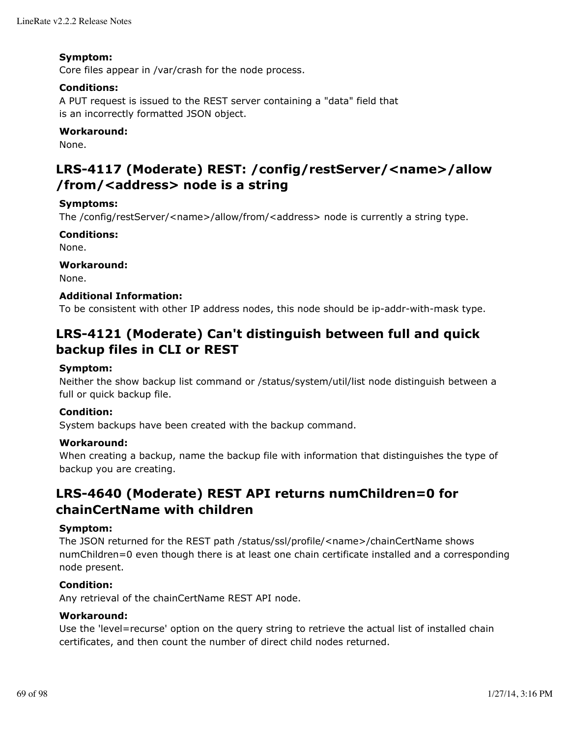### **Symptom:**

Core files appear in /var/crash for the node process.

### **Conditions:**

A PUT request is issued to the REST server containing a "data" field that is an incorrectly formatted JSON object.

### **Workaround:**

None.

# **LRS-4117 (Moderate) REST: /config/restServer/<name>/allow /from/<address> node is a string**

### **Symptoms:**

The /config/restServer/<name>/allow/from/<address> node is currently a string type.

**Conditions:** None.

**Workaround:** None.

## **Additional Information:**

To be consistent with other IP address nodes, this node should be ip-addr-with-mask type.

# **LRS-4121 (Moderate) Can't distinguish between full and quick backup files in CLI or REST**

## **Symptom:**

Neither the show backup list command or /status/system/util/list node distinguish between a full or quick backup file.

#### **Condition:**

System backups have been created with the backup command.

#### **Workaround:**

When creating a backup, name the backup file with information that distinguishes the type of backup you are creating.

# **LRS-4640 (Moderate) REST API returns numChildren=0 for chainCertName with children**

#### **Symptom:**

The JSON returned for the REST path /status/ssl/profile/<name>/chainCertName shows numChildren=0 even though there is at least one chain certificate installed and a corresponding node present.

#### **Condition:**

Any retrieval of the chainCertName REST API node.

### **Workaround:**

Use the 'level=recurse' option on the query string to retrieve the actual list of installed chain certificates, and then count the number of direct child nodes returned.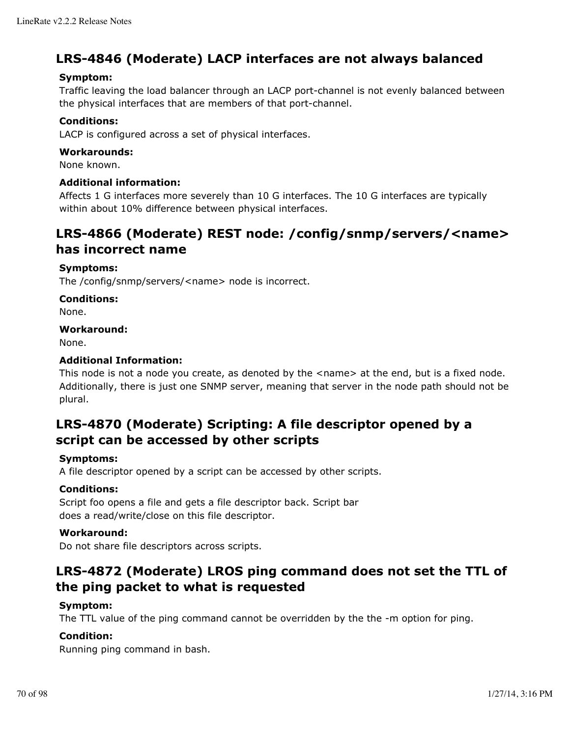# **LRS-4846 (Moderate) LACP interfaces are not always balanced**

## **Symptom:**

Traffic leaving the load balancer through an LACP port-channel is not evenly balanced between the physical interfaces that are members of that port-channel.

## **Conditions:**

LACP is configured across a set of physical interfaces.

## **Workarounds:**

None known.

## **Additional information:**

Affects 1 G interfaces more severely than 10 G interfaces. The 10 G interfaces are typically within about 10% difference between physical interfaces.

# **LRS-4866 (Moderate) REST node: /config/snmp/servers/<name> has incorrect name**

## **Symptoms:**

The /config/snmp/servers/<name> node is incorrect.

### **Conditions:**

None.

### **Workaround:**

None.

## **Additional Information:**

This node is not a node you create, as denoted by the <name> at the end, but is a fixed node. Additionally, there is just one SNMP server, meaning that server in the node path should not be plural.

# **LRS-4870 (Moderate) Scripting: A file descriptor opened by a script can be accessed by other scripts**

## **Symptoms:**

A file descriptor opened by a script can be accessed by other scripts.

## **Conditions:**

Script foo opens a file and gets a file descriptor back. Script bar does a read/write/close on this file descriptor.

## **Workaround:**

Do not share file descriptors across scripts.

# **LRS-4872 (Moderate) LROS ping command does not set the TTL of the ping packet to what is requested**

## **Symptom:**

The TTL value of the ping command cannot be overridden by the the -m option for ping.

## **Condition:**

Running ping command in bash.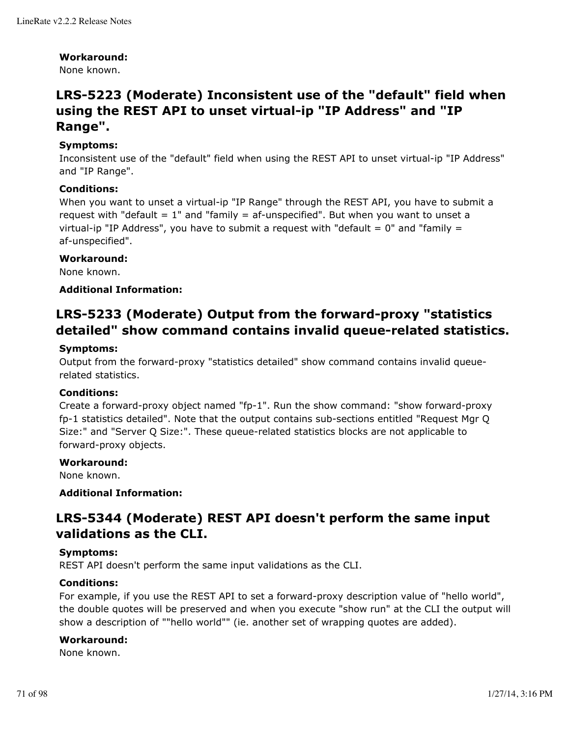#### **Workaround:**

None known.

# **LRS-5223 (Moderate) Inconsistent use of the "default" field when using the REST API to unset virtual-ip "IP Address" and "IP Range".**

## **Symptoms:**

Inconsistent use of the "default" field when using the REST API to unset virtual-ip "IP Address" and "IP Range".

### **Conditions:**

When you want to unset a virtual-ip "IP Range" through the REST API, you have to submit a request with "default  $= 1$ " and "family  $=$  af-unspecified". But when you want to unset a virtual-ip "IP Address", you have to submit a request with "default  $= 0$ " and "family  $=$ af-unspecified".

#### **Workaround:**

None known.

#### **Additional Information:**

# **LRS-5233 (Moderate) Output from the forward-proxy "statistics detailed" show command contains invalid queue-related statistics.**

#### **Symptoms:**

Output from the forward-proxy "statistics detailed" show command contains invalid queuerelated statistics.

#### **Conditions:**

Create a forward-proxy object named "fp-1". Run the show command: "show forward-proxy fp-1 statistics detailed". Note that the output contains sub-sections entitled "Request Mgr Q Size:" and "Server Q Size:". These queue-related statistics blocks are not applicable to forward-proxy objects.

#### **Workaround:**

None known.

### **Additional Information:**

# **LRS-5344 (Moderate) REST API doesn't perform the same input validations as the CLI.**

#### **Symptoms:**

REST API doesn't perform the same input validations as the CLI.

#### **Conditions:**

For example, if you use the REST API to set a forward-proxy description value of "hello world", the double quotes will be preserved and when you execute "show run" at the CLI the output will show a description of ""hello world"" (ie. another set of wrapping quotes are added).

### **Workaround:**

None known.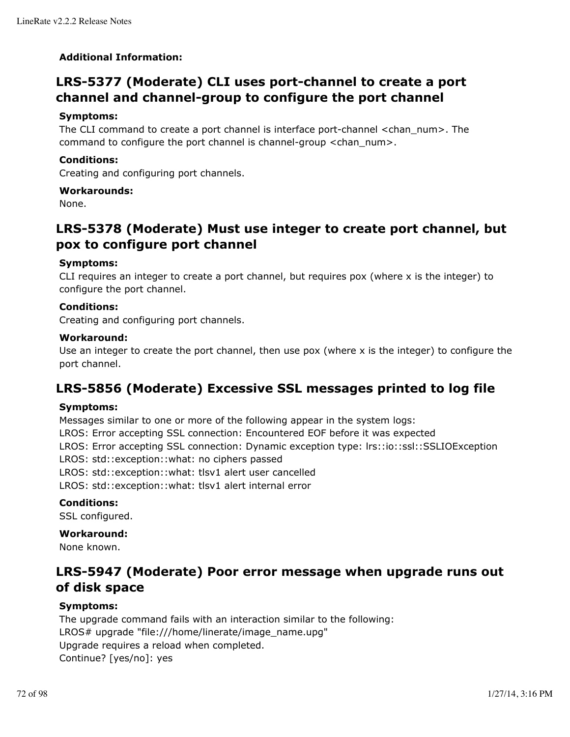## **Additional Information:**

# **LRS-5377 (Moderate) CLI uses port-channel to create a port channel and channel-group to configure the port channel**

### **Symptoms:**

The CLI command to create a port channel is interface port-channel <chan\_num>. The command to configure the port channel is channel-group <chan\_num>.

### **Conditions:**

Creating and configuring port channels.

#### **Workarounds:**

None.

# **LRS-5378 (Moderate) Must use integer to create port channel, but pox to configure port channel**

### **Symptoms:**

CLI requires an integer to create a port channel, but requires pox (where x is the integer) to configure the port channel.

### **Conditions:**

Creating and configuring port channels.

#### **Workaround:**

Use an integer to create the port channel, then use pox (where  $x$  is the integer) to configure the port channel.

# **LRS-5856 (Moderate) Excessive SSL messages printed to log file**

#### **Symptoms:**

Messages similar to one or more of the following appear in the system logs:

LROS: Error accepting SSL connection: Encountered EOF before it was expected

LROS: Error accepting SSL connection: Dynamic exception type: lrs::io::ssl::SSLIOException

LROS: std::exception::what: no ciphers passed

LROS: std::exception::what: tlsv1 alert user cancelled

LROS: std::exception::what: tlsv1 alert internal error

## **Conditions:**

SSL configured.

## **Workaround:**

None known.

# **LRS-5947 (Moderate) Poor error message when upgrade runs out of disk space**

## **Symptoms:**

The upgrade command fails with an interaction similar to the following: LROS# upgrade "file:///home/linerate/image\_name.upg" Upgrade requires a reload when completed. Continue? [yes/no]: yes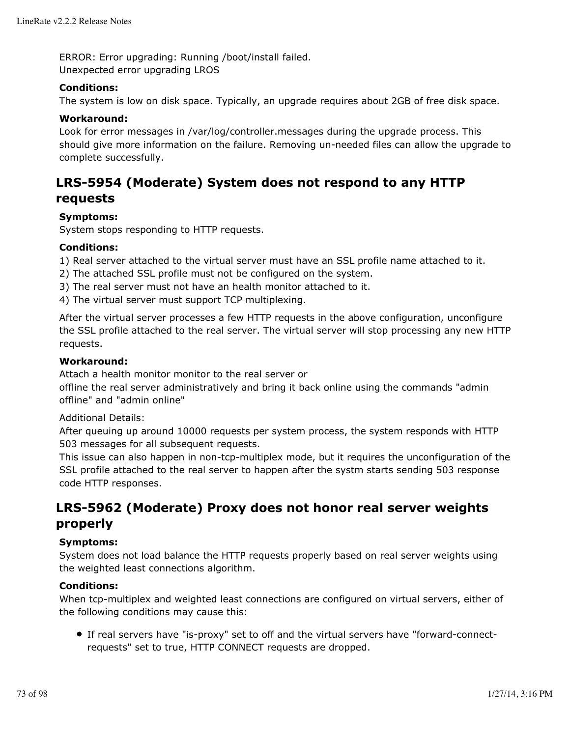ERROR: Error upgrading: Running /boot/install failed. Unexpected error upgrading LROS

# **Conditions:**

The system is low on disk space. Typically, an upgrade requires about 2GB of free disk space.

# **Workaround:**

Look for error messages in /var/log/controller.messages during the upgrade process. This should give more information on the failure. Removing un-needed files can allow the upgrade to complete successfully.

# **LRS-5954 (Moderate) System does not respond to any HTTP requests**

# **Symptoms:**

System stops responding to HTTP requests.

# **Conditions:**

1) Real server attached to the virtual server must have an SSL profile name attached to it.

- 2) The attached SSL profile must not be configured on the system.
- 3) The real server must not have an health monitor attached to it.
- 4) The virtual server must support TCP multiplexing.

After the virtual server processes a few HTTP requests in the above configuration, unconfigure the SSL profile attached to the real server. The virtual server will stop processing any new HTTP requests.

# **Workaround:**

Attach a health monitor monitor to the real server or

offline the real server administratively and bring it back online using the commands "admin offline" and "admin online"

Additional Details:

After queuing up around 10000 requests per system process, the system responds with HTTP 503 messages for all subsequent requests.

This issue can also happen in non-tcp-multiplex mode, but it requires the unconfiguration of the SSL profile attached to the real server to happen after the systm starts sending 503 response code HTTP responses.

# **LRS-5962 (Moderate) Proxy does not honor real server weights properly**

# **Symptoms:**

System does not load balance the HTTP requests properly based on real server weights using the weighted least connections algorithm.

## **Conditions:**

When tcp-multiplex and weighted least connections are configured on virtual servers, either of the following conditions may cause this:

If real servers have "is-proxy" set to off and the virtual servers have "forward-connectrequests" set to true, HTTP CONNECT requests are dropped.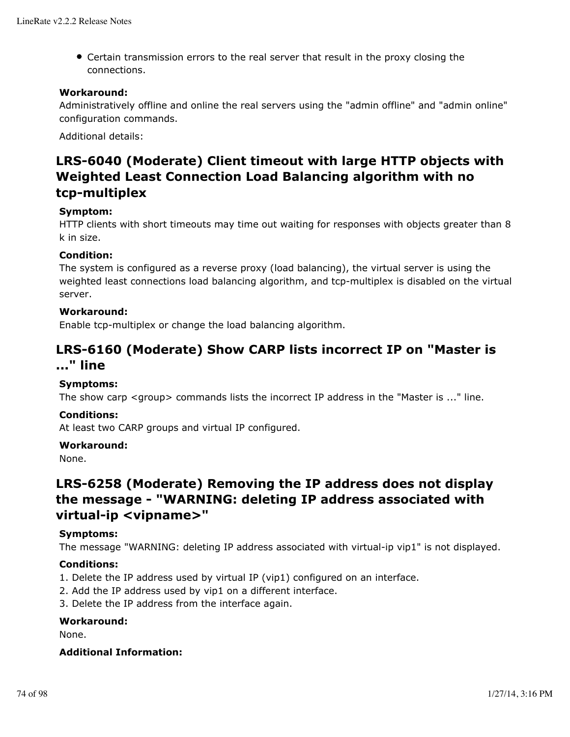Certain transmission errors to the real server that result in the proxy closing the connections.

# **Workaround:**

Administratively offline and online the real servers using the "admin offline" and "admin online" configuration commands.

Additional details:

# **LRS-6040 (Moderate) Client timeout with large HTTP objects with Weighted Least Connection Load Balancing algorithm with no tcp-multiplex**

## **Symptom:**

HTTP clients with short timeouts may time out waiting for responses with objects greater than 8 k in size.

# **Condition:**

The system is configured as a reverse proxy (load balancing), the virtual server is using the weighted least connections load balancing algorithm, and tcp-multiplex is disabled on the virtual server.

# **Workaround:**

Enable tcp-multiplex or change the load balancing algorithm.

# **LRS-6160 (Moderate) Show CARP lists incorrect IP on "Master is ..." line**

## **Symptoms:**

The show carp <group> commands lists the incorrect IP address in the "Master is ..." line.

# **Conditions:**

At least two CARP groups and virtual IP configured.

## **Workaround:**

None.

# **LRS-6258 (Moderate) Removing the IP address does not display the message - "WARNING: deleting IP address associated with virtual-ip <vipname>"**

## **Symptoms:**

The message "WARNING: deleting IP address associated with virtual-ip vip1" is not displayed.

## **Conditions:**

- 1. Delete the IP address used by virtual IP (vip1) configured on an interface.
- 2. Add the IP address used by vip1 on a different interface.
- 3. Delete the IP address from the interface again.

## **Workaround:**

None.

## **Additional Information:**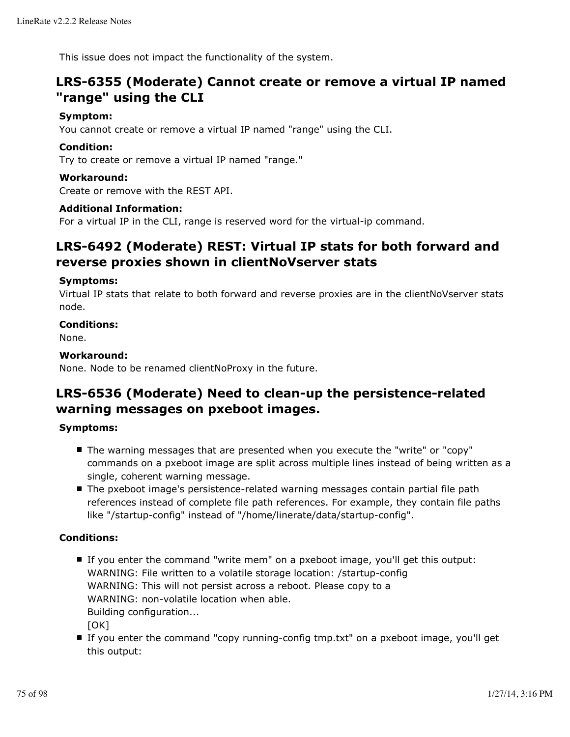This issue does not impact the functionality of the system.

# **LRS-6355 (Moderate) Cannot create or remove a virtual IP named "range" using the CLI**

# **Symptom:**

You cannot create or remove a virtual IP named "range" using the CLI.

# **Condition:**

Try to create or remove a virtual IP named "range."

# **Workaround:**

Create or remove with the REST API.

## **Additional Information:**

For a virtual IP in the CLI, range is reserved word for the virtual-ip command.

# **LRS-6492 (Moderate) REST: Virtual IP stats for both forward and reverse proxies shown in clientNoVserver stats**

## **Symptoms:**

Virtual IP stats that relate to both forward and reverse proxies are in the clientNoVserver stats node.

# **Conditions:**

None.

# **Workaround:**

None. Node to be renamed clientNoProxy in the future.

# **LRS-6536 (Moderate) Need to clean-up the persistence-related warning messages on pxeboot images.**

## **Symptoms:**

- The warning messages that are presented when you execute the "write" or "copy" commands on a pxeboot image are split across multiple lines instead of being written as a single, coherent warning message.
- The pxeboot image's persistence-related warning messages contain partial file path references instead of complete file path references. For example, they contain file paths like "/startup-config" instead of "/home/linerate/data/startup-config".

# **Conditions:**

- If you enter the command "write mem" on a pxeboot image, you'll get this output: WARNING: File written to a volatile storage location: /startup-config WARNING: This will not persist across a reboot. Please copy to a WARNING: non-volatile location when able. Building configuration...  $[OK]$
- If you enter the command "copy running-config tmp.txt" on a pxeboot image, you'll get this output: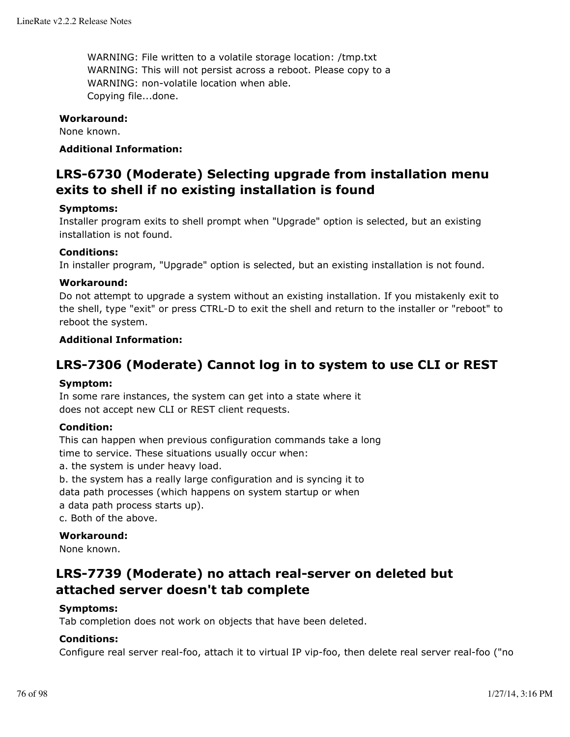WARNING: File written to a volatile storage location: /tmp.txt WARNING: This will not persist across a reboot. Please copy to a WARNING: non-volatile location when able. Copying file...done.

# **Workaround:**

None known.

# **Additional Information:**

# **LRS-6730 (Moderate) Selecting upgrade from installation menu exits to shell if no existing installation is found**

## **Symptoms:**

Installer program exits to shell prompt when "Upgrade" option is selected, but an existing installation is not found.

# **Conditions:**

In installer program, "Upgrade" option is selected, but an existing installation is not found.

# **Workaround:**

Do not attempt to upgrade a system without an existing installation. If you mistakenly exit to the shell, type "exit" or press CTRL-D to exit the shell and return to the installer or "reboot" to reboot the system.

# **Additional Information:**

# **LRS-7306 (Moderate) Cannot log in to system to use CLI or REST**

# **Symptom:**

In some rare instances, the system can get into a state where it does not accept new CLI or REST client requests.

## **Condition:**

This can happen when previous configuration commands take a long time to service. These situations usually occur when:

a. the system is under heavy load.

b. the system has a really large configuration and is syncing it to

data path processes (which happens on system startup or when

a data path process starts up).

c. Both of the above.

## **Workaround:**

None known.

# **LRS-7739 (Moderate) no attach real-server on deleted but attached server doesn't tab complete**

## **Symptoms:**

Tab completion does not work on objects that have been deleted.

## **Conditions:**

Configure real server real-foo, attach it to virtual IP vip-foo, then delete real server real-foo ("no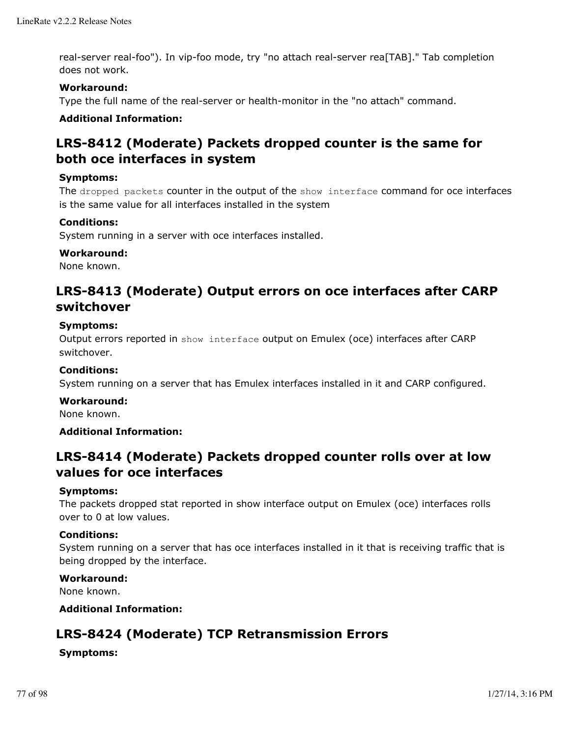real-server real-foo"). In vip-foo mode, try "no attach real-server rea[TAB]." Tab completion does not work.

# **Workaround:**

Type the full name of the real-server or health-monitor in the "no attach" command.

# **Additional Information:**

# **LRS-8412 (Moderate) Packets dropped counter is the same for both oce interfaces in system**

# **Symptoms:**

The dropped packets counter in the output of the show interface command for oce interfaces is the same value for all interfaces installed in the system

# **Conditions:**

System running in a server with oce interfaces installed.

# **Workaround:**

None known.

# **LRS-8413 (Moderate) Output errors on oce interfaces after CARP switchover**

## **Symptoms:**

Output errors reported in show interface output on Emulex (oce) interfaces after CARP switchover.

## **Conditions:**

System running on a server that has Emulex interfaces installed in it and CARP configured.

## **Workaround:**

None known.

## **Additional Information:**

# **LRS-8414 (Moderate) Packets dropped counter rolls over at low values for oce interfaces**

## **Symptoms:**

The packets dropped stat reported in show interface output on Emulex (oce) interfaces rolls over to 0 at low values.

# **Conditions:**

System running on a server that has oce interfaces installed in it that is receiving traffic that is being dropped by the interface.

## **Workaround:**

None known.

# **Additional Information:**

# **LRS-8424 (Moderate) TCP Retransmission Errors**

# **Symptoms:**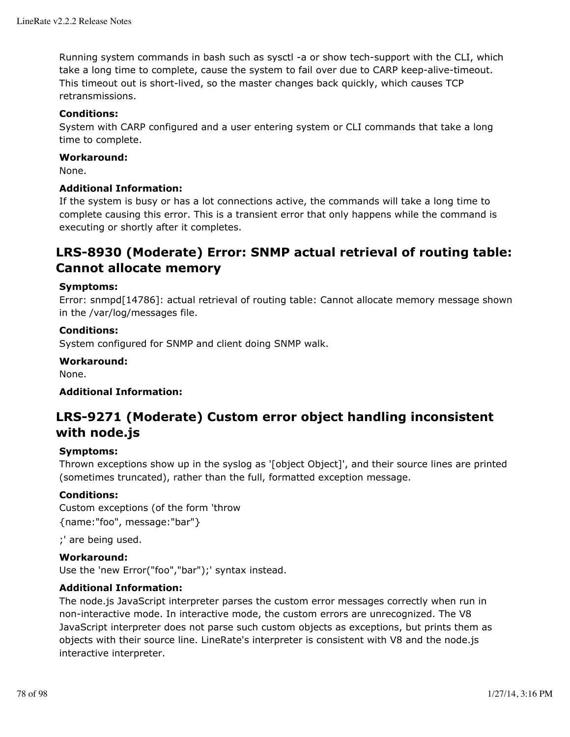Running system commands in bash such as sysctl -a or show tech-support with the CLI, which take a long time to complete, cause the system to fail over due to CARP keep-alive-timeout. This timeout out is short-lived, so the master changes back quickly, which causes TCP retransmissions.

# **Conditions:**

System with CARP configured and a user entering system or CLI commands that take a long time to complete.

## **Workaround:**

None.

# **Additional Information:**

If the system is busy or has a lot connections active, the commands will take a long time to complete causing this error. This is a transient error that only happens while the command is executing or shortly after it completes.

# **LRS-8930 (Moderate) Error: SNMP actual retrieval of routing table: Cannot allocate memory**

# **Symptoms:**

Error: snmpd[14786]: actual retrieval of routing table: Cannot allocate memory message shown in the /var/log/messages file.

# **Conditions:**

System configured for SNMP and client doing SNMP walk.

# **Workaround:**

None.

# **Additional Information:**

# **LRS-9271 (Moderate) Custom error object handling inconsistent with node.js**

## **Symptoms:**

Thrown exceptions show up in the syslog as '[object Object]', and their source lines are printed (sometimes truncated), rather than the full, formatted exception message.

## **Conditions:**

Custom exceptions (of the form 'throw {name:"foo", message:"bar"}

;' are being used.

# **Workaround:**

Use the 'new Error("foo","bar");' syntax instead.

# **Additional Information:**

The node.js JavaScript interpreter parses the custom error messages correctly when run in non-interactive mode. In interactive mode, the custom errors are unrecognized. The V8 JavaScript interpreter does not parse such custom objects as exceptions, but prints them as objects with their source line. LineRate's interpreter is consistent with V8 and the node.js interactive interpreter.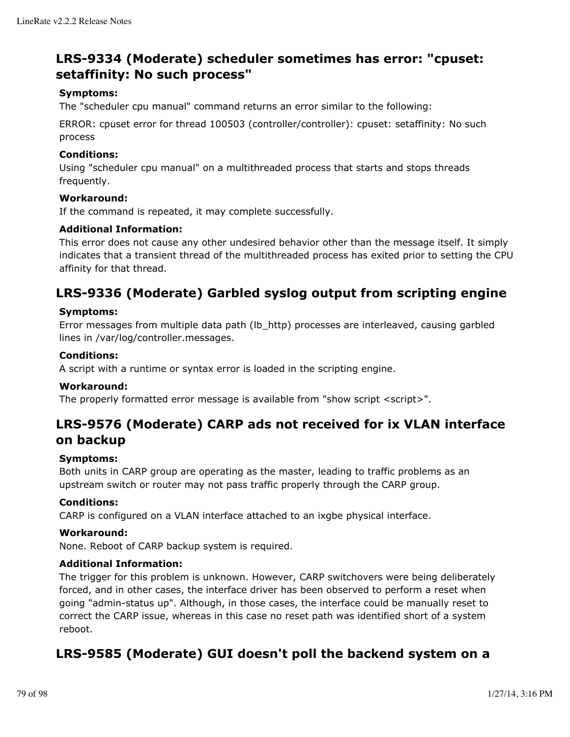# **LRS-9334 (Moderate) scheduler sometimes has error: "cpuset: setaffinity: No such process"**

# **Symptoms:**

The "scheduler cpu manual" command returns an error similar to the following:

ERROR: cpuset error for thread 100503 (controller/controller): cpuset: setaffinity: No such process

# **Conditions:**

Using "scheduler cpu manual" on a multithreaded process that starts and stops threads frequently.

## **Workaround:**

If the command is repeated, it may complete successfully.

## **Additional Information:**

This error does not cause any other undesired behavior other than the message itself. It simply indicates that a transient thread of the multithreaded process has exited prior to setting the CPU affinity for that thread.

# **LRS-9336 (Moderate) Garbled syslog output from scripting engine**

## **Symptoms:**

Error messages from multiple data path (lb\_http) processes are interleaved, causing garbled lines in /var/log/controller.messages.

# **Conditions:**

A script with a runtime or syntax error is loaded in the scripting engine.

## **Workaround:**

The properly formatted error message is available from "show script <script>".

# **LRS-9576 (Moderate) CARP ads not received for ix VLAN interface on backup**

# **Symptoms:**

Both units in CARP group are operating as the master, leading to traffic problems as an upstream switch or router may not pass traffic properly through the CARP group.

## **Conditions:**

CARP is configured on a VLAN interface attached to an ixgbe physical interface.

## **Workaround:**

None. Reboot of CARP backup system is required.

## **Additional Information:**

The trigger for this problem is unknown. However, CARP switchovers were being deliberately forced, and in other cases, the interface driver has been observed to perform a reset when going "admin-status up". Although, in those cases, the interface could be manually reset to correct the CARP issue, whereas in this case no reset path was identified short of a system reboot.

# **LRS-9585 (Moderate) GUI doesn't poll the backend system on a**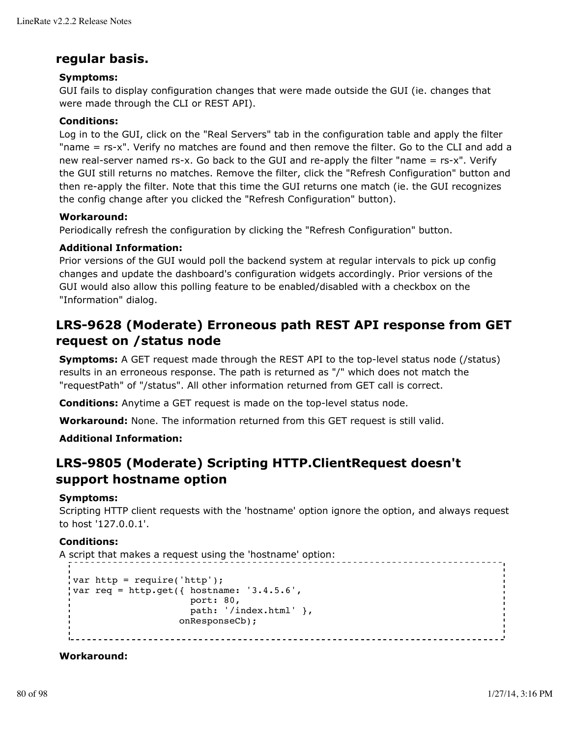# **regular basis.**

# **Symptoms:**

GUI fails to display configuration changes that were made outside the GUI (ie. changes that were made through the CLI or REST API).

# **Conditions:**

Log in to the GUI, click on the "Real Servers" tab in the configuration table and apply the filter "name = rs-x". Verify no matches are found and then remove the filter. Go to the CLI and add a new real-server named rs-x. Go back to the GUI and re-apply the filter "name = rs-x". Verify the GUI still returns no matches. Remove the filter, click the "Refresh Configuration" button and then re-apply the filter. Note that this time the GUI returns one match (ie. the GUI recognizes the config change after you clicked the "Refresh Configuration" button).

# **Workaround:**

Periodically refresh the configuration by clicking the "Refresh Configuration" button.

# **Additional Information:**

Prior versions of the GUI would poll the backend system at regular intervals to pick up config changes and update the dashboard's configuration widgets accordingly. Prior versions of the GUI would also allow this polling feature to be enabled/disabled with a checkbox on the "Information" dialog.

# **LRS-9628 (Moderate) Erroneous path REST API response from GET request on /status node**

**Symptoms:** A GET request made through the REST API to the top-level status node (/status) results in an erroneous response. The path is returned as "/" which does not match the "requestPath" of "/status". All other information returned from GET call is correct.

**Conditions:** Anytime a GET request is made on the top-level status node.

**Workaround:** None. The information returned from this GET request is still valid.

# **Additional Information:**

# **LRS-9805 (Moderate) Scripting HTTP.ClientRequest doesn't support hostname option**

# **Symptoms:**

Scripting HTTP client requests with the 'hostname' option ignore the option, and always request to host '127.0.0.1'.

# **Conditions:**

A script that makes a request using the 'hostname' option:

```
var http = require('http');
var req = http.get({ hostname: '3.4.5.6',
                      port: 80,
                       path: '/index.html' },
                    onResponseCb);
```
# **Workaround:**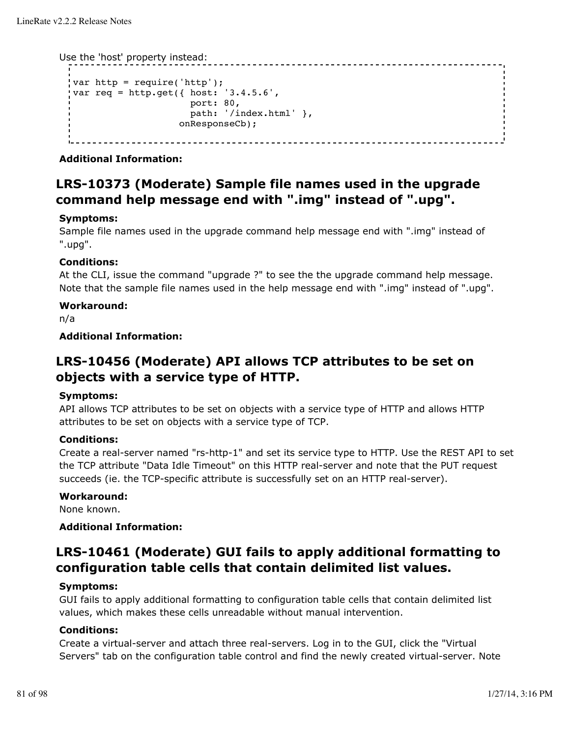Use the 'host' property instead:

```
var http = require('http');
var req = http.get({ host: '3.4.5.6',
                 port: 80,
                 path: '/index.html' },
               onResponseCb);
```
**Additional Information:**

# **LRS-10373 (Moderate) Sample file names used in the upgrade command help message end with ".img" instead of ".upg".**

# **Symptoms:**

Sample file names used in the upgrade command help message end with ".img" instead of ".upg".

# **Conditions:**

At the CLI, issue the command "upgrade ?" to see the the upgrade command help message. Note that the sample file names used in the help message end with ".img" instead of ".upg".

# **Workaround:**

n/a

**Additional Information:**

# **LRS-10456 (Moderate) API allows TCP attributes to be set on objects with a service type of HTTP.**

# **Symptoms:**

API allows TCP attributes to be set on objects with a service type of HTTP and allows HTTP attributes to be set on objects with a service type of TCP.

# **Conditions:**

Create a real-server named "rs-http-1" and set its service type to HTTP. Use the REST API to set the TCP attribute "Data Idle Timeout" on this HTTP real-server and note that the PUT request succeeds (ie. the TCP-specific attribute is successfully set on an HTTP real-server).

## **Workaround:**

None known.

# **Additional Information:**

# **LRS-10461 (Moderate) GUI fails to apply additional formatting to configuration table cells that contain delimited list values.**

## **Symptoms:**

GUI fails to apply additional formatting to configuration table cells that contain delimited list values, which makes these cells unreadable without manual intervention.

## **Conditions:**

Create a virtual-server and attach three real-servers. Log in to the GUI, click the "Virtual Servers" tab on the configuration table control and find the newly created virtual-server. Note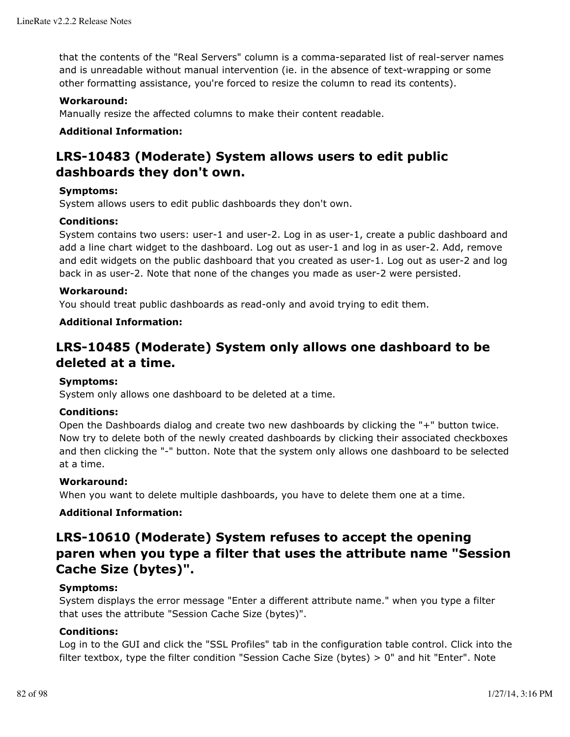that the contents of the "Real Servers" column is a comma-separated list of real-server names and is unreadable without manual intervention (ie. in the absence of text-wrapping or some other formatting assistance, you're forced to resize the column to read its contents).

# **Workaround:**

Manually resize the affected columns to make their content readable.

# **Additional Information:**

# **LRS-10483 (Moderate) System allows users to edit public dashboards they don't own.**

## **Symptoms:**

System allows users to edit public dashboards they don't own.

# **Conditions:**

System contains two users: user-1 and user-2. Log in as user-1, create a public dashboard and add a line chart widget to the dashboard. Log out as user-1 and log in as user-2. Add, remove and edit widgets on the public dashboard that you created as user-1. Log out as user-2 and log back in as user-2. Note that none of the changes you made as user-2 were persisted.

# **Workaround:**

You should treat public dashboards as read-only and avoid trying to edit them.

# **Additional Information:**

# **LRS-10485 (Moderate) System only allows one dashboard to be deleted at a time.**

## **Symptoms:**

System only allows one dashboard to be deleted at a time.

## **Conditions:**

Open the Dashboards dialog and create two new dashboards by clicking the "+" button twice. Now try to delete both of the newly created dashboards by clicking their associated checkboxes and then clicking the "-" button. Note that the system only allows one dashboard to be selected at a time.

## **Workaround:**

When you want to delete multiple dashboards, you have to delete them one at a time.

# **Additional Information:**

# **LRS-10610 (Moderate) System refuses to accept the opening paren when you type a filter that uses the attribute name "Session Cache Size (bytes)".**

## **Symptoms:**

System displays the error message "Enter a different attribute name." when you type a filter that uses the attribute "Session Cache Size (bytes)".

## **Conditions:**

Log in to the GUI and click the "SSL Profiles" tab in the configuration table control. Click into the filter textbox, type the filter condition "Session Cache Size (bytes) > 0" and hit "Enter". Note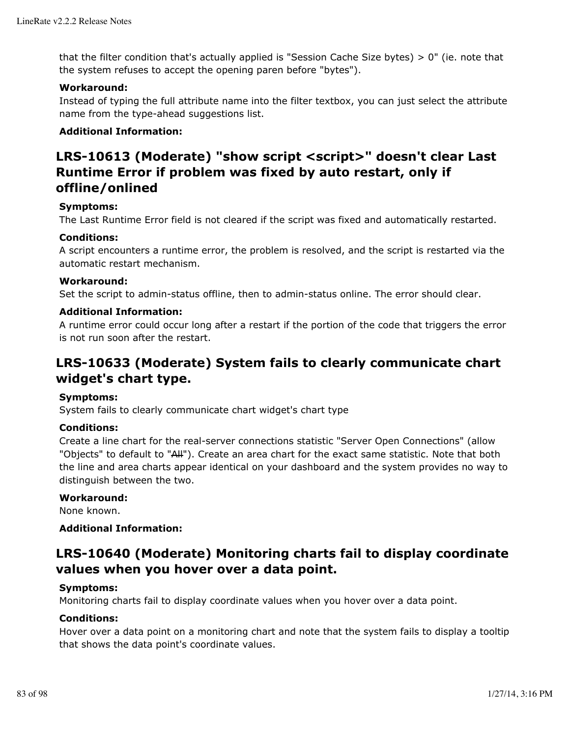that the filter condition that's actually applied is "Session Cache Size bytes)  $> 0$ " (ie. note that the system refuses to accept the opening paren before "bytes").

# **Workaround:**

Instead of typing the full attribute name into the filter textbox, you can just select the attribute name from the type-ahead suggestions list.

# **Additional Information:**

# **LRS-10613 (Moderate) "show script <script>" doesn't clear Last Runtime Error if problem was fixed by auto restart, only if offline/onlined**

## **Symptoms:**

The Last Runtime Error field is not cleared if the script was fixed and automatically restarted.

# **Conditions:**

A script encounters a runtime error, the problem is resolved, and the script is restarted via the automatic restart mechanism.

# **Workaround:**

Set the script to admin-status offline, then to admin-status online. The error should clear.

# **Additional Information:**

A runtime error could occur long after a restart if the portion of the code that triggers the error is not run soon after the restart.

# **LRS-10633 (Moderate) System fails to clearly communicate chart widget's chart type.**

## **Symptoms:**

System fails to clearly communicate chart widget's chart type

## **Conditions:**

Create a line chart for the real-server connections statistic "Server Open Connections" (allow "Objects" to default to "All"). Create an area chart for the exact same statistic. Note that both the line and area charts appear identical on your dashboard and the system provides no way to distinguish between the two.

# **Workaround:**

None known.

# **Additional Information:**

# **LRS-10640 (Moderate) Monitoring charts fail to display coordinate values when you hover over a data point.**

## **Symptoms:**

Monitoring charts fail to display coordinate values when you hover over a data point.

## **Conditions:**

Hover over a data point on a monitoring chart and note that the system fails to display a tooltip that shows the data point's coordinate values.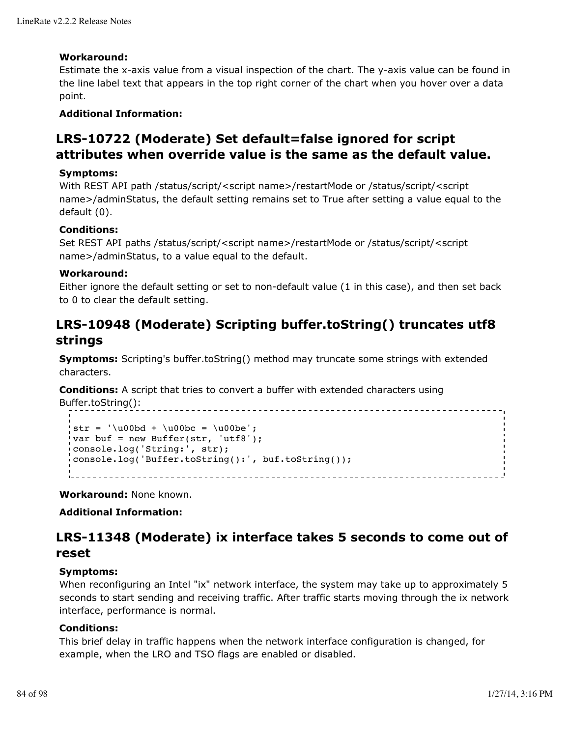# **Workaround:**

Estimate the x-axis value from a visual inspection of the chart. The y-axis value can be found in the line label text that appears in the top right corner of the chart when you hover over a data point.

# **Additional Information:**

# **LRS-10722 (Moderate) Set default=false ignored for script attributes when override value is the same as the default value.**

# **Symptoms:**

With REST API path /status/script/<script name>/restartMode or /status/script/<script name>/adminStatus, the default setting remains set to True after setting a value equal to the default (0).

# **Conditions:**

Set REST API paths /status/script/<script name>/restartMode or /status/script/<script name>/adminStatus, to a value equal to the default.

## **Workaround:**

Either ignore the default setting or set to non-default value (1 in this case), and then set back to 0 to clear the default setting.

# **LRS-10948 (Moderate) Scripting buffer.toString() truncates utf8 strings**

**Symptoms:** Scripting's buffer.toString() method may truncate some strings with extended characters.

**Conditions:** A script that tries to convert a buffer with extended characters using Buffer.toString():

```
str = \u00bd + \u00bc = \u00be';
var buf = new Buffer(str, 'utf8');
console.log('String:', str);
console.log('Buffer.toString():', buf.toString());
```
**Workaround:** None known.

# **Additional Information:**

# **LRS-11348 (Moderate) ix interface takes 5 seconds to come out of reset**

## **Symptoms:**

When reconfiguring an Intel "ix" network interface, the system may take up to approximately 5 seconds to start sending and receiving traffic. After traffic starts moving through the ix network interface, performance is normal.

## **Conditions:**

This brief delay in traffic happens when the network interface configuration is changed, for example, when the LRO and TSO flags are enabled or disabled.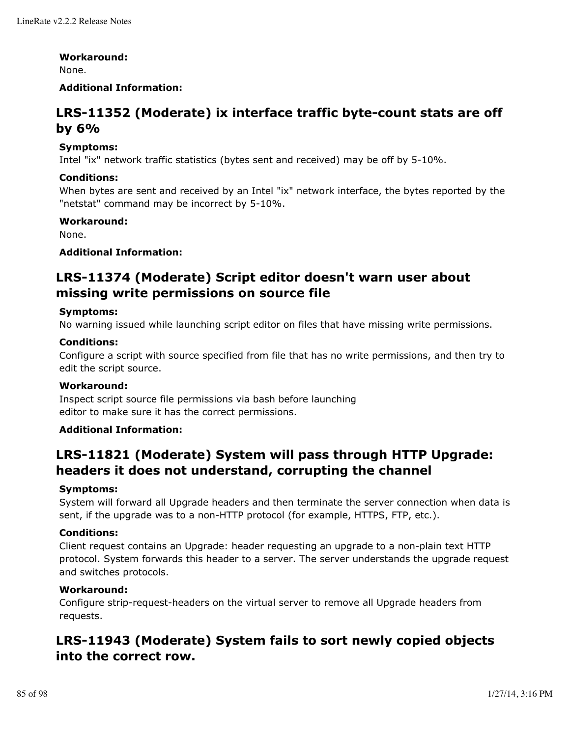#### **Workaround:**

None.

# **Additional Information:**

# **LRS-11352 (Moderate) ix interface traffic byte-count stats are off by 6%**

# **Symptoms:**

Intel "ix" network traffic statistics (bytes sent and received) may be off by 5-10%.

# **Conditions:**

When bytes are sent and received by an Intel "ix" network interface, the bytes reported by the "netstat" command may be incorrect by 5-10%.

# **Workaround:**

None.

# **Additional Information:**

# **LRS-11374 (Moderate) Script editor doesn't warn user about missing write permissions on source file**

# **Symptoms:**

No warning issued while launching script editor on files that have missing write permissions.

## **Conditions:**

Configure a script with source specified from file that has no write permissions, and then try to edit the script source.

## **Workaround:**

Inspect script source file permissions via bash before launching editor to make sure it has the correct permissions.

# **Additional Information:**

# **LRS-11821 (Moderate) System will pass through HTTP Upgrade: headers it does not understand, corrupting the channel**

## **Symptoms:**

System will forward all Upgrade headers and then terminate the server connection when data is sent, if the upgrade was to a non-HTTP protocol (for example, HTTPS, FTP, etc.).

## **Conditions:**

Client request contains an Upgrade: header requesting an upgrade to a non-plain text HTTP protocol. System forwards this header to a server. The server understands the upgrade request and switches protocols.

# **Workaround:**

Configure strip-request-headers on the virtual server to remove all Upgrade headers from requests.

# **LRS-11943 (Moderate) System fails to sort newly copied objects into the correct row.**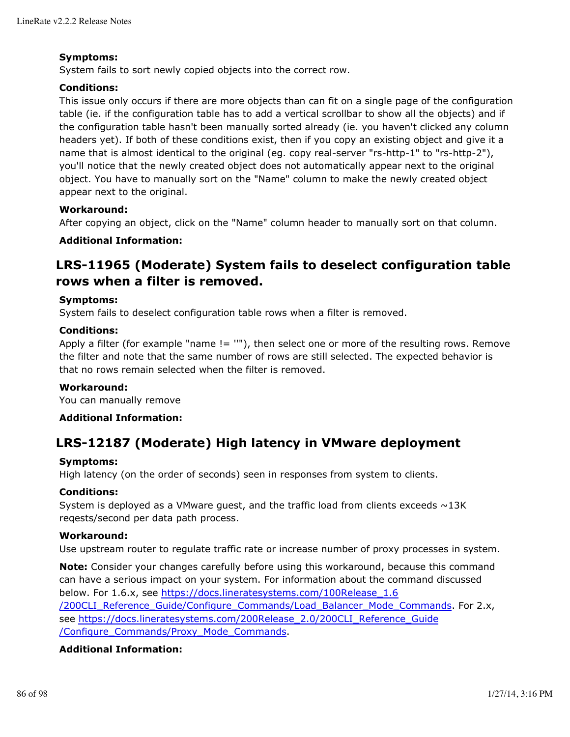# **Symptoms:**

System fails to sort newly copied objects into the correct row.

# **Conditions:**

This issue only occurs if there are more objects than can fit on a single page of the configuration table (ie. if the configuration table has to add a vertical scrollbar to show all the objects) and if the configuration table hasn't been manually sorted already (ie. you haven't clicked any column headers yet). If both of these conditions exist, then if you copy an existing object and give it a name that is almost identical to the original (eg. copy real-server "rs-http-1" to "rs-http-2"), you'll notice that the newly created object does not automatically appear next to the original object. You have to manually sort on the "Name" column to make the newly created object appear next to the original.

# **Workaround:**

After copying an object, click on the "Name" column header to manually sort on that column.

# **Additional Information:**

# **LRS-11965 (Moderate) System fails to deselect configuration table rows when a filter is removed.**

## **Symptoms:**

System fails to deselect configuration table rows when a filter is removed.

## **Conditions:**

Apply a filter (for example "name != ""), then select one or more of the resulting rows. Remove the filter and note that the same number of rows are still selected. The expected behavior is that no rows remain selected when the filter is removed.

## **Workaround:**

You can manually remove

## **Additional Information:**

# **LRS-12187 (Moderate) High latency in VMware deployment**

## **Symptoms:**

High latency (on the order of seconds) seen in responses from system to clients.

# **Conditions:**

System is deployed as a VMware quest, and the traffic load from clients exceeds  $\sim$ 13K reqests/second per data path process.

## **Workaround:**

Use upstream router to regulate traffic rate or increase number of proxy processes in system.

**Note:** Consider your changes carefully before using this workaround, because this command can have a serious impact on your system. For information about the command discussed below. For 1.6.x, see https://docs.lineratesystems.com/100Release\_1.6 /200CLI\_Reference\_Guide/Configure\_Commands/Load\_Balancer\_Mode\_Commands. For 2.x, see https://docs.lineratesystems.com/200Release\_2.0/200CLI\_Reference\_Guide /Configure\_Commands/Proxy\_Mode\_Commands.

## **Additional Information:**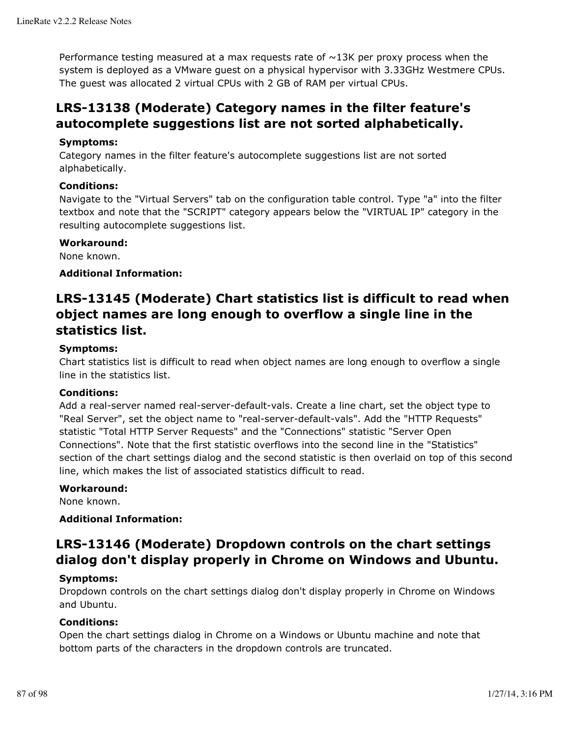Performance testing measured at a max requests rate of  $\sim$ 13K per proxy process when the system is deployed as a VMware guest on a physical hypervisor with 3.33GHz Westmere CPUs. The guest was allocated 2 virtual CPUs with 2 GB of RAM per virtual CPUs.

# **LRS-13138 (Moderate) Category names in the filter feature's autocomplete suggestions list are not sorted alphabetically.**

# **Symptoms:**

Category names in the filter feature's autocomplete suggestions list are not sorted alphabetically.

# **Conditions:**

Navigate to the "Virtual Servers" tab on the configuration table control. Type "a" into the filter textbox and note that the "SCRIPT" category appears below the "VIRTUAL IP" category in the resulting autocomplete suggestions list.

## **Workaround:**

None known.

# **Additional Information:**

# **LRS-13145 (Moderate) Chart statistics list is difficult to read when object names are long enough to overflow a single line in the statistics list.**

# **Symptoms:**

Chart statistics list is difficult to read when object names are long enough to overflow a single line in the statistics list.

## **Conditions:**

Add a real-server named real-server-default-vals. Create a line chart, set the object type to "Real Server", set the object name to "real-server-default-vals". Add the "HTTP Requests" statistic "Total HTTP Server Requests" and the "Connections" statistic "Server Open Connections". Note that the first statistic overflows into the second line in the "Statistics" section of the chart settings dialog and the second statistic is then overlaid on top of this second line, which makes the list of associated statistics difficult to read.

## **Workaround:**

None known.

# **Additional Information:**

# **LRS-13146 (Moderate) Dropdown controls on the chart settings dialog don't display properly in Chrome on Windows and Ubuntu.**

## **Symptoms:**

Dropdown controls on the chart settings dialog don't display properly in Chrome on Windows and Ubuntu.

# **Conditions:**

Open the chart settings dialog in Chrome on a Windows or Ubuntu machine and note that bottom parts of the characters in the dropdown controls are truncated.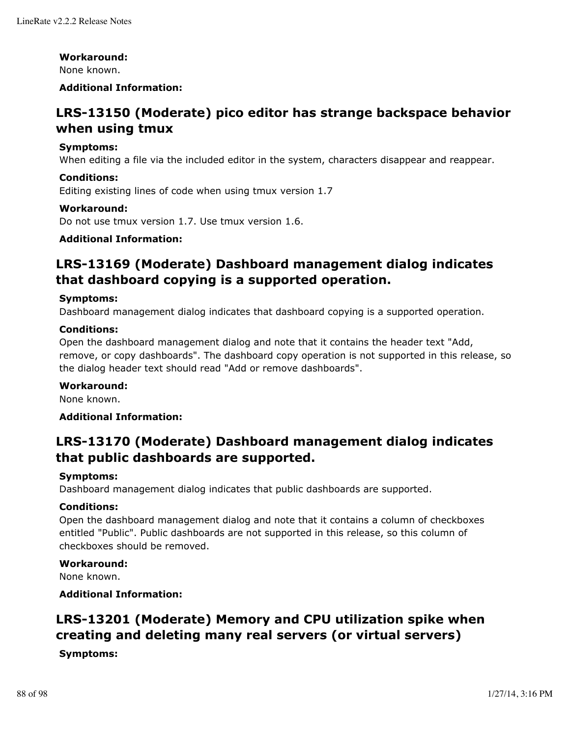#### **Workaround:**

None known.

# **Additional Information:**

# **LRS-13150 (Moderate) pico editor has strange backspace behavior when using tmux**

#### **Symptoms:**

When editing a file via the included editor in the system, characters disappear and reappear.

## **Conditions:**

Editing existing lines of code when using tmux version 1.7

#### **Workaround:**

Do not use tmux version 1.7. Use tmux version 1.6.

# **Additional Information:**

# **LRS-13169 (Moderate) Dashboard management dialog indicates that dashboard copying is a supported operation.**

#### **Symptoms:**

Dashboard management dialog indicates that dashboard copying is a supported operation.

#### **Conditions:**

Open the dashboard management dialog and note that it contains the header text "Add, remove, or copy dashboards". The dashboard copy operation is not supported in this release, so the dialog header text should read "Add or remove dashboards".

## **Workaround:**

None known.

## **Additional Information:**

# **LRS-13170 (Moderate) Dashboard management dialog indicates that public dashboards are supported.**

#### **Symptoms:**

Dashboard management dialog indicates that public dashboards are supported.

## **Conditions:**

Open the dashboard management dialog and note that it contains a column of checkboxes entitled "Public". Public dashboards are not supported in this release, so this column of checkboxes should be removed.

## **Workaround:**

None known.

**Additional Information:**

# **LRS-13201 (Moderate) Memory and CPU utilization spike when creating and deleting many real servers (or virtual servers)**

## **Symptoms:**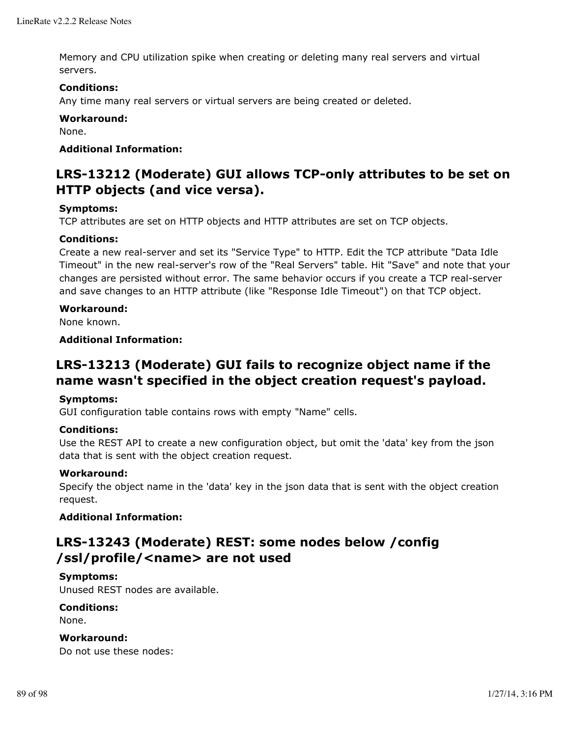Memory and CPU utilization spike when creating or deleting many real servers and virtual servers.

# **Conditions:**

Any time many real servers or virtual servers are being created or deleted.

# **Workaround:**

None.

# **Additional Information:**

# **LRS-13212 (Moderate) GUI allows TCP-only attributes to be set on HTTP objects (and vice versa).**

# **Symptoms:**

TCP attributes are set on HTTP objects and HTTP attributes are set on TCP objects.

# **Conditions:**

Create a new real-server and set its "Service Type" to HTTP. Edit the TCP attribute "Data Idle Timeout" in the new real-server's row of the "Real Servers" table. Hit "Save" and note that your changes are persisted without error. The same behavior occurs if you create a TCP real-server and save changes to an HTTP attribute (like "Response Idle Timeout") on that TCP object.

# **Workaround:**

None known.

# **Additional Information:**

# **LRS-13213 (Moderate) GUI fails to recognize object name if the name wasn't specified in the object creation request's payload.**

## **Symptoms:**

GUI configuration table contains rows with empty "Name" cells.

## **Conditions:**

Use the REST API to create a new configuration object, but omit the 'data' key from the json data that is sent with the object creation request.

## **Workaround:**

Specify the object name in the 'data' key in the json data that is sent with the object creation request.

# **Additional Information:**

# **LRS-13243 (Moderate) REST: some nodes below /config /ssl/profile/<name> are not used**

## **Symptoms:**

Unused REST nodes are available.

## **Conditions:**

None.

## **Workaround:**

Do not use these nodes: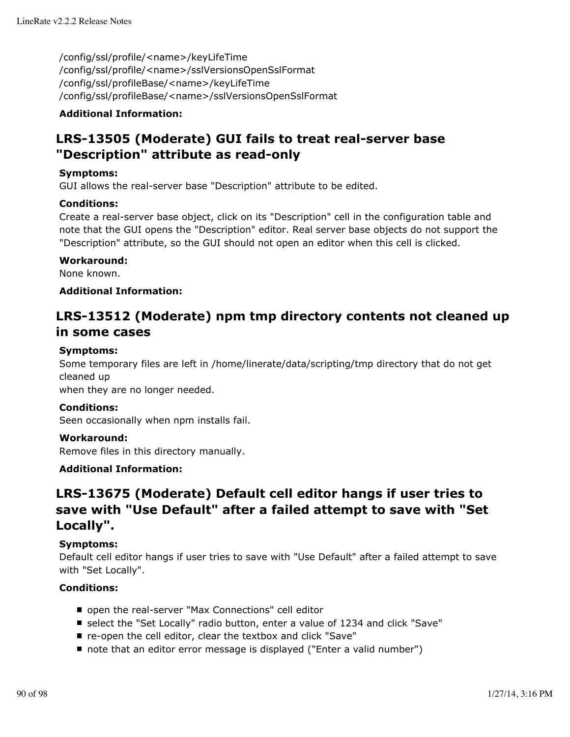/config/ssl/profile/<name>/keyLifeTime /config/ssl/profile/<name>/sslVersionsOpenSslFormat /config/ssl/profileBase/<name>/keyLifeTime /config/ssl/profileBase/<name>/sslVersionsOpenSslFormat

# **Additional Information:**

# **LRS-13505 (Moderate) GUI fails to treat real-server base "Description" attribute as read-only**

# **Symptoms:**

GUI allows the real-server base "Description" attribute to be edited.

## **Conditions:**

Create a real-server base object, click on its "Description" cell in the configuration table and note that the GUI opens the "Description" editor. Real server base objects do not support the "Description" attribute, so the GUI should not open an editor when this cell is clicked.

# **Workaround:**

None known.

# **Additional Information:**

# **LRS-13512 (Moderate) npm tmp directory contents not cleaned up in some cases**

## **Symptoms:**

Some temporary files are left in /home/linerate/data/scripting/tmp directory that do not get cleaned up

when they are no longer needed.

## **Conditions:**

Seen occasionally when npm installs fail.

## **Workaround:**

Remove files in this directory manually.

# **Additional Information:**

# **LRS-13675 (Moderate) Default cell editor hangs if user tries to save with "Use Default" after a failed attempt to save with "Set Locally".**

## **Symptoms:**

Default cell editor hangs if user tries to save with "Use Default" after a failed attempt to save with "Set Locally".

## **Conditions:**

- open the real-server "Max Connections" cell editor
- select the "Set Locally" radio button, enter a value of 1234 and click "Save"
- re-open the cell editor, clear the textbox and click "Save"
- note that an editor error message is displayed ("Enter a valid number")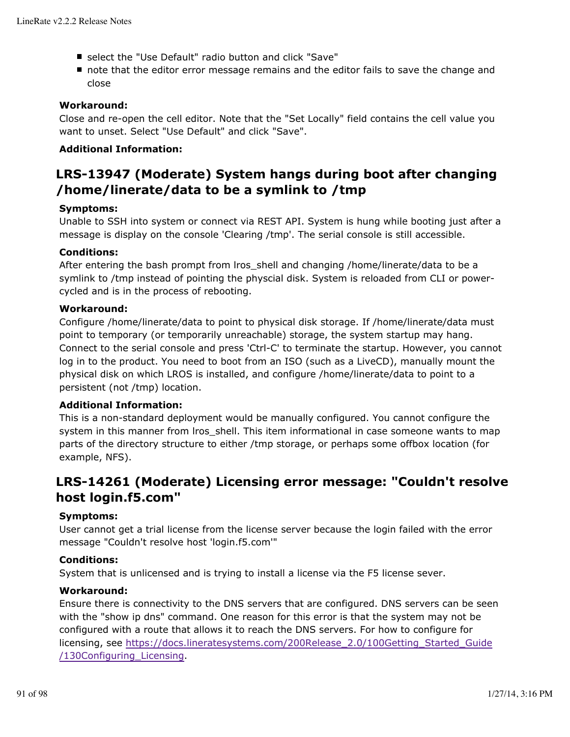- select the "Use Default" radio button and click "Save"
- note that the editor error message remains and the editor fails to save the change and close

# **Workaround:**

Close and re-open the cell editor. Note that the "Set Locally" field contains the cell value you want to unset. Select "Use Default" and click "Save".

# **Additional Information:**

# **LRS-13947 (Moderate) System hangs during boot after changing /home/linerate/data to be a symlink to /tmp**

# **Symptoms:**

Unable to SSH into system or connect via REST API. System is hung while booting just after a message is display on the console 'Clearing /tmp'. The serial console is still accessible.

# **Conditions:**

After entering the bash prompt from lros\_shell and changing /home/linerate/data to be a symlink to /tmp instead of pointing the physcial disk. System is reloaded from CLI or powercycled and is in the process of rebooting.

# **Workaround:**

Configure /home/linerate/data to point to physical disk storage. If /home/linerate/data must point to temporary (or temporarily unreachable) storage, the system startup may hang. Connect to the serial console and press 'Ctrl-C' to terminate the startup. However, you cannot log in to the product. You need to boot from an ISO (such as a LiveCD), manually mount the physical disk on which LROS is installed, and configure /home/linerate/data to point to a persistent (not /tmp) location.

# **Additional Information:**

This is a non-standard deployment would be manually configured. You cannot configure the system in this manner from Iros shell. This item informational in case someone wants to map parts of the directory structure to either /tmp storage, or perhaps some offbox location (for example, NFS).

# **LRS-14261 (Moderate) Licensing error message: "Couldn't resolve host login.f5.com"**

## **Symptoms:**

User cannot get a trial license from the license server because the login failed with the error message "Couldn't resolve host 'login.f5.com'"

## **Conditions:**

System that is unlicensed and is trying to install a license via the F5 license sever.

# **Workaround:**

Ensure there is connectivity to the DNS servers that are configured. DNS servers can be seen with the "show ip dns" command. One reason for this error is that the system may not be configured with a route that allows it to reach the DNS servers. For how to configure for licensing, see https://docs.lineratesystems.com/200Release\_2.0/100Getting\_Started\_Guide /130Configuring\_Licensing.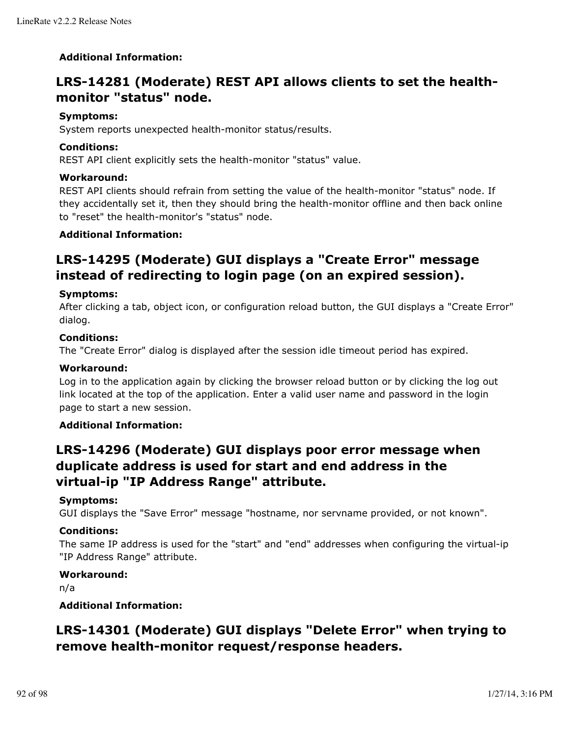# **Additional Information:**

# **LRS-14281 (Moderate) REST API allows clients to set the healthmonitor "status" node.**

# **Symptoms:**

System reports unexpected health-monitor status/results.

# **Conditions:**

REST API client explicitly sets the health-monitor "status" value.

# **Workaround:**

REST API clients should refrain from setting the value of the health-monitor "status" node. If they accidentally set it, then they should bring the health-monitor offline and then back online to "reset" the health-monitor's "status" node.

# **Additional Information:**

# **LRS-14295 (Moderate) GUI displays a "Create Error" message instead of redirecting to login page (on an expired session).**

# **Symptoms:**

After clicking a tab, object icon, or configuration reload button, the GUI displays a "Create Error" dialog.

# **Conditions:**

The "Create Error" dialog is displayed after the session idle timeout period has expired.

## **Workaround:**

Log in to the application again by clicking the browser reload button or by clicking the log out link located at the top of the application. Enter a valid user name and password in the login page to start a new session.

## **Additional Information:**

# **LRS-14296 (Moderate) GUI displays poor error message when duplicate address is used for start and end address in the virtual-ip "IP Address Range" attribute.**

## **Symptoms:**

GUI displays the "Save Error" message "hostname, nor servname provided, or not known".

## **Conditions:**

The same IP address is used for the "start" and "end" addresses when configuring the virtual-ip "IP Address Range" attribute.

# **Workaround:**

n/a

## **Additional Information:**

# **LRS-14301 (Moderate) GUI displays "Delete Error" when trying to remove health-monitor request/response headers.**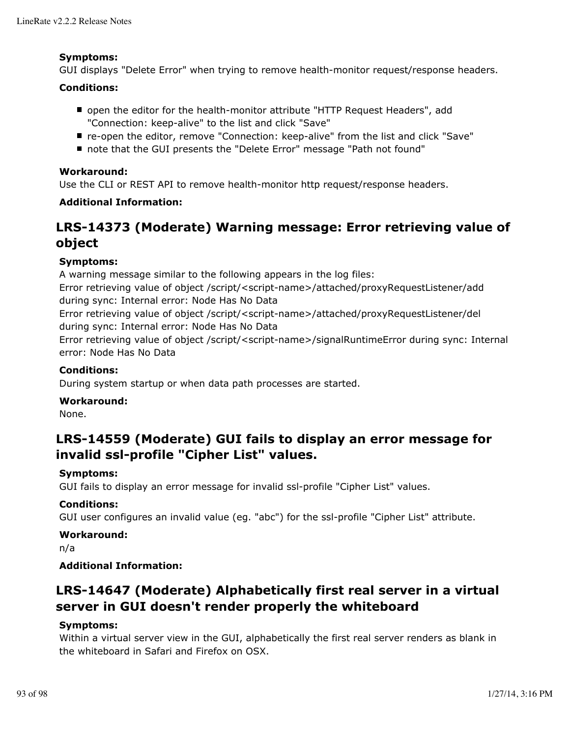## **Symptoms:**

GUI displays "Delete Error" when trying to remove health-monitor request/response headers.

# **Conditions:**

- open the editor for the health-monitor attribute "HTTP Request Headers", add "Connection: keep-alive" to the list and click "Save"
- re-open the editor, remove "Connection: keep-alive" from the list and click "Save"
- note that the GUI presents the "Delete Error" message "Path not found"

# **Workaround:**

Use the CLI or REST API to remove health-monitor http request/response headers.

# **Additional Information:**

# **LRS-14373 (Moderate) Warning message: Error retrieving value of object**

# **Symptoms:**

A warning message similar to the following appears in the log files: Error retrieving value of object /script/<script-name>/attached/proxyRequestListener/add during sync: Internal error: Node Has No Data Error retrieving value of object /script/<script-name>/attached/proxyRequestListener/del during sync: Internal error: Node Has No Data Error retrieving value of object /script/<script-name>/signalRuntimeError during sync: Internal error: Node Has No Data

# **Conditions:**

During system startup or when data path processes are started.

## **Workaround:**

None.

# **LRS-14559 (Moderate) GUI fails to display an error message for invalid ssl-profile "Cipher List" values.**

# **Symptoms:**

GUI fails to display an error message for invalid ssl-profile "Cipher List" values.

# **Conditions:**

GUI user configures an invalid value (eg. "abc") for the ssl-profile "Cipher List" attribute.

## **Workaround:**

n/a

# **Additional Information:**

# **LRS-14647 (Moderate) Alphabetically first real server in a virtual server in GUI doesn't render properly the whiteboard**

# **Symptoms:**

Within a virtual server view in the GUI, alphabetically the first real server renders as blank in the whiteboard in Safari and Firefox on OSX.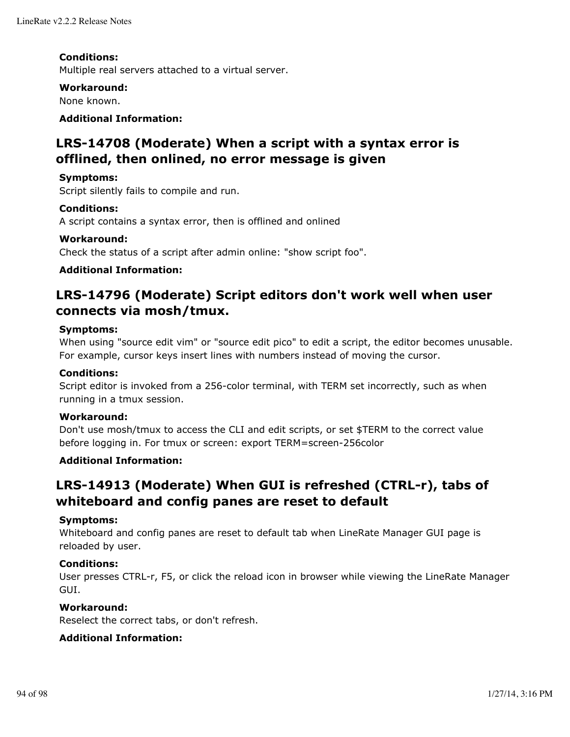# **Conditions:**

Multiple real servers attached to a virtual server.

## **Workaround:**

None known.

# **Additional Information:**

# **LRS-14708 (Moderate) When a script with a syntax error is offlined, then onlined, no error message is given**

## **Symptoms:**

Script silently fails to compile and run.

## **Conditions:**

A script contains a syntax error, then is offlined and onlined

#### **Workaround:**

Check the status of a script after admin online: "show script foo".

# **Additional Information:**

# **LRS-14796 (Moderate) Script editors don't work well when user connects via mosh/tmux.**

#### **Symptoms:**

When using "source edit vim" or "source edit pico" to edit a script, the editor becomes unusable. For example, cursor keys insert lines with numbers instead of moving the cursor.

## **Conditions:**

Script editor is invoked from a 256-color terminal, with TERM set incorrectly, such as when running in a tmux session.

## **Workaround:**

Don't use mosh/tmux to access the CLI and edit scripts, or set \$TERM to the correct value before logging in. For tmux or screen: export TERM=screen-256color

# **Additional Information:**

# **LRS-14913 (Moderate) When GUI is refreshed (CTRL-r), tabs of whiteboard and config panes are reset to default**

## **Symptoms:**

Whiteboard and config panes are reset to default tab when LineRate Manager GUI page is reloaded by user.

## **Conditions:**

User presses CTRL-r, F5, or click the reload icon in browser while viewing the LineRate Manager GUI.

## **Workaround:**

Reselect the correct tabs, or don't refresh.

## **Additional Information:**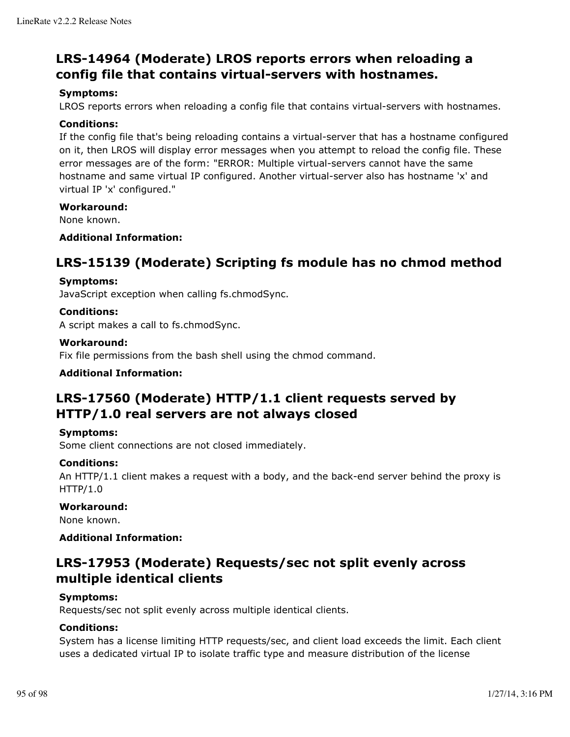# **LRS-14964 (Moderate) LROS reports errors when reloading a config file that contains virtual-servers with hostnames.**

# **Symptoms:**

LROS reports errors when reloading a config file that contains virtual-servers with hostnames.

## **Conditions:**

If the config file that's being reloading contains a virtual-server that has a hostname configured on it, then LROS will display error messages when you attempt to reload the config file. These error messages are of the form: "ERROR: Multiple virtual-servers cannot have the same hostname and same virtual IP configured. Another virtual-server also has hostname 'x' and virtual IP 'x' configured."

#### **Workaround:**

None known.

## **Additional Information:**

# **LRS-15139 (Moderate) Scripting fs module has no chmod method**

#### **Symptoms:**

JavaScript exception when calling fs.chmodSync.

## **Conditions:**

A script makes a call to fs.chmodSync.

#### **Workaround:**

Fix file permissions from the bash shell using the chmod command.

## **Additional Information:**

# **LRS-17560 (Moderate) HTTP/1.1 client requests served by HTTP/1.0 real servers are not always closed**

## **Symptoms:**

Some client connections are not closed immediately.

## **Conditions:**

An HTTP/1.1 client makes a request with a body, and the back-end server behind the proxy is HTTP/1.0

#### **Workaround:**

None known.

# **Additional Information:**

# **LRS-17953 (Moderate) Requests/sec not split evenly across multiple identical clients**

## **Symptoms:**

Requests/sec not split evenly across multiple identical clients.

## **Conditions:**

System has a license limiting HTTP requests/sec, and client load exceeds the limit. Each client uses a dedicated virtual IP to isolate traffic type and measure distribution of the license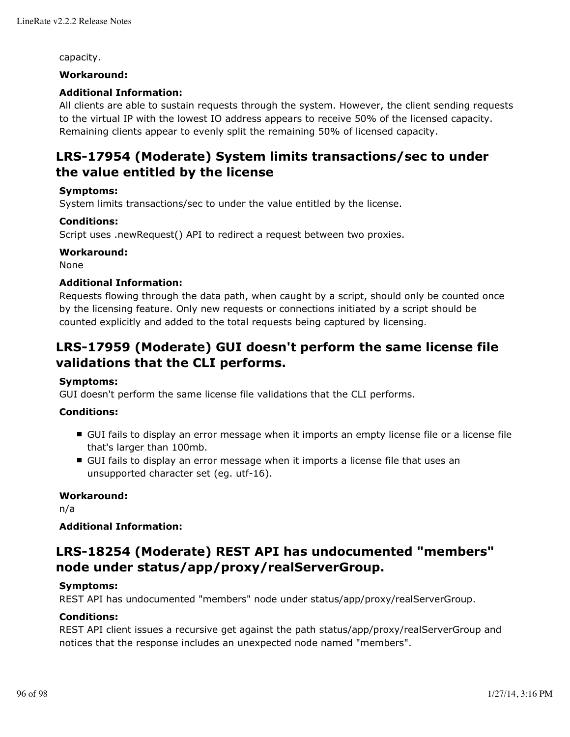capacity.

## **Workaround:**

# **Additional Information:**

All clients are able to sustain requests through the system. However, the client sending requests to the virtual IP with the lowest IO address appears to receive 50% of the licensed capacity. Remaining clients appear to evenly split the remaining 50% of licensed capacity.

# **LRS-17954 (Moderate) System limits transactions/sec to under the value entitled by the license**

# **Symptoms:**

System limits transactions/sec to under the value entitled by the license.

# **Conditions:**

Script uses .newRequest() API to redirect a request between two proxies.

# **Workaround:**

None

# **Additional Information:**

Requests flowing through the data path, when caught by a script, should only be counted once by the licensing feature. Only new requests or connections initiated by a script should be counted explicitly and added to the total requests being captured by licensing.

# **LRS-17959 (Moderate) GUI doesn't perform the same license file validations that the CLI performs.**

## **Symptoms:**

GUI doesn't perform the same license file validations that the CLI performs.

# **Conditions:**

- **GUI fails to display an error message when it imports an empty license file or a license file** that's larger than 100mb.
- GUI fails to display an error message when it imports a license file that uses an unsupported character set (eg. utf-16).

## **Workaround:**

n/a

## **Additional Information:**

# **LRS-18254 (Moderate) REST API has undocumented "members" node under status/app/proxy/realServerGroup.**

## **Symptoms:**

REST API has undocumented "members" node under status/app/proxy/realServerGroup.

# **Conditions:**

REST API client issues a recursive get against the path status/app/proxy/realServerGroup and notices that the response includes an unexpected node named "members".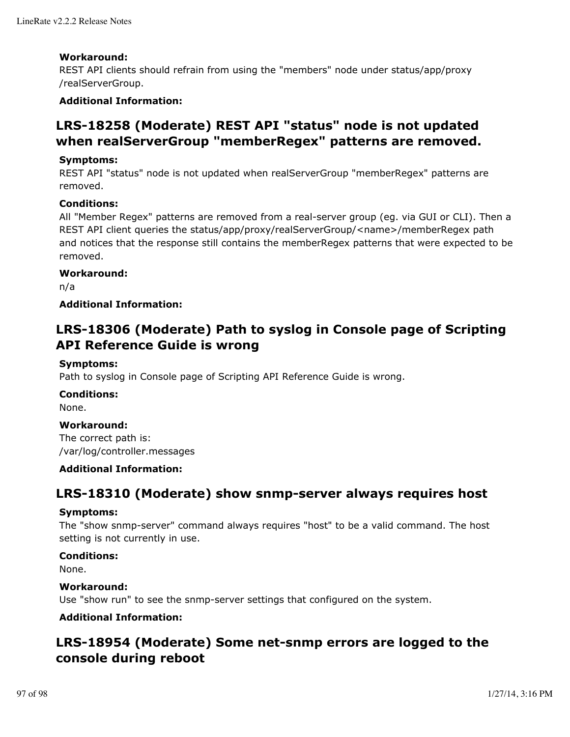# **Workaround:**

REST API clients should refrain from using the "members" node under status/app/proxy /realServerGroup.

# **Additional Information:**

# **LRS-18258 (Moderate) REST API "status" node is not updated when realServerGroup "memberRegex" patterns are removed.**

# **Symptoms:**

REST API "status" node is not updated when realServerGroup "memberRegex" patterns are removed.

# **Conditions:**

All "Member Regex" patterns are removed from a real-server group (eg. via GUI or CLI). Then a REST API client queries the status/app/proxy/realServerGroup/<name>/memberRegex path and notices that the response still contains the memberRegex patterns that were expected to be removed.

# **Workaround:**

n/a

# **Additional Information:**

# **LRS-18306 (Moderate) Path to syslog in Console page of Scripting API Reference Guide is wrong**

# **Symptoms:**

Path to syslog in Console page of Scripting API Reference Guide is wrong.

## **Conditions:**

None.

## **Workaround:**

The correct path is: /var/log/controller.messages

## **Additional Information:**

# **LRS-18310 (Moderate) show snmp-server always requires host**

## **Symptoms:**

The "show snmp-server" command always requires "host" to be a valid command. The host setting is not currently in use.

## **Conditions:**

None.

## **Workaround:**

Use "show run" to see the snmp-server settings that configured on the system.

# **Additional Information:**

# **LRS-18954 (Moderate) Some net-snmp errors are logged to the console during reboot**